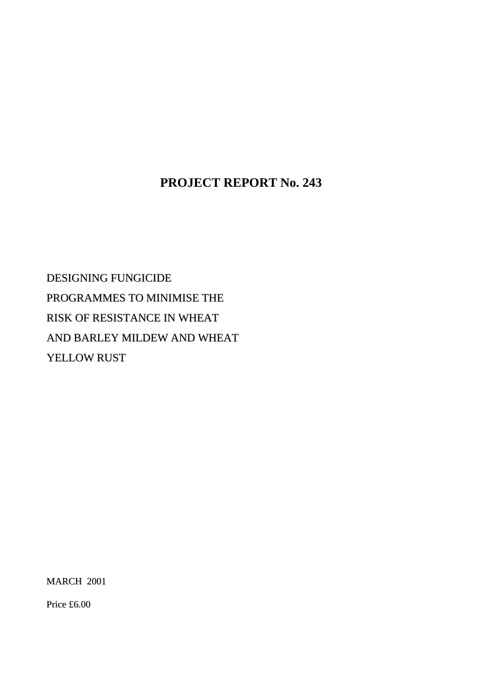# **PROJECT REPORT No. 243**

DESIGNING FUNGICIDE PROGRAMMES TO MINIMISE THE RISK OF RESISTANCE IN WHEAT AND BARLEY MILDEW AND WHEAT YELLOW RUST

MARCH 2001

Price £6.00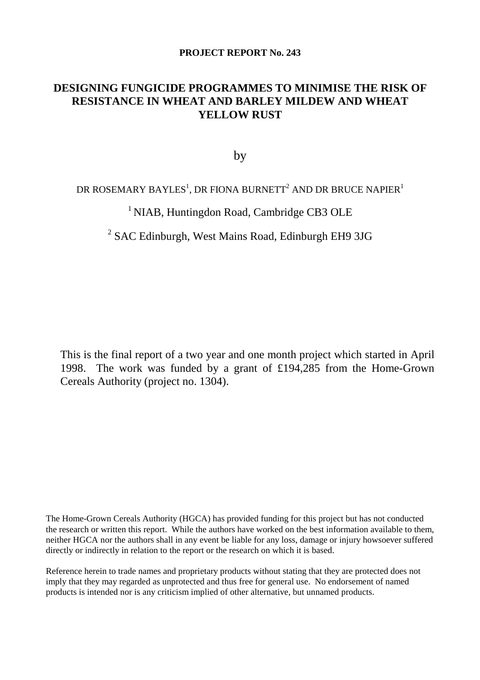### **PROJECT REPORT No. 243**

# **DESIGNING FUNGICIDE PROGRAMMES TO MINIMISE THE RISK OF RESISTANCE IN WHEAT AND BARLEY MILDEW AND WHEAT YELLOW RUST**

by

## DR ROSEMARY BAYLES $^{\rm l}$ , DR FIONA BURNETT $^{\rm 2}$  AND DR BRUCE NAPIER $^{\rm l}$

# <sup>1</sup> NIAB, Huntingdon Road, Cambridge CB3 OLE

# <sup>2</sup> SAC Edinburgh, West Mains Road, Edinburgh EH9 3JG

This is the final report of a two year and one month project which started in April 1998. The work was funded by a grant of £194,285 from the Home-Grown Cereals Authority (project no. 1304).

The Home-Grown Cereals Authority (HGCA) has provided funding for this project but has not conducted the research or written this report. While the authors have worked on the best information available to them, neither HGCA nor the authors shall in any event be liable for any loss, damage or injury howsoever suffered directly or indirectly in relation to the report or the research on which it is based.

Reference herein to trade names and proprietary products without stating that they are protected does not imply that they may regarded as unprotected and thus free for general use. No endorsement of named products is intended nor is any criticism implied of other alternative, but unnamed products.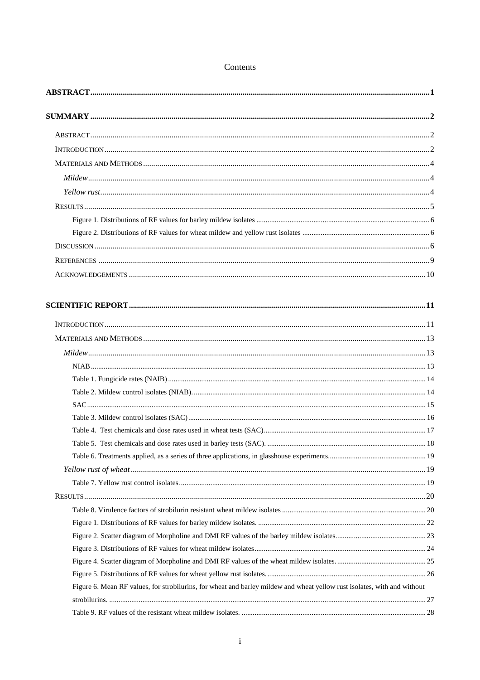| Figure 6. Mean RF values, for strobilurins, for wheat and barley mildew and wheat yellow rust isolates, with and without |  |
|--------------------------------------------------------------------------------------------------------------------------|--|
|                                                                                                                          |  |
|                                                                                                                          |  |

Contents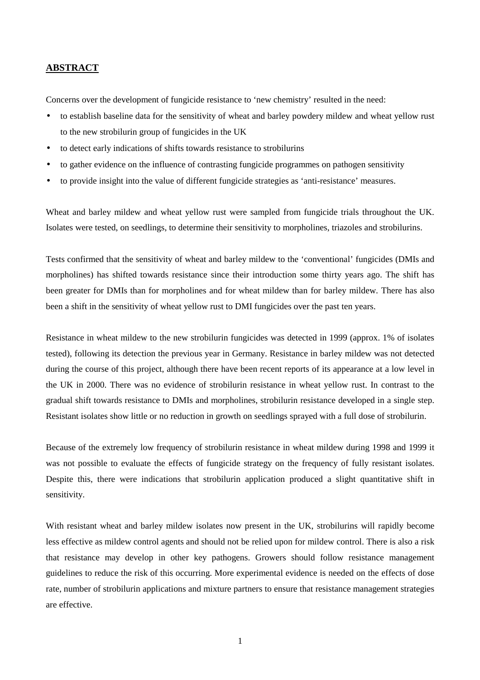### <span id="page-4-0"></span>**ABSTRACT**

Concerns over the development of fungicide resistance to 'new chemistry' resulted in the need:

- to establish baseline data for the sensitivity of wheat and barley powdery mildew and wheat yellow rust to the new strobilurin group of fungicides in the UK
- to detect early indications of shifts towards resistance to strobilurins
- to gather evidence on the influence of contrasting fungicide programmes on pathogen sensitivity
- to provide insight into the value of different fungicide strategies as 'anti-resistance' measures.

Wheat and barley mildew and wheat yellow rust were sampled from fungicide trials throughout the UK. Isolates were tested, on seedlings, to determine their sensitivity to morpholines, triazoles and strobilurins.

Tests confirmed that the sensitivity of wheat and barley mildew to the 'conventional' fungicides (DMIs and morpholines) has shifted towards resistance since their introduction some thirty years ago. The shift has been greater for DMIs than for morpholines and for wheat mildew than for barley mildew. There has also been a shift in the sensitivity of wheat yellow rust to DMI fungicides over the past ten years.

Resistance in wheat mildew to the new strobilurin fungicides was detected in 1999 (approx. 1% of isolates tested), following its detection the previous year in Germany. Resistance in barley mildew was not detected during the course of this project, although there have been recent reports of its appearance at a low level in the UK in 2000. There was no evidence of strobilurin resistance in wheat yellow rust. In contrast to the gradual shift towards resistance to DMIs and morpholines, strobilurin resistance developed in a single step. Resistant isolates show little or no reduction in growth on seedlings sprayed with a full dose of strobilurin.

Because of the extremely low frequency of strobilurin resistance in wheat mildew during 1998 and 1999 it was not possible to evaluate the effects of fungicide strategy on the frequency of fully resistant isolates. Despite this, there were indications that strobilurin application produced a slight quantitative shift in sensitivity.

With resistant wheat and barley mildew isolates now present in the UK, strobilurins will rapidly become less effective as mildew control agents and should not be relied upon for mildew control. There is also a risk that resistance may develop in other key pathogens. Growers should follow resistance management guidelines to reduce the risk of this occurring. More experimental evidence is needed on the effects of dose rate, number of strobilurin applications and mixture partners to ensure that resistance management strategies are effective.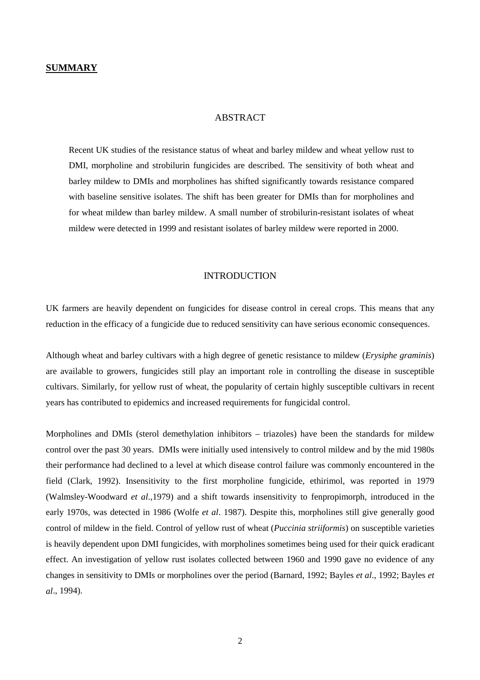#### ABSTRACT

<span id="page-5-0"></span>Recent UK studies of the resistance status of wheat and barley mildew and wheat yellow rust to DMI, morpholine and strobilurin fungicides are described. The sensitivity of both wheat and barley mildew to DMIs and morpholines has shifted significantly towards resistance compared with baseline sensitive isolates. The shift has been greater for DMIs than for morpholines and for wheat mildew than barley mildew. A small number of strobilurin-resistant isolates of wheat mildew were detected in 1999 and resistant isolates of barley mildew were reported in 2000.

### INTRODUCTION

UK farmers are heavily dependent on fungicides for disease control in cereal crops. This means that any reduction in the efficacy of a fungicide due to reduced sensitivity can have serious economic consequences.

Although wheat and barley cultivars with a high degree of genetic resistance to mildew (*Erysiphe graminis*) are available to growers, fungicides still play an important role in controlling the disease in susceptible cultivars. Similarly, for yellow rust of wheat, the popularity of certain highly susceptible cultivars in recent years has contributed to epidemics and increased requirements for fungicidal control.

Morpholines and DMIs (sterol demethylation inhibitors – triazoles) have been the standards for mildew control over the past 30 years. DMIs were initially used intensively to control mildew and by the mid 1980s their performance had declined to a level at which disease control failure was commonly encountered in the field (Clark, 1992). Insensitivity to the first morpholine fungicide, ethirimol, was reported in 1979 (Walmsley-Woodward *et al*.,1979) and a shift towards insensitivity to fenpropimorph, introduced in the early 1970s, was detected in 1986 (Wolfe *et al*. 1987). Despite this, morpholines still give generally good control of mildew in the field. Control of yellow rust of wheat (*Puccinia striiformis*) on susceptible varieties is heavily dependent upon DMI fungicides, with morpholines sometimes being used for their quick eradicant effect. An investigation of yellow rust isolates collected between 1960 and 1990 gave no evidence of any changes in sensitivity to DMIs or morpholines over the period (Barnard, 1992; Bayles *et al*., 1992; Bayles *et al*., 1994).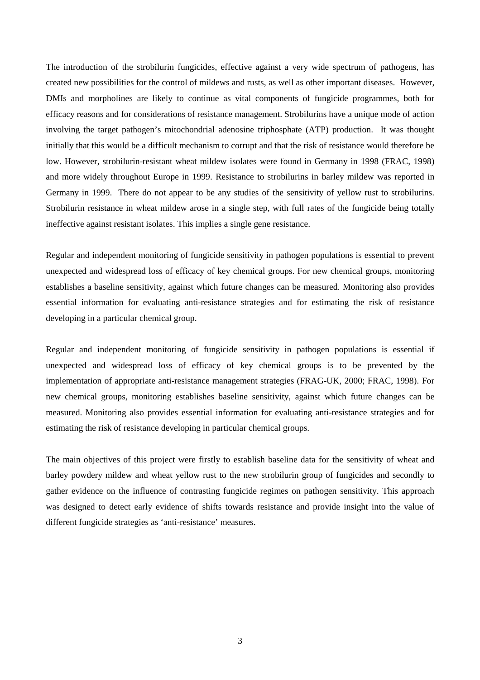The introduction of the strobilurin fungicides, effective against a very wide spectrum of pathogens, has created new possibilities for the control of mildews and rusts, as well as other important diseases. However, DMIs and morpholines are likely to continue as vital components of fungicide programmes, both for efficacy reasons and for considerations of resistance management. Strobilurins have a unique mode of action involving the target pathogen's mitochondrial adenosine triphosphate (ATP) production. It was thought initially that this would be a difficult mechanism to corrupt and that the risk of resistance would therefore be low. However, strobilurin-resistant wheat mildew isolates were found in Germany in 1998 (FRAC, 1998) and more widely throughout Europe in 1999. Resistance to strobilurins in barley mildew was reported in Germany in 1999. There do not appear to be any studies of the sensitivity of yellow rust to strobilurins. Strobilurin resistance in wheat mildew arose in a single step, with full rates of the fungicide being totally ineffective against resistant isolates. This implies a single gene resistance.

Regular and independent monitoring of fungicide sensitivity in pathogen populations is essential to prevent unexpected and widespread loss of efficacy of key chemical groups. For new chemical groups, monitoring establishes a baseline sensitivity, against which future changes can be measured. Monitoring also provides essential information for evaluating anti-resistance strategies and for estimating the risk of resistance developing in a particular chemical group.

Regular and independent monitoring of fungicide sensitivity in pathogen populations is essential if unexpected and widespread loss of efficacy of key chemical groups is to be prevented by the implementation of appropriate anti-resistance management strategies (FRAG-UK, 2000; FRAC, 1998). For new chemical groups, monitoring establishes baseline sensitivity, against which future changes can be measured. Monitoring also provides essential information for evaluating anti-resistance strategies and for estimating the risk of resistance developing in particular chemical groups.

The main objectives of this project were firstly to establish baseline data for the sensitivity of wheat and barley powdery mildew and wheat yellow rust to the new strobilurin group of fungicides and secondly to gather evidence on the influence of contrasting fungicide regimes on pathogen sensitivity. This approach was designed to detect early evidence of shifts towards resistance and provide insight into the value of different fungicide strategies as 'anti-resistance' measures.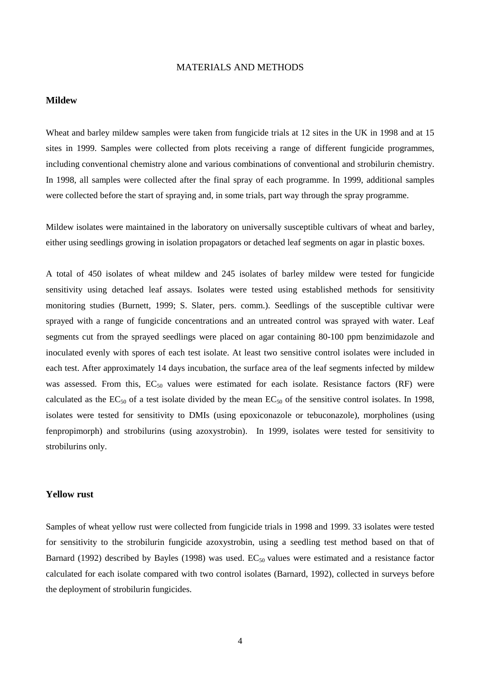### MATERIALS AND METHODS

#### <span id="page-7-0"></span>**Mildew**

Wheat and barley mildew samples were taken from fungicide trials at 12 sites in the UK in 1998 and at 15 sites in 1999. Samples were collected from plots receiving a range of different fungicide programmes, including conventional chemistry alone and various combinations of conventional and strobilurin chemistry. In 1998, all samples were collected after the final spray of each programme. In 1999, additional samples were collected before the start of spraying and, in some trials, part way through the spray programme.

Mildew isolates were maintained in the laboratory on universally susceptible cultivars of wheat and barley, either using seedlings growing in isolation propagators or detached leaf segments on agar in plastic boxes.

A total of 450 isolates of wheat mildew and 245 isolates of barley mildew were tested for fungicide sensitivity using detached leaf assays. Isolates were tested using established methods for sensitivity monitoring studies (Burnett, 1999; S. Slater, pers. comm.). Seedlings of the susceptible cultivar were sprayed with a range of fungicide concentrations and an untreated control was sprayed with water. Leaf segments cut from the sprayed seedlings were placed on agar containing 80-100 ppm benzimidazole and inoculated evenly with spores of each test isolate. At least two sensitive control isolates were included in each test. After approximately 14 days incubation, the surface area of the leaf segments infected by mildew was assessed. From this,  $EC_{50}$  values were estimated for each isolate. Resistance factors (RF) were calculated as the  $EC_{50}$  of a test isolate divided by the mean  $EC_{50}$  of the sensitive control isolates. In 1998, isolates were tested for sensitivity to DMIs (using epoxiconazole or tebuconazole), morpholines (using fenpropimorph) and strobilurins (using azoxystrobin). In 1999, isolates were tested for sensitivity to strobilurins only.

#### **Yellow rust**

Samples of wheat yellow rust were collected from fungicide trials in 1998 and 1999. 33 isolates were tested for sensitivity to the strobilurin fungicide azoxystrobin, using a seedling test method based on that of Barnard (1992) described by Bayles (1998) was used.  $EC_{50}$  values were estimated and a resistance factor calculated for each isolate compared with two control isolates (Barnard, 1992), collected in surveys before the deployment of strobilurin fungicides.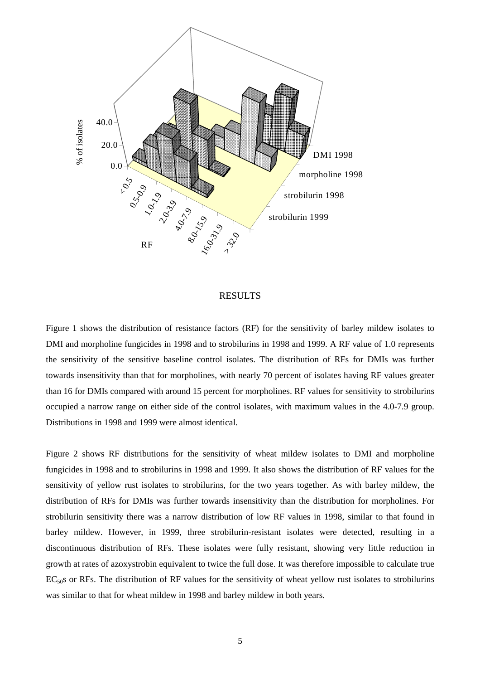<span id="page-8-0"></span>

### **RESULTS**

Figure 1 shows the distribution of resistance factors (RF) for the sensitivity of barley mildew isolates to DMI and morpholine fungicides in 1998 and to strobilurins in 1998 and 1999. A RF value of 1.0 represents the sensitivity of the sensitive baseline control isolates. The distribution of RFs for DMIs was further towards insensitivity than that for morpholines, with nearly 70 percent of isolates having RF values greater than 16 for DMIs compared with around 15 percent for morpholines. RF values for sensitivity to strobilurins occupied a narrow range on either side of the control isolates, with maximum values in the 4.0-7.9 group. Distributions in 1998 and 1999 were almost identical.

Figure 2 shows RF distributions for the sensitivity of wheat mildew isolates to DMI and morpholine fungicides in 1998 and to strobilurins in 1998 and 1999. It also shows the distribution of RF values for the sensitivity of yellow rust isolates to strobilurins, for the two years together. As with barley mildew, the distribution of RFs for DMIs was further towards insensitivity than the distribution for morpholines. For strobilurin sensitivity there was a narrow distribution of low RF values in 1998, similar to that found in barley mildew. However, in 1999, three strobilurin-resistant isolates were detected, resulting in a discontinuous distribution of RFs. These isolates were fully resistant, showing very little reduction in growth at rates of azoxystrobin equivalent to twice the full dose. It was therefore impossible to calculate true EC<sub>50</sub>s or RFs. The distribution of RF values for the sensitivity of wheat yellow rust isolates to strobilurins was similar to that for wheat mildew in 1998 and barley mildew in both years.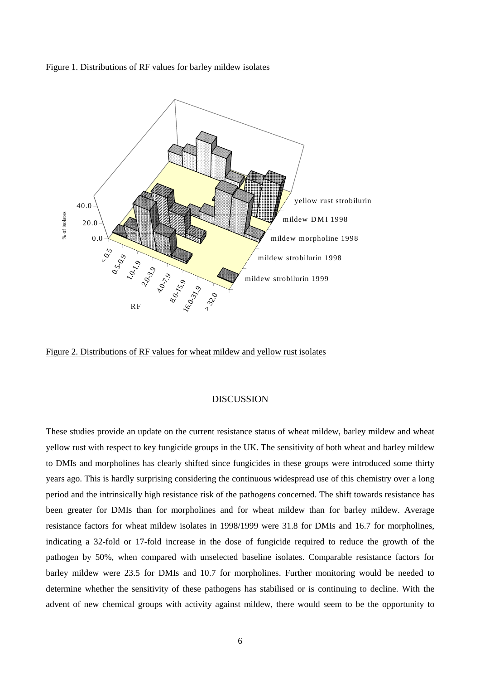<span id="page-9-0"></span>



Figure 2. Distributions of RF values for wheat mildew and yellow rust isolates

### DISCUSSION

These studies provide an update on the current resistance status of wheat mildew, barley mildew and wheat yellow rust with respect to key fungicide groups in the UK. The sensitivity of both wheat and barley mildew to DMIs and morpholines has clearly shifted since fungicides in these groups were introduced some thirty years ago. This is hardly surprising considering the continuous widespread use of this chemistry over a long period and the intrinsically high resistance risk of the pathogens concerned. The shift towards resistance has been greater for DMIs than for morpholines and for wheat mildew than for barley mildew. Average resistance factors for wheat mildew isolates in 1998/1999 were 31.8 for DMIs and 16.7 for morpholines, indicating a 32-fold or 17-fold increase in the dose of fungicide required to reduce the growth of the pathogen by 50%, when compared with unselected baseline isolates. Comparable resistance factors for barley mildew were 23.5 for DMIs and 10.7 for morpholines. Further monitoring would be needed to determine whether the sensitivity of these pathogens has stabilised or is continuing to decline. With the advent of new chemical groups with activity against mildew, there would seem to be the opportunity to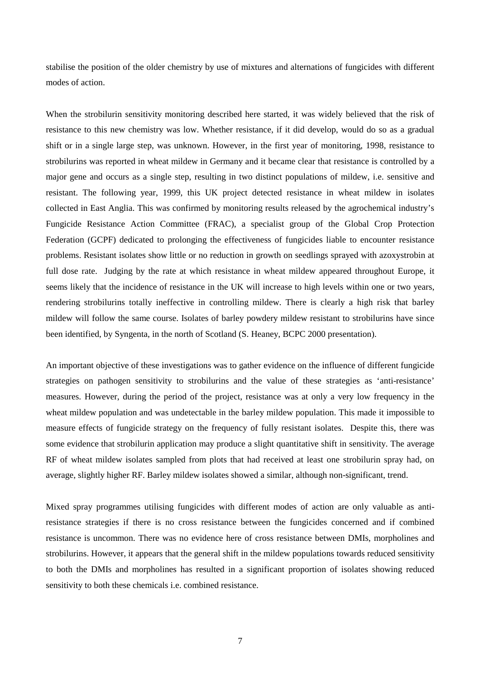stabilise the position of the older chemistry by use of mixtures and alternations of fungicides with different modes of action.

When the strobilurin sensitivity monitoring described here started, it was widely believed that the risk of resistance to this new chemistry was low. Whether resistance, if it did develop, would do so as a gradual shift or in a single large step, was unknown. However, in the first year of monitoring, 1998, resistance to strobilurins was reported in wheat mildew in Germany and it became clear that resistance is controlled by a major gene and occurs as a single step, resulting in two distinct populations of mildew, i.e. sensitive and resistant. The following year, 1999, this UK project detected resistance in wheat mildew in isolates collected in East Anglia. This was confirmed by monitoring results released by the agrochemical industry's Fungicide Resistance Action Committee (FRAC), a specialist group of the Global Crop Protection Federation (GCPF) dedicated to prolonging the effectiveness of fungicides liable to encounter resistance problems. Resistant isolates show little or no reduction in growth on seedlings sprayed with azoxystrobin at full dose rate. Judging by the rate at which resistance in wheat mildew appeared throughout Europe, it seems likely that the incidence of resistance in the UK will increase to high levels within one or two years, rendering strobilurins totally ineffective in controlling mildew. There is clearly a high risk that barley mildew will follow the same course. Isolates of barley powdery mildew resistant to strobilurins have since been identified, by Syngenta, in the north of Scotland (S. Heaney, BCPC 2000 presentation).

An important objective of these investigations was to gather evidence on the influence of different fungicide strategies on pathogen sensitivity to strobilurins and the value of these strategies as 'anti-resistance' measures. However, during the period of the project, resistance was at only a very low frequency in the wheat mildew population and was undetectable in the barley mildew population. This made it impossible to measure effects of fungicide strategy on the frequency of fully resistant isolates. Despite this, there was some evidence that strobilurin application may produce a slight quantitative shift in sensitivity. The average RF of wheat mildew isolates sampled from plots that had received at least one strobilurin spray had, on average, slightly higher RF. Barley mildew isolates showed a similar, although non-significant, trend.

Mixed spray programmes utilising fungicides with different modes of action are only valuable as antiresistance strategies if there is no cross resistance between the fungicides concerned and if combined resistance is uncommon. There was no evidence here of cross resistance between DMIs, morpholines and strobilurins. However, it appears that the general shift in the mildew populations towards reduced sensitivity to both the DMIs and morpholines has resulted in a significant proportion of isolates showing reduced sensitivity to both these chemicals i.e. combined resistance.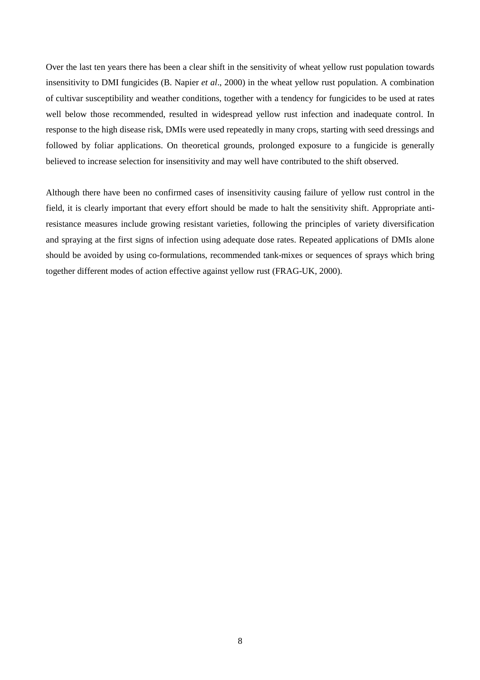Over the last ten years there has been a clear shift in the sensitivity of wheat yellow rust population towards insensitivity to DMI fungicides (B. Napier *et al*., 2000) in the wheat yellow rust population. A combination of cultivar susceptibility and weather conditions, together with a tendency for fungicides to be used at rates well below those recommended, resulted in widespread yellow rust infection and inadequate control. In response to the high disease risk, DMIs were used repeatedly in many crops, starting with seed dressings and followed by foliar applications. On theoretical grounds, prolonged exposure to a fungicide is generally believed to increase selection for insensitivity and may well have contributed to the shift observed.

Although there have been no confirmed cases of insensitivity causing failure of yellow rust control in the field, it is clearly important that every effort should be made to halt the sensitivity shift. Appropriate antiresistance measures include growing resistant varieties, following the principles of variety diversification and spraying at the first signs of infection using adequate dose rates. Repeated applications of DMIs alone should be avoided by using co-formulations, recommended tank-mixes or sequences of sprays which bring together different modes of action effective against yellow rust (FRAG-UK, 2000).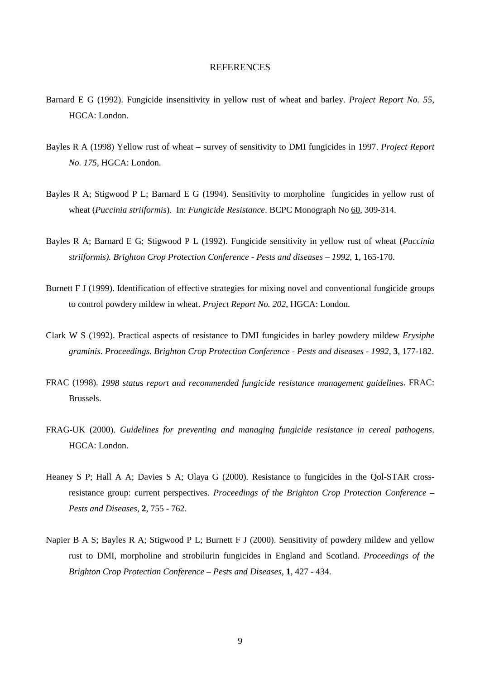### **REFERENCES**

- <span id="page-12-0"></span>Barnard E G (1992). Fungicide insensitivity in yellow rust of wheat and barley. *Project Report No. 55*, HGCA: London.
- Bayles R A (1998) Yellow rust of wheat survey of sensitivity to DMI fungicides in 1997. *Project Report No. 175*, HGCA: London.
- Bayles R A; Stigwood P L; Barnard E G (1994). Sensitivity to morpholine fungicides in yellow rust of wheat (*Puccinia striiformis*). In: *Fungicide Resistance*. BCPC Monograph No 60, 309-314.
- Bayles R A; Barnard E G; Stigwood P L (1992). Fungicide sensitivity in yellow rust of wheat (*Puccinia striiformis). Brighton Crop Protection Conference - Pests and diseases – 1992*, **1**, 165-170.
- Burnett F J (1999). Identification of effective strategies for mixing novel and conventional fungicide groups to control powdery mildew in wheat. *Project Report No. 202*, HGCA: London.
- Clark W S (1992). Practical aspects of resistance to DMI fungicides in barley powdery mildew *Erysiphe graminis*. *Proceedings. Brighton Crop Protection Conference - Pests and diseases - 1992*, **3**, 177-182.
- FRAC (1998). *1998 status report and recommended fungicide resistance management guidelines*. FRAC: Brussels.
- FRAG-UK (2000). *Guidelines for preventing and managing fungicide resistance in cereal pathogens*. HGCA: London.
- Heaney S P; Hall A A; Davies S A; Olaya G (2000). Resistance to fungicides in the Qol-STAR crossresistance group: current perspectives. *Proceedings of the Brighton Crop Protection Conference – Pests and Diseases*, **2**, 755 - 762.
- Napier B A S; Bayles R A; Stigwood P L; Burnett F J (2000). Sensitivity of powdery mildew and yellow rust to DMI, morpholine and strobilurin fungicides in England and Scotland. *Proceedings of the Brighton Crop Protection Conference – Pests and Diseases*, **1**, 427 - 434.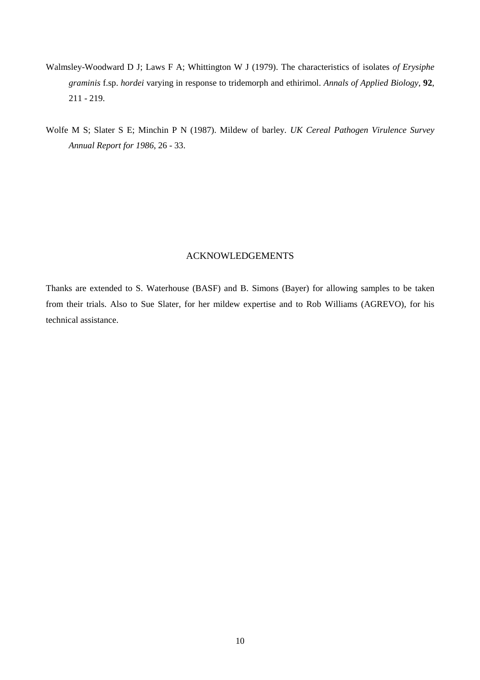- <span id="page-13-0"></span>Walmsley-Woodward D J; Laws F A; Whittington W J (1979). The characteristics of isolates *of Erysiphe graminis* f.sp. *hordei* varying in response to tridemorph and ethirimol. *Annals of Applied Biology*, **92**, 211 - 219.
- Wolfe M S; Slater S E; Minchin P N (1987). Mildew of barley. *UK Cereal Pathogen Virulence Survey Annual Report for 1986*, 26 - 33.

### ACKNOWLEDGEMENTS

Thanks are extended to S. Waterhouse (BASF) and B. Simons (Bayer) for allowing samples to be taken from their trials. Also to Sue Slater, for her mildew expertise and to Rob Williams (AGREVO), for his technical assistance.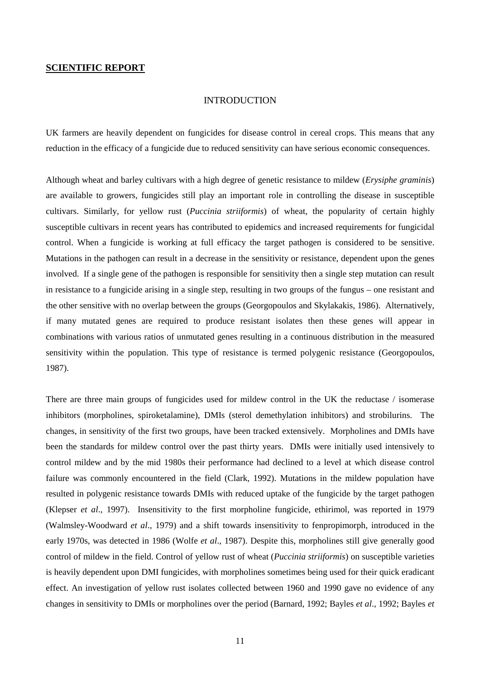#### INTRODUCTION

<span id="page-14-0"></span>UK farmers are heavily dependent on fungicides for disease control in cereal crops. This means that any reduction in the efficacy of a fungicide due to reduced sensitivity can have serious economic consequences.

Although wheat and barley cultivars with a high degree of genetic resistance to mildew (*Erysiphe graminis*) are available to growers, fungicides still play an important role in controlling the disease in susceptible cultivars. Similarly, for yellow rust (*Puccinia striiformis*) of wheat, the popularity of certain highly susceptible cultivars in recent years has contributed to epidemics and increased requirements for fungicidal control. When a fungicide is working at full efficacy the target pathogen is considered to be sensitive. Mutations in the pathogen can result in a decrease in the sensitivity or resistance, dependent upon the genes involved. If a single gene of the pathogen is responsible for sensitivity then a single step mutation can result in resistance to a fungicide arising in a single step, resulting in two groups of the fungus – one resistant and the other sensitive with no overlap between the groups (Georgopoulos and Skylakakis, 1986). Alternatively, if many mutated genes are required to produce resistant isolates then these genes will appear in combinations with various ratios of unmutated genes resulting in a continuous distribution in the measured sensitivity within the population. This type of resistance is termed polygenic resistance (Georgopoulos, 1987).

There are three main groups of fungicides used for mildew control in the UK the reductase / isomerase inhibitors (morpholines, spiroketalamine), DMIs (sterol demethylation inhibitors) and strobilurins. The changes, in sensitivity of the first two groups, have been tracked extensively. Morpholines and DMIs have been the standards for mildew control over the past thirty years. DMIs were initially used intensively to control mildew and by the mid 1980s their performance had declined to a level at which disease control failure was commonly encountered in the field (Clark, 1992). Mutations in the mildew population have resulted in polygenic resistance towards DMIs with reduced uptake of the fungicide by the target pathogen (Klepser *et al*., 1997). Insensitivity to the first morpholine fungicide, ethirimol, was reported in 1979 (Walmsley-Woodward *et al*., 1979) and a shift towards insensitivity to fenpropimorph, introduced in the early 1970s, was detected in 1986 (Wolfe *et al*., 1987). Despite this, morpholines still give generally good control of mildew in the field. Control of yellow rust of wheat (*Puccinia striiformis*) on susceptible varieties is heavily dependent upon DMI fungicides, with morpholines sometimes being used for their quick eradicant effect. An investigation of yellow rust isolates collected between 1960 and 1990 gave no evidence of any changes in sensitivity to DMIs or morpholines over the period (Barnard, 1992; Bayles *et al*., 1992; Bayles *et*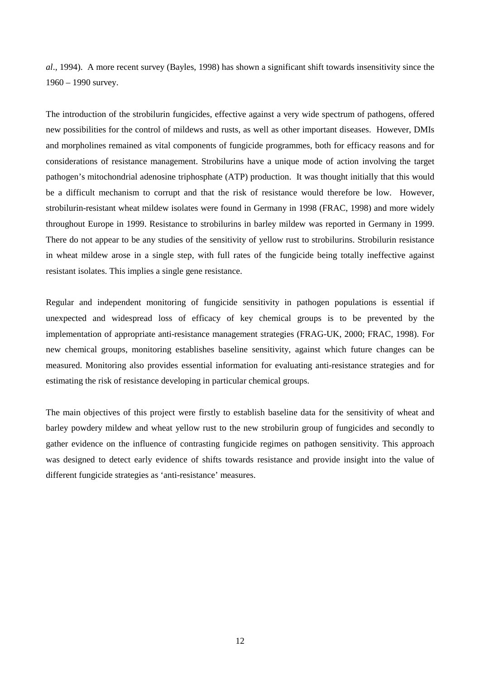*al*., 1994). A more recent survey (Bayles, 1998) has shown a significant shift towards insensitivity since the 1960 – 1990 survey.

The introduction of the strobilurin fungicides, effective against a very wide spectrum of pathogens, offered new possibilities for the control of mildews and rusts, as well as other important diseases. However, DMIs and morpholines remained as vital components of fungicide programmes, both for efficacy reasons and for considerations of resistance management. Strobilurins have a unique mode of action involving the target pathogen's mitochondrial adenosine triphosphate (ATP) production. It was thought initially that this would be a difficult mechanism to corrupt and that the risk of resistance would therefore be low. However, strobilurin-resistant wheat mildew isolates were found in Germany in 1998 (FRAC, 1998) and more widely throughout Europe in 1999. Resistance to strobilurins in barley mildew was reported in Germany in 1999. There do not appear to be any studies of the sensitivity of yellow rust to strobilurins. Strobilurin resistance in wheat mildew arose in a single step, with full rates of the fungicide being totally ineffective against resistant isolates. This implies a single gene resistance.

Regular and independent monitoring of fungicide sensitivity in pathogen populations is essential if unexpected and widespread loss of efficacy of key chemical groups is to be prevented by the implementation of appropriate anti-resistance management strategies (FRAG-UK, 2000; FRAC, 1998). For new chemical groups, monitoring establishes baseline sensitivity, against which future changes can be measured. Monitoring also provides essential information for evaluating anti-resistance strategies and for estimating the risk of resistance developing in particular chemical groups.

The main objectives of this project were firstly to establish baseline data for the sensitivity of wheat and barley powdery mildew and wheat yellow rust to the new strobilurin group of fungicides and secondly to gather evidence on the influence of contrasting fungicide regimes on pathogen sensitivity. This approach was designed to detect early evidence of shifts towards resistance and provide insight into the value of different fungicide strategies as 'anti-resistance' measures.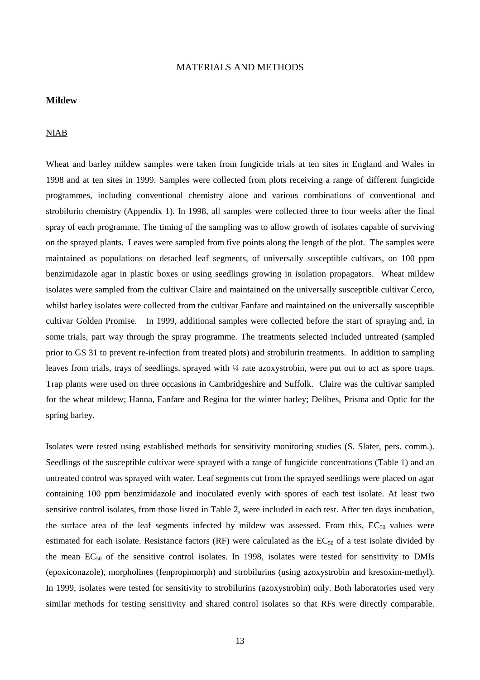#### MATERIALS AND METHODS

### <span id="page-16-0"></span>**Mildew**

### NIAB

Wheat and barley mildew samples were taken from fungicide trials at ten sites in England and Wales in 1998 and at ten sites in 1999. Samples were collected from plots receiving a range of different fungicide programmes, including conventional chemistry alone and various combinations of conventional and strobilurin chemistry (Appendix 1). In 1998, all samples were collected three to four weeks after the final spray of each programme. The timing of the sampling was to allow growth of isolates capable of surviving on the sprayed plants. Leaves were sampled from five points along the length of the plot. The samples were maintained as populations on detached leaf segments, of universally susceptible cultivars, on 100 ppm benzimidazole agar in plastic boxes or using seedlings growing in isolation propagators. Wheat mildew isolates were sampled from the cultivar Claire and maintained on the universally susceptible cultivar Cerco, whilst barley isolates were collected from the cultivar Fanfare and maintained on the universally susceptible cultivar Golden Promise. In 1999, additional samples were collected before the start of spraying and, in some trials, part way through the spray programme. The treatments selected included untreated (sampled prior to GS 31 to prevent re-infection from treated plots) and strobilurin treatments. In addition to sampling leaves from trials, trays of seedlings, sprayed with  $\frac{1}{4}$  rate azoxystrobin, were put out to act as spore traps. Trap plants were used on three occasions in Cambridgeshire and Suffolk. Claire was the cultivar sampled for the wheat mildew; Hanna, Fanfare and Regina for the winter barley; Delibes, Prisma and Optic for the spring barley.

Isolates were tested using established methods for sensitivity monitoring studies (S. Slater, pers. comm.). Seedlings of the susceptible cultivar were sprayed with a range of fungicide concentrations (Table 1) and an untreated control was sprayed with water. Leaf segments cut from the sprayed seedlings were placed on agar containing 100 ppm benzimidazole and inoculated evenly with spores of each test isolate. At least two sensitive control isolates, from those listed in Table 2, were included in each test. After ten days incubation, the surface area of the leaf segments infected by mildew was assessed. From this,  $EC_{50}$  values were estimated for each isolate. Resistance factors (RF) were calculated as the  $EC_{50}$  of a test isolate divided by the mean  $EC_{50}$  of the sensitive control isolates. In 1998, isolates were tested for sensitivity to DMIs (epoxiconazole), morpholines (fenpropimorph) and strobilurins (using azoxystrobin and kresoxim-methyl). In 1999, isolates were tested for sensitivity to strobilurins (azoxystrobin) only. Both laboratories used very similar methods for testing sensitivity and shared control isolates so that RFs were directly comparable.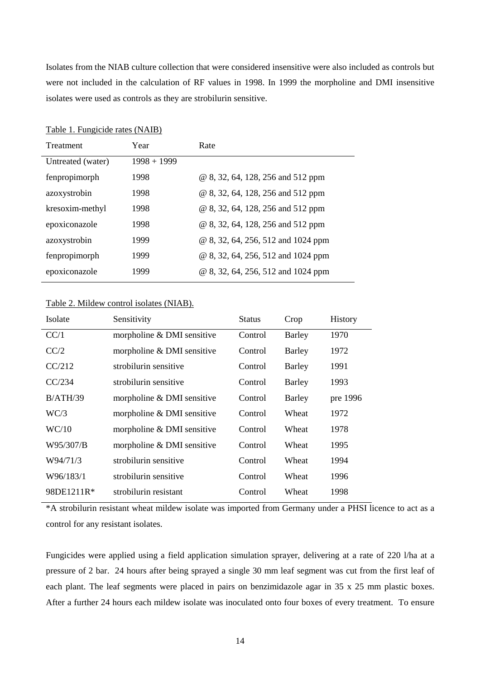<span id="page-17-0"></span>Isolates from the NIAB culture collection that were considered insensitive were also included as controls but were not included in the calculation of RF values in 1998. In 1999 the morpholine and DMI insensitive isolates were used as controls as they are strobilurin sensitive.

| Treatment         | Year          | Rate                               |
|-------------------|---------------|------------------------------------|
| Untreated (water) | $1998 + 1999$ |                                    |
| fenpropimorph     | 1998          | @ 8, 32, 64, 128, 256 and 512 ppm  |
| azoxystrobin      | 1998          | @ 8, 32, 64, 128, 256 and 512 ppm  |
| kresoxim-methyl   | 1998          | @ 8, 32, 64, 128, 256 and 512 ppm  |
| epoxiconazole     | 1998          | @ 8, 32, 64, 128, 256 and 512 ppm  |
| azoxystrobin      | 1999          | @ 8, 32, 64, 256, 512 and 1024 ppm |
| fenpropimorph     | 1999          | @ 8, 32, 64, 256, 512 and 1024 ppm |
| epoxiconazole     | 1999          | @ 8, 32, 64, 256, 512 and 1024 ppm |

### Table 1. Fungicide rates (NAIB)

### Table 2. Mildew control isolates (NIAB).

| Isolate    | Sensitivity                | Status  | Crop          | History  |
|------------|----------------------------|---------|---------------|----------|
| CC/1       | morpholine & DMI sensitive | Control | Barley        | 1970     |
| CC/2       | morpholine & DMI sensitive | Control | <b>Barley</b> | 1972     |
| CC/212     | strobilurin sensitive      | Control | Barley        | 1991     |
| CC/234     | strobilurin sensitive      | Control | Barley        | 1993     |
| B/ATH/39   | morpholine & DMI sensitive | Control | Barley        | pre 1996 |
| WC/3       | morpholine & DMI sensitive | Control | Wheat         | 1972     |
| WC/10      | morpholine & DMI sensitive | Control | Wheat         | 1978     |
| W95/307/B  | morpholine & DMI sensitive | Control | Wheat         | 1995     |
| W94/71/3   | strobilurin sensitive      | Control | Wheat         | 1994     |
| W96/183/1  | strobilurin sensitive      | Control | Wheat         | 1996     |
| 98DE1211R* | strobilurin resistant      | Control | Wheat         | 1998     |
|            |                            |         |               |          |

\*A strobilurin resistant wheat mildew isolate was imported from Germany under a PHSI licence to act as a control for any resistant isolates.

Fungicides were applied using a field application simulation sprayer, delivering at a rate of 220 l/ha at a pressure of 2 bar. 24 hours after being sprayed a single 30 mm leaf segment was cut from the first leaf of each plant. The leaf segments were placed in pairs on benzimidazole agar in 35 x 25 mm plastic boxes. After a further 24 hours each mildew isolate was inoculated onto four boxes of every treatment. To ensure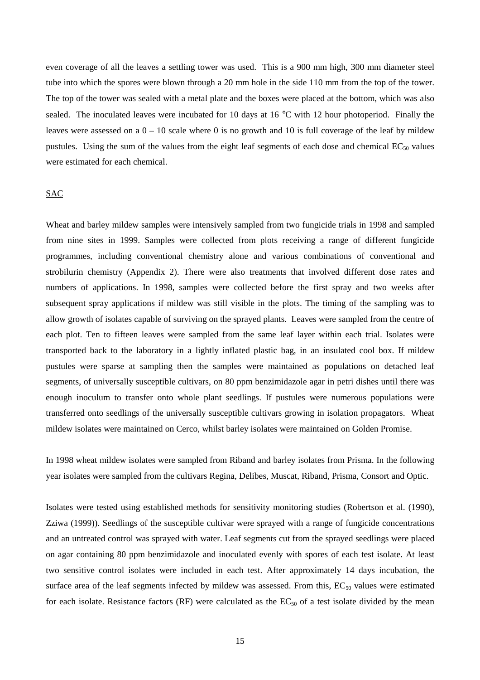<span id="page-18-0"></span>even coverage of all the leaves a settling tower was used. This is a 900 mm high, 300 mm diameter steel tube into which the spores were blown through a 20 mm hole in the side 110 mm from the top of the tower. The top of the tower was sealed with a metal plate and the boxes were placed at the bottom, which was also sealed. The inoculated leaves were incubated for 10 days at 16 °C with 12 hour photoperiod. Finally the leaves were assessed on a  $0 - 10$  scale where 0 is no growth and 10 is full coverage of the leaf by mildew pustules. Using the sum of the values from the eight leaf segments of each dose and chemical  $EC_{50}$  values were estimated for each chemical.

### SAC

Wheat and barley mildew samples were intensively sampled from two fungicide trials in 1998 and sampled from nine sites in 1999. Samples were collected from plots receiving a range of different fungicide programmes, including conventional chemistry alone and various combinations of conventional and strobilurin chemistry (Appendix 2). There were also treatments that involved different dose rates and numbers of applications. In 1998, samples were collected before the first spray and two weeks after subsequent spray applications if mildew was still visible in the plots. The timing of the sampling was to allow growth of isolates capable of surviving on the sprayed plants. Leaves were sampled from the centre of each plot. Ten to fifteen leaves were sampled from the same leaf layer within each trial. Isolates were transported back to the laboratory in a lightly inflated plastic bag, in an insulated cool box. If mildew pustules were sparse at sampling then the samples were maintained as populations on detached leaf segments, of universally susceptible cultivars, on 80 ppm benzimidazole agar in petri dishes until there was enough inoculum to transfer onto whole plant seedlings. If pustules were numerous populations were transferred onto seedlings of the universally susceptible cultivars growing in isolation propagators. Wheat mildew isolates were maintained on Cerco, whilst barley isolates were maintained on Golden Promise.

In 1998 wheat mildew isolates were sampled from Riband and barley isolates from Prisma. In the following year isolates were sampled from the cultivars Regina, Delibes, Muscat, Riband, Prisma, Consort and Optic.

Isolates were tested using established methods for sensitivity monitoring studies (Robertson et al. (1990), Zziwa (1999)). Seedlings of the susceptible cultivar were sprayed with a range of fungicide concentrations and an untreated control was sprayed with water. Leaf segments cut from the sprayed seedlings were placed on agar containing 80 ppm benzimidazole and inoculated evenly with spores of each test isolate. At least two sensitive control isolates were included in each test. After approximately 14 days incubation, the surface area of the leaf segments infected by mildew was assessed. From this,  $EC_{50}$  values were estimated for each isolate. Resistance factors (RF) were calculated as the  $EC_{50}$  of a test isolate divided by the mean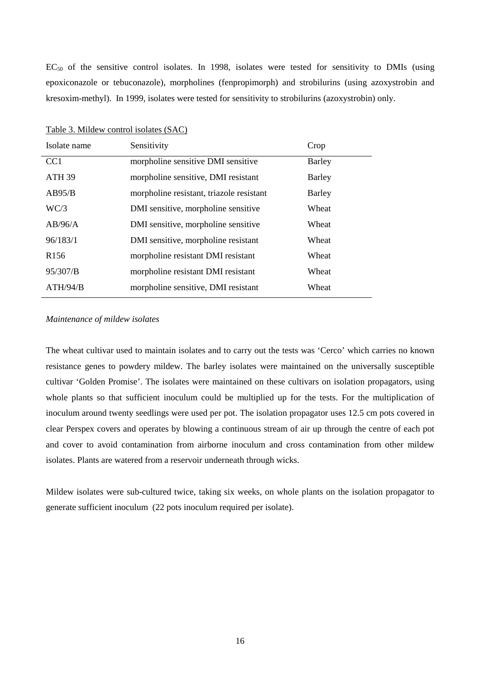<span id="page-19-0"></span> $EC_{50}$  of the sensitive control isolates. In 1998, isolates were tested for sensitivity to DMIs (using epoxiconazole or tebuconazole), morpholines (fenpropimorph) and strobilurins (using azoxystrobin and kresoxim-methyl). In 1999, isolates were tested for sensitivity to strobilurins (azoxystrobin) only.

| Isolate name      | Sensitivity                              | Crop          |
|-------------------|------------------------------------------|---------------|
| CC <sub>1</sub>   | morpholine sensitive DMI sensitive       | <b>Barley</b> |
| ATH <sub>39</sub> | morpholine sensitive, DMI resistant      | Barley        |
| AB95/B            | morpholine resistant, triazole resistant | Barley        |
| WC/3              | DMI sensitive, morpholine sensitive      | Wheat         |
| AB/96/A           | DMI sensitive, morpholine sensitive      | Wheat         |
| 96/183/1          | DMI sensitive, morpholine resistant      | Wheat         |
| R <sub>156</sub>  | morpholine resistant DMI resistant       | Wheat         |
| 95/307/B          | morpholine resistant DMI resistant       | Wheat         |
| ATH/94/B          | morpholine sensitive, DMI resistant      | Wheat         |

Table 3. Mildew control isolates (SAC)

#### *Maintenance of mildew isolates*

The wheat cultivar used to maintain isolates and to carry out the tests was 'Cerco' which carries no known resistance genes to powdery mildew. The barley isolates were maintained on the universally susceptible cultivar 'Golden Promise'. The isolates were maintained on these cultivars on isolation propagators, using whole plants so that sufficient inoculum could be multiplied up for the tests. For the multiplication of inoculum around twenty seedlings were used per pot. The isolation propagator uses 12.5 cm pots covered in clear Perspex covers and operates by blowing a continuous stream of air up through the centre of each pot and cover to avoid contamination from airborne inoculum and cross contamination from other mildew isolates. Plants are watered from a reservoir underneath through wicks.

Mildew isolates were sub-cultured twice, taking six weeks, on whole plants on the isolation propagator to generate sufficient inoculum (22 pots inoculum required per isolate).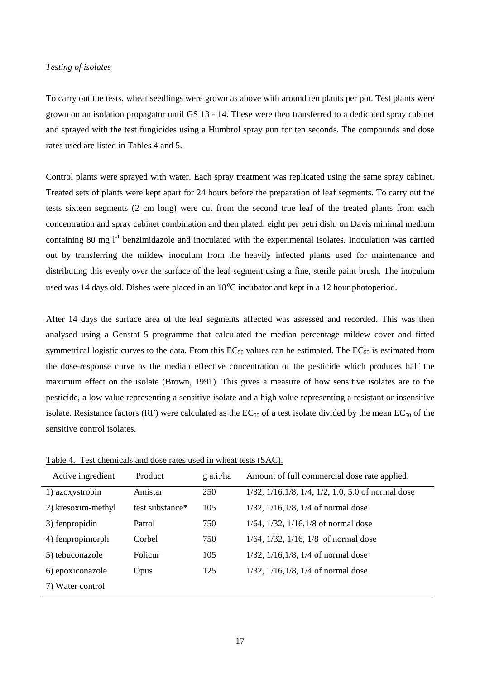#### <span id="page-20-0"></span>*Testing of isolates*

To carry out the tests, wheat seedlings were grown as above with around ten plants per pot. Test plants were grown on an isolation propagator until GS 13 - 14. These were then transferred to a dedicated spray cabinet and sprayed with the test fungicides using a Humbrol spray gun for ten seconds. The compounds and dose rates used are listed in Tables 4 and 5.

Control plants were sprayed with water. Each spray treatment was replicated using the same spray cabinet. Treated sets of plants were kept apart for 24 hours before the preparation of leaf segments. To carry out the tests sixteen segments (2 cm long) were cut from the second true leaf of the treated plants from each concentration and spray cabinet combination and then plated, eight per petri dish, on Davis minimal medium containing 80 mg  $l^{-1}$  benzimidazole and inoculated with the experimental isolates. Inoculation was carried out by transferring the mildew inoculum from the heavily infected plants used for maintenance and distributing this evenly over the surface of the leaf segment using a fine, sterile paint brush. The inoculum used was 14 days old. Dishes were placed in an 18°C incubator and kept in a 12 hour photoperiod.

After 14 days the surface area of the leaf segments affected was assessed and recorded. This was then analysed using a Genstat 5 programme that calculated the median percentage mildew cover and fitted symmetrical logistic curves to the data. From this  $EC_{50}$  values can be estimated. The  $EC_{50}$  is estimated from the dose-response curve as the median effective concentration of the pesticide which produces half the maximum effect on the isolate (Brown, 1991). This gives a measure of how sensitive isolates are to the pesticide, a low value representing a sensitive isolate and a high value representing a resistant or insensitive isolate. Resistance factors (RF) were calculated as the  $EC_{50}$  of a test isolate divided by the mean  $EC_{50}$  of the sensitive control isolates.

| Active ingredient  | Product         | g a.i./ha | Amount of full commercial dose rate applied.                           |
|--------------------|-----------------|-----------|------------------------------------------------------------------------|
| 1) azoxystrobin    | Amistar         | 250       | $1/32$ , $1/16$ , $1/8$ , $1/4$ , $1/2$ , $1.0$ , $5.0$ of normal dose |
| 2) kresoxim-methyl | test substance* | 105       | $1/32$ , $1/16$ , $1/8$ , $1/4$ of normal dose                         |
| 3) fenpropidin     | Patrol          | 750       | $1/64$ , $1/32$ , $1/16$ , $1/8$ of normal dose                        |
| 4) fenpropimorph   | Corbel          | 750       | $1/64$ , $1/32$ , $1/16$ , $1/8$ of normal dose                        |
| 5) tebuconazole    | Folicur         | 105       | $1/32$ , $1/16$ , $1/8$ , $1/4$ of normal dose                         |
| 6) epoxiconazole   | Opus            | 125       | $1/32$ , $1/16$ , $1/8$ , $1/4$ of normal dose                         |
| 7) Water control   |                 |           |                                                                        |

Table 4. Test chemicals and dose rates used in wheat tests (SAC).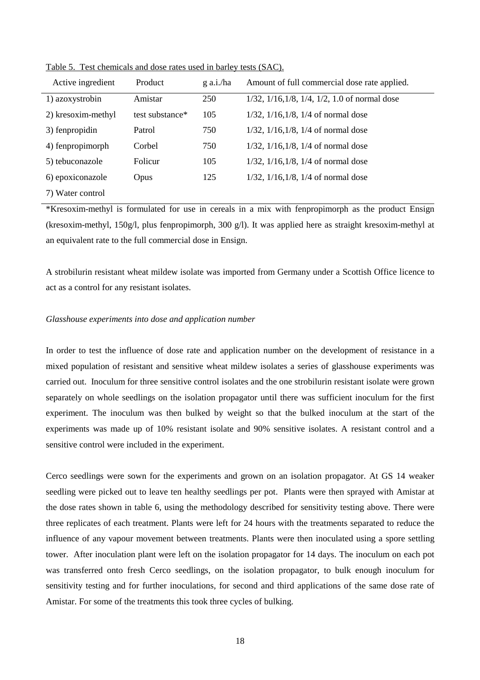| Active ingredient  | Product         | $g$ a.i./ha | Amount of full commercial dose rate applied.                   |
|--------------------|-----------------|-------------|----------------------------------------------------------------|
| 1) azoxystrobin    | Amistar         | 250         | $1/32$ , $1/16$ , $1/8$ , $1/4$ , $1/2$ , $1.0$ of normal dose |
| 2) kresoxim-methyl | test substance* | 105         | $1/32$ , $1/16$ , $1/8$ , $1/4$ of normal dose                 |
| 3) fenpropidin     | Patrol          | 750         | $1/32$ , $1/16$ , $1/8$ , $1/4$ of normal dose                 |
| 4) fenpropimorph   | Corbel          | 750         | $1/32$ , $1/16$ , $1/8$ , $1/4$ of normal dose                 |
| 5) tebuconazole    | Folicur         | 105         | $1/32$ , $1/16$ , $1/8$ , $1/4$ of normal dose                 |
| 6) epoxiconazole   | <b>Opus</b>     | 125         | $1/32$ , $1/16$ , $1/8$ , $1/4$ of normal dose                 |
| 7) Water control   |                 |             |                                                                |

<span id="page-21-0"></span>Table 5. Test chemicals and dose rates used in barley tests (SAC).

\*Kresoxim-methyl is formulated for use in cereals in a mix with fenpropimorph as the product Ensign (kresoxim-methyl, 150g/l, plus fenpropimorph, 300 g/l). It was applied here as straight kresoxim-methyl at an equivalent rate to the full commercial dose in Ensign.

A strobilurin resistant wheat mildew isolate was imported from Germany under a Scottish Office licence to act as a control for any resistant isolates.

#### *Glasshouse experiments into dose and application number*

In order to test the influence of dose rate and application number on the development of resistance in a mixed population of resistant and sensitive wheat mildew isolates a series of glasshouse experiments was carried out. Inoculum for three sensitive control isolates and the one strobilurin resistant isolate were grown separately on whole seedlings on the isolation propagator until there was sufficient inoculum for the first experiment. The inoculum was then bulked by weight so that the bulked inoculum at the start of the experiments was made up of 10% resistant isolate and 90% sensitive isolates. A resistant control and a sensitive control were included in the experiment.

Cerco seedlings were sown for the experiments and grown on an isolation propagator. At GS 14 weaker seedling were picked out to leave ten healthy seedlings per pot. Plants were then sprayed with Amistar at the dose rates shown in table 6, using the methodology described for sensitivity testing above. There were three replicates of each treatment. Plants were left for 24 hours with the treatments separated to reduce the influence of any vapour movement between treatments. Plants were then inoculated using a spore settling tower. After inoculation plant were left on the isolation propagator for 14 days. The inoculum on each pot was transferred onto fresh Cerco seedlings, on the isolation propagator, to bulk enough inoculum for sensitivity testing and for further inoculations, for second and third applications of the same dose rate of Amistar. For some of the treatments this took three cycles of bulking.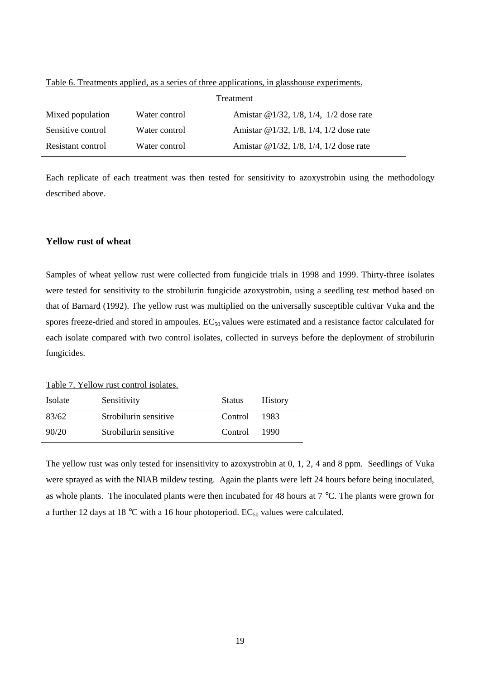| Treatment         |               |                                                    |  |
|-------------------|---------------|----------------------------------------------------|--|
| Mixed population  | Water control | Amistar @ $1/32$ , $1/8$ , $1/4$ , $1/2$ dose rate |  |
| Sensitive control | Water control | Amistar @ $1/32$ , $1/8$ , $1/4$ , $1/2$ dose rate |  |
| Resistant control | Water control | Amistar @ $1/32$ , $1/8$ , $1/4$ , $1/2$ dose rate |  |

<span id="page-22-0"></span>Table 6. Treatments applied, as a series of three applications, in glasshouse experiments.

Each replicate of each treatment was then tested for sensitivity to azoxystrobin using the methodology described above.

### **Yellow rust of wheat**

Samples of wheat yellow rust were collected from fungicide trials in 1998 and 1999. Thirty-three isolates were tested for sensitivity to the strobilurin fungicide azoxystrobin, using a seedling test method based on that of Barnard (1992). The yellow rust was multiplied on the universally susceptible cultivar Vuka and the spores freeze-dried and stored in ampoules.  $EC_{50}$  values were estimated and a resistance factor calculated for each isolate compared with two control isolates, collected in surveys before the deployment of strobilurin fungicides.

Table 7. Yellow rust control isolates.

| Isolate | Sensitivity           | <b>Status</b> | <b>History</b> |
|---------|-----------------------|---------------|----------------|
| 83/62   | Strobilurin sensitive | Control       | 1983           |
| 90/20   | Strobilurin sensitive | Control       | 1990           |

The yellow rust was only tested for insensitivity to azoxystrobin at 0, 1, 2, 4 and 8 ppm. Seedlings of Vuka were sprayed as with the NIAB mildew testing. Again the plants were left 24 hours before being inoculated, as whole plants. The inoculated plants were then incubated for 48 hours at 7 °C. The plants were grown for a further 12 days at 18 °C with a 16 hour photoperiod.  $EC_{50}$  values were calculated.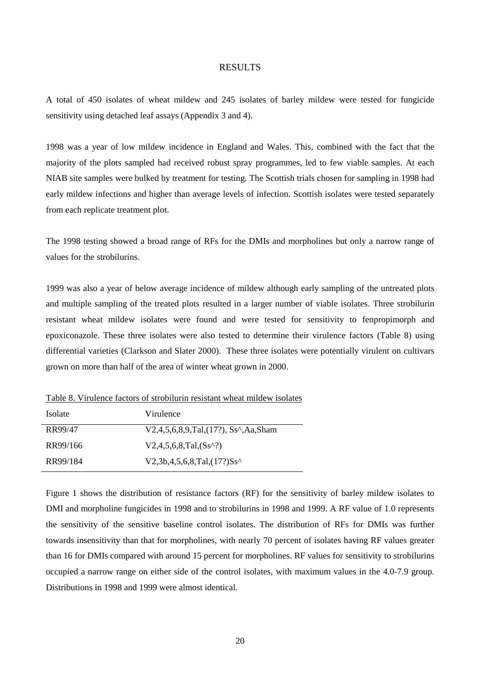#### RESULTS

<span id="page-23-0"></span>A total of 450 isolates of wheat mildew and 245 isolates of barley mildew were tested for fungicide sensitivity using detached leaf assays (Appendix 3 and 4).

1998 was a year of low mildew incidence in England and Wales. This, combined with the fact that the majority of the plots sampled had received robust spray programmes, led to few viable samples. At each NIAB site samples were bulked by treatment for testing. The Scottish trials chosen for sampling in 1998 had early mildew infections and higher than average levels of infection. Scottish isolates were tested separately from each replicate treatment plot.

The 1998 testing showed a broad range of RFs for the DMIs and morpholines but only a narrow range of values for the strobilurins.

1999 was also a year of below average incidence of mildew although early sampling of the untreated plots and multiple sampling of the treated plots resulted in a larger number of viable isolates. Three strobilurin resistant wheat mildew isolates were found and were tested for sensitivity to fenpropimorph and epoxiconazole. These three isolates were also tested to determine their virulence factors (Table 8) using differential varieties (Clarkson and Slater 2000). These three isolates were potentially virulent on cultivars grown on more than half of the area of winter wheat grown in 2000.

Table 8. Virulence factors of strobilurin resistant wheat mildew isolates

| <b>Isolate</b> | Virulence                                                                |
|----------------|--------------------------------------------------------------------------|
| RR99/47        | $V2,4,5,6,8,9, Tal,(17?)$ , Ss <sup><math>\wedge</math></sup> , Aa, Sham |
| RR99/166       | $V2,4,5,6,8, Tal,(Ss^2)$                                                 |
| RR99/184       | $V2,3b,4,5,6,8, Tal,(17?)Ss^{\wedge}$                                    |

Figure 1 shows the distribution of resistance factors (RF) for the sensitivity of barley mildew isolates to DMI and morpholine fungicides in 1998 and to strobilurins in 1998 and 1999. A RF value of 1.0 represents the sensitivity of the sensitive baseline control isolates. The distribution of RFs for DMIs was further towards insensitivity than that for morpholines, with nearly 70 percent of isolates having RF values greater than 16 for DMIs compared with around 15 percent for morpholines. RF values for sensitivity to strobilurins occupied a narrow range on either side of the control isolates, with maximum values in the 4.0-7.9 group. Distributions in 1998 and 1999 were almost identical.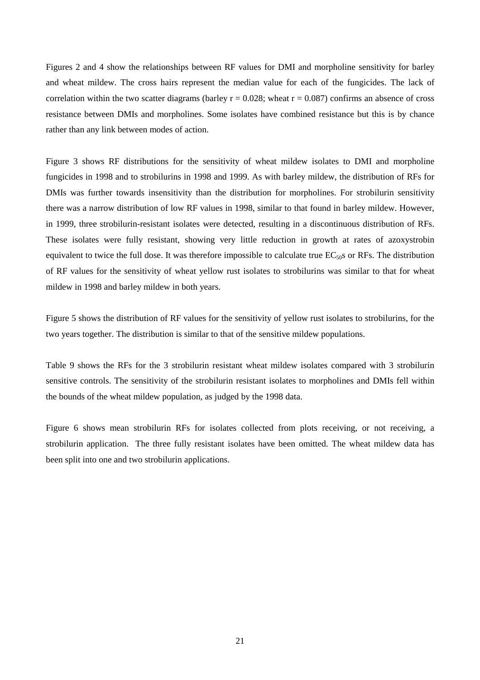Figures 2 and 4 show the relationships between RF values for DMI and morpholine sensitivity for barley and wheat mildew. The cross hairs represent the median value for each of the fungicides. The lack of correlation within the two scatter diagrams (barley  $r = 0.028$ ; wheat  $r = 0.087$ ) confirms an absence of cross resistance between DMIs and morpholines. Some isolates have combined resistance but this is by chance rather than any link between modes of action.

Figure 3 shows RF distributions for the sensitivity of wheat mildew isolates to DMI and morpholine fungicides in 1998 and to strobilurins in 1998 and 1999. As with barley mildew, the distribution of RFs for DMIs was further towards insensitivity than the distribution for morpholines. For strobilurin sensitivity there was a narrow distribution of low RF values in 1998, similar to that found in barley mildew. However, in 1999, three strobilurin-resistant isolates were detected, resulting in a discontinuous distribution of RFs. These isolates were fully resistant, showing very little reduction in growth at rates of azoxystrobin equivalent to twice the full dose. It was therefore impossible to calculate true  $EC_{50}$ s or RFs. The distribution of RF values for the sensitivity of wheat yellow rust isolates to strobilurins was similar to that for wheat mildew in 1998 and barley mildew in both years.

Figure 5 shows the distribution of RF values for the sensitivity of yellow rust isolates to strobilurins, for the two years together. The distribution is similar to that of the sensitive mildew populations.

Table 9 shows the RFs for the 3 strobilurin resistant wheat mildew isolates compared with 3 strobilurin sensitive controls. The sensitivity of the strobilurin resistant isolates to morpholines and DMIs fell within the bounds of the wheat mildew population, as judged by the 1998 data.

Figure 6 shows mean strobilurin RFs for isolates collected from plots receiving, or not receiving, a strobilurin application. The three fully resistant isolates have been omitted. The wheat mildew data has been split into one and two strobilurin applications.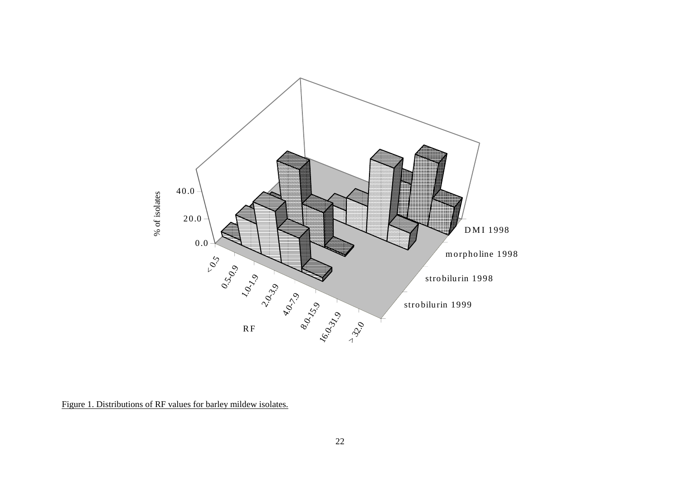<span id="page-25-0"></span>

Figure 1. Distributions of RF values for barley mildew isolates.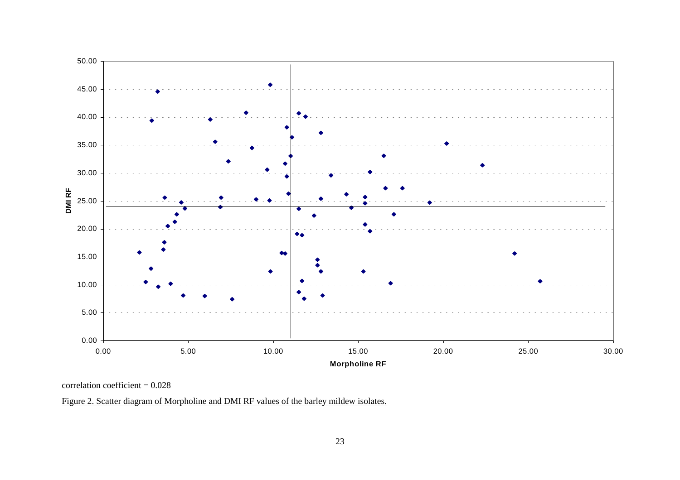<span id="page-26-0"></span>

correlation coefficient = 0.028

Figure 2. Scatter diagram of Morpholine and DMI RF values of the barley mildew isolates.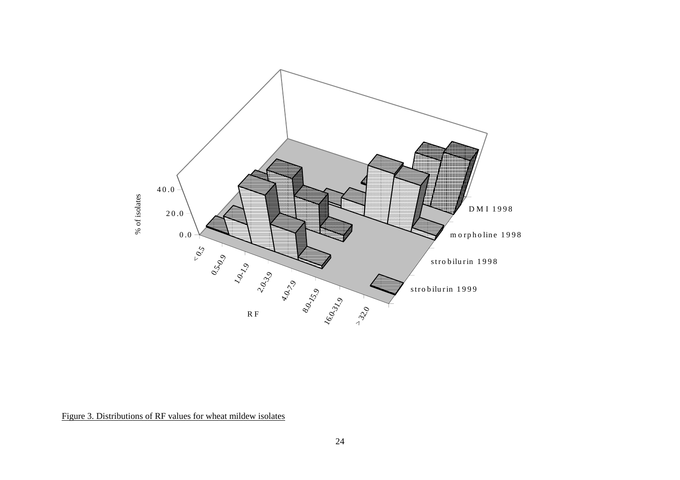<span id="page-27-0"></span>

Figure 3. Distributions of RF values for wheat mildew isolates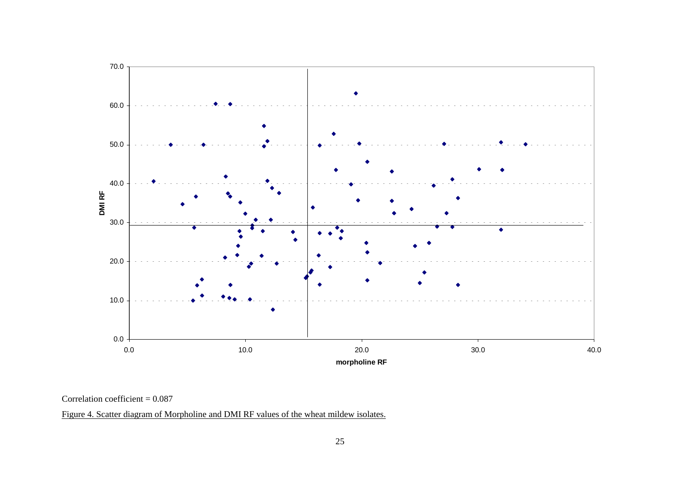<span id="page-28-0"></span>

#### Correlation coefficient = 0.087

Figure 4. Scatter diagram of Morpholine and DMI RF values of the wheat mildew isolates.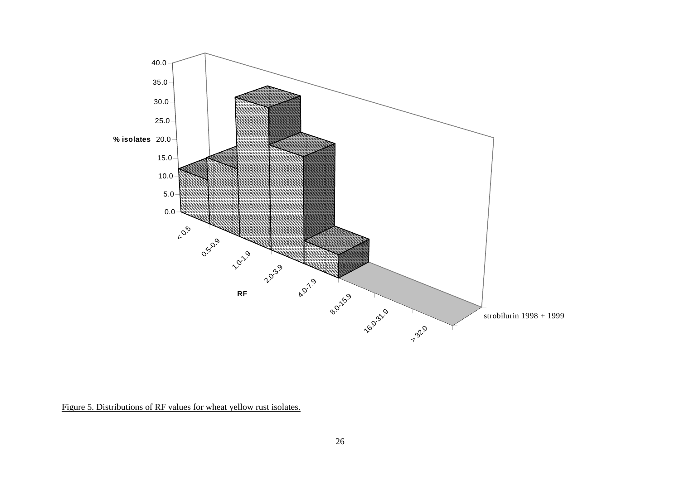<span id="page-29-0"></span>

Figure 5. Distributions of RF values for wheat yellow rust isolates.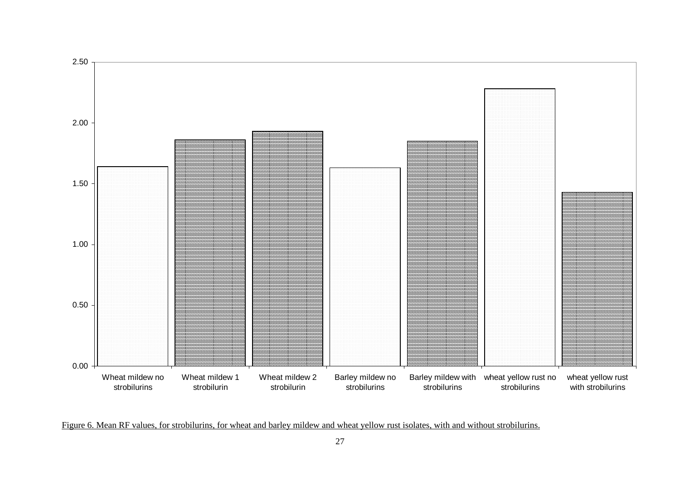<span id="page-30-0"></span>

Figure 6. Mean RF values, for strobilurins, for wheat and barley mildew and wheat yellow rust isolates, with and without strobilurins.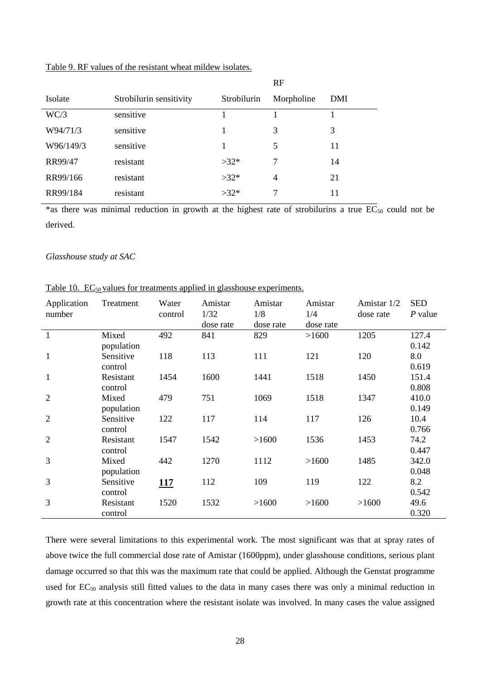|           |                         |             | RF         |     |
|-----------|-------------------------|-------------|------------|-----|
| Isolate   | Strobilurin sensitivity | Strobilurin | Morpholine | DMI |
| WC/3      | sensitive               |             |            |     |
| W94/71/3  | sensitive               |             | 3          | 3   |
| W96/149/3 | sensitive               |             | 5          | 11  |
| RR99/47   | resistant               | $>32*$      | 7          | 14  |
| RR99/166  | resistant               | $>32*$      | 4          | 21  |
| RR99/184  | resistant               | $>32*$      | 7          | 11  |

### <span id="page-31-0"></span>Table 9. RF values of the resistant wheat mildew isolates.

\*as there was minimal reduction in growth at the highest rate of strobilurins a true  $EC_{50}$  could not be derived.

#### *Glasshouse study at SAC*

| Application<br>number | Treatment            | Water<br>control | Amistar<br>1/32<br>dose rate | Amistar<br>1/8<br>dose rate | Amistar<br>1/4<br>dose rate | Amistar 1/2<br>dose rate | <b>SED</b><br>P value |
|-----------------------|----------------------|------------------|------------------------------|-----------------------------|-----------------------------|--------------------------|-----------------------|
| $\mathbf{1}$          | Mixed<br>population  | 492              | 841                          | 829                         | >1600                       | 1205                     | 127.4<br>0.142        |
| $\mathbf{1}$          | Sensitive<br>control | 118              | 113                          | 111                         | 121                         | 120                      | 8.0<br>0.619          |
| $\mathbf{1}$          | Resistant<br>control | 1454             | 1600                         | 1441                        | 1518                        | 1450                     | 151.4<br>0.808        |
| 2                     | Mixed<br>population  | 479              | 751                          | 1069                        | 1518                        | 1347                     | 410.0<br>0.149        |
| $\overline{2}$        | Sensitive<br>control | 122              | 117                          | 114                         | 117                         | 126                      | 10.4<br>0.766         |
| $\overline{2}$        | Resistant<br>control | 1547             | 1542                         | >1600                       | 1536                        | 1453                     | 74.2<br>0.447         |
| 3                     | Mixed<br>population  | 442              | 1270                         | 1112                        | >1600                       | 1485                     | 342.0<br>0.048        |
| 3                     | Sensitive<br>control | 117              | 112                          | 109                         | 119                         | 122                      | 8.2<br>0.542          |
| 3                     | Resistant<br>control | 1520             | 1532                         | >1600                       | >1600                       | >1600                    | 49.6<br>0.320         |

Table 10.  $EC_{50}$  values for treatments applied in glasshouse experiments.

There were several limitations to this experimental work. The most significant was that at spray rates of above twice the full commercial dose rate of Amistar (1600ppm), under glasshouse conditions, serious plant damage occurred so that this was the maximum rate that could be applied. Although the Genstat programme used for EC<sub>50</sub> analysis still fitted values to the data in many cases there was only a minimal reduction in growth rate at this concentration where the resistant isolate was involved. In many cases the value assigned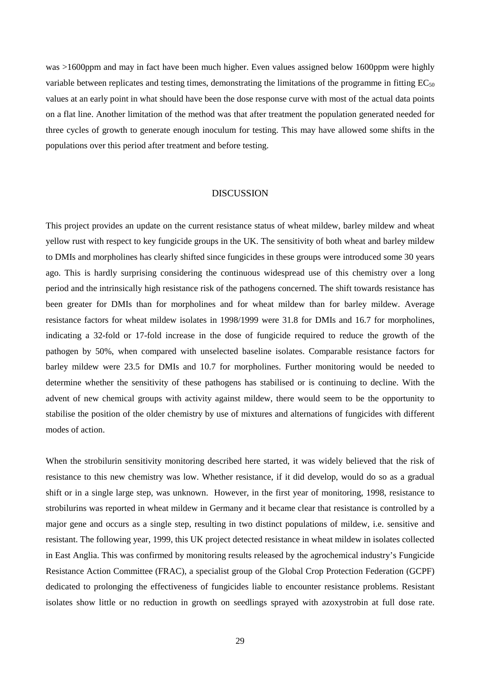<span id="page-32-0"></span>was >1600ppm and may in fact have been much higher. Even values assigned below 1600ppm were highly variable between replicates and testing times, demonstrating the limitations of the programme in fitting  $EC_{50}$ values at an early point in what should have been the dose response curve with most of the actual data points on a flat line. Another limitation of the method was that after treatment the population generated needed for three cycles of growth to generate enough inoculum for testing. This may have allowed some shifts in the populations over this period after treatment and before testing.

### **DISCUSSION**

This project provides an update on the current resistance status of wheat mildew, barley mildew and wheat yellow rust with respect to key fungicide groups in the UK. The sensitivity of both wheat and barley mildew to DMIs and morpholines has clearly shifted since fungicides in these groups were introduced some 30 years ago. This is hardly surprising considering the continuous widespread use of this chemistry over a long period and the intrinsically high resistance risk of the pathogens concerned. The shift towards resistance has been greater for DMIs than for morpholines and for wheat mildew than for barley mildew. Average resistance factors for wheat mildew isolates in 1998/1999 were 31.8 for DMIs and 16.7 for morpholines, indicating a 32-fold or 17-fold increase in the dose of fungicide required to reduce the growth of the pathogen by 50%, when compared with unselected baseline isolates. Comparable resistance factors for barley mildew were 23.5 for DMIs and 10.7 for morpholines. Further monitoring would be needed to determine whether the sensitivity of these pathogens has stabilised or is continuing to decline. With the advent of new chemical groups with activity against mildew, there would seem to be the opportunity to stabilise the position of the older chemistry by use of mixtures and alternations of fungicides with different modes of action.

When the strobilurin sensitivity monitoring described here started, it was widely believed that the risk of resistance to this new chemistry was low. Whether resistance, if it did develop, would do so as a gradual shift or in a single large step, was unknown. However, in the first year of monitoring, 1998, resistance to strobilurins was reported in wheat mildew in Germany and it became clear that resistance is controlled by a major gene and occurs as a single step, resulting in two distinct populations of mildew, i.e. sensitive and resistant. The following year, 1999, this UK project detected resistance in wheat mildew in isolates collected in East Anglia. This was confirmed by monitoring results released by the agrochemical industry's Fungicide Resistance Action Committee (FRAC), a specialist group of the Global Crop Protection Federation (GCPF) dedicated to prolonging the effectiveness of fungicides liable to encounter resistance problems. Resistant isolates show little or no reduction in growth on seedlings sprayed with azoxystrobin at full dose rate.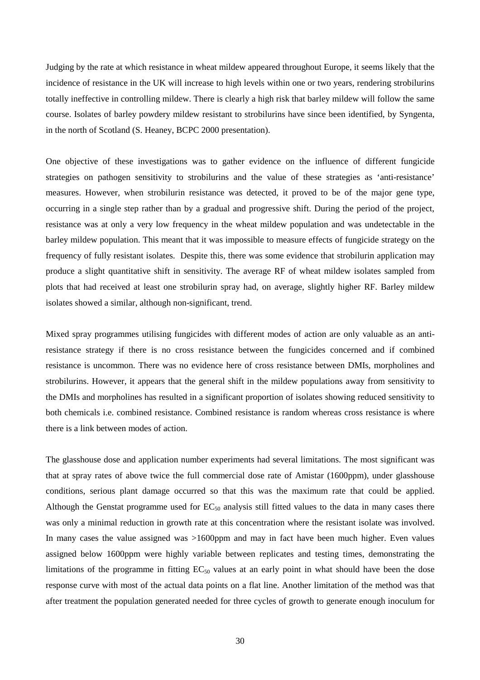Judging by the rate at which resistance in wheat mildew appeared throughout Europe, it seems likely that the incidence of resistance in the UK will increase to high levels within one or two years, rendering strobilurins totally ineffective in controlling mildew. There is clearly a high risk that barley mildew will follow the same course. Isolates of barley powdery mildew resistant to strobilurins have since been identified, by Syngenta, in the north of Scotland (S. Heaney, BCPC 2000 presentation).

One objective of these investigations was to gather evidence on the influence of different fungicide strategies on pathogen sensitivity to strobilurins and the value of these strategies as 'anti-resistance' measures. However, when strobilurin resistance was detected, it proved to be of the major gene type, occurring in a single step rather than by a gradual and progressive shift. During the period of the project, resistance was at only a very low frequency in the wheat mildew population and was undetectable in the barley mildew population. This meant that it was impossible to measure effects of fungicide strategy on the frequency of fully resistant isolates. Despite this, there was some evidence that strobilurin application may produce a slight quantitative shift in sensitivity. The average RF of wheat mildew isolates sampled from plots that had received at least one strobilurin spray had, on average, slightly higher RF. Barley mildew isolates showed a similar, although non-significant, trend.

Mixed spray programmes utilising fungicides with different modes of action are only valuable as an antiresistance strategy if there is no cross resistance between the fungicides concerned and if combined resistance is uncommon. There was no evidence here of cross resistance between DMIs, morpholines and strobilurins. However, it appears that the general shift in the mildew populations away from sensitivity to the DMIs and morpholines has resulted in a significant proportion of isolates showing reduced sensitivity to both chemicals i.e. combined resistance. Combined resistance is random whereas cross resistance is where there is a link between modes of action.

The glasshouse dose and application number experiments had several limitations. The most significant was that at spray rates of above twice the full commercial dose rate of Amistar (1600ppm), under glasshouse conditions, serious plant damage occurred so that this was the maximum rate that could be applied. Although the Genstat programme used for  $EC_{50}$  analysis still fitted values to the data in many cases there was only a minimal reduction in growth rate at this concentration where the resistant isolate was involved. In many cases the value assigned was >1600ppm and may in fact have been much higher. Even values assigned below 1600ppm were highly variable between replicates and testing times, demonstrating the limitations of the programme in fitting  $EC_{50}$  values at an early point in what should have been the dose response curve with most of the actual data points on a flat line. Another limitation of the method was that after treatment the population generated needed for three cycles of growth to generate enough inoculum for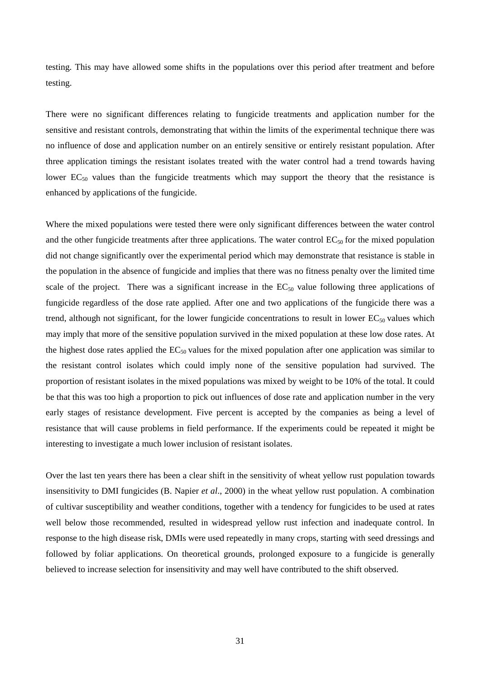testing. This may have allowed some shifts in the populations over this period after treatment and before testing.

There were no significant differences relating to fungicide treatments and application number for the sensitive and resistant controls, demonstrating that within the limits of the experimental technique there was no influence of dose and application number on an entirely sensitive or entirely resistant population. After three application timings the resistant isolates treated with the water control had a trend towards having lower  $EC_{50}$  values than the fungicide treatments which may support the theory that the resistance is enhanced by applications of the fungicide.

Where the mixed populations were tested there were only significant differences between the water control and the other fungicide treatments after three applications. The water control  $EC_{50}$  for the mixed population did not change significantly over the experimental period which may demonstrate that resistance is stable in the population in the absence of fungicide and implies that there was no fitness penalty over the limited time scale of the project. There was a significant increase in the  $EC_{50}$  value following three applications of fungicide regardless of the dose rate applied. After one and two applications of the fungicide there was a trend, although not significant, for the lower fungicide concentrations to result in lower  $EC_{50}$  values which may imply that more of the sensitive population survived in the mixed population at these low dose rates. At the highest dose rates applied the  $EC_{50}$  values for the mixed population after one application was similar to the resistant control isolates which could imply none of the sensitive population had survived. The proportion of resistant isolates in the mixed populations was mixed by weight to be 10% of the total. It could be that this was too high a proportion to pick out influences of dose rate and application number in the very early stages of resistance development. Five percent is accepted by the companies as being a level of resistance that will cause problems in field performance. If the experiments could be repeated it might be interesting to investigate a much lower inclusion of resistant isolates.

Over the last ten years there has been a clear shift in the sensitivity of wheat yellow rust population towards insensitivity to DMI fungicides (B. Napier *et al*., 2000) in the wheat yellow rust population. A combination of cultivar susceptibility and weather conditions, together with a tendency for fungicides to be used at rates well below those recommended, resulted in widespread yellow rust infection and inadequate control. In response to the high disease risk, DMIs were used repeatedly in many crops, starting with seed dressings and followed by foliar applications. On theoretical grounds, prolonged exposure to a fungicide is generally believed to increase selection for insensitivity and may well have contributed to the shift observed.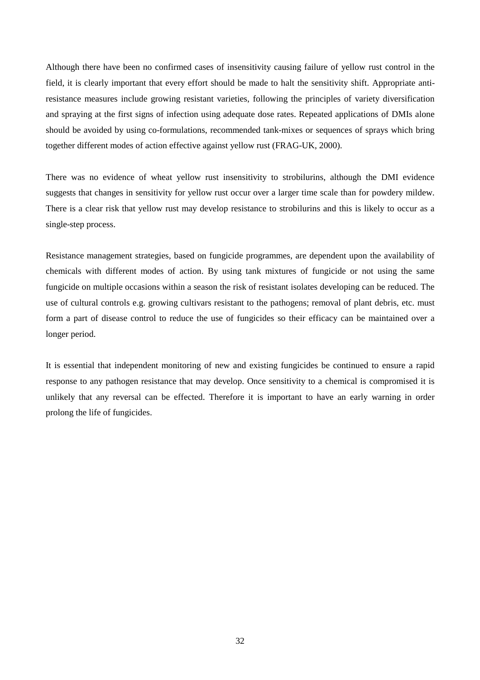Although there have been no confirmed cases of insensitivity causing failure of yellow rust control in the field, it is clearly important that every effort should be made to halt the sensitivity shift. Appropriate antiresistance measures include growing resistant varieties, following the principles of variety diversification and spraying at the first signs of infection using adequate dose rates. Repeated applications of DMIs alone should be avoided by using co-formulations, recommended tank-mixes or sequences of sprays which bring together different modes of action effective against yellow rust (FRAG-UK, 2000).

There was no evidence of wheat yellow rust insensitivity to strobilurins, although the DMI evidence suggests that changes in sensitivity for yellow rust occur over a larger time scale than for powdery mildew. There is a clear risk that yellow rust may develop resistance to strobilurins and this is likely to occur as a single-step process.

Resistance management strategies, based on fungicide programmes, are dependent upon the availability of chemicals with different modes of action. By using tank mixtures of fungicide or not using the same fungicide on multiple occasions within a season the risk of resistant isolates developing can be reduced. The use of cultural controls e.g. growing cultivars resistant to the pathogens; removal of plant debris, etc. must form a part of disease control to reduce the use of fungicides so their efficacy can be maintained over a longer period.

It is essential that independent monitoring of new and existing fungicides be continued to ensure a rapid response to any pathogen resistance that may develop. Once sensitivity to a chemical is compromised it is unlikely that any reversal can be effected. Therefore it is important to have an early warning in order prolong the life of fungicides.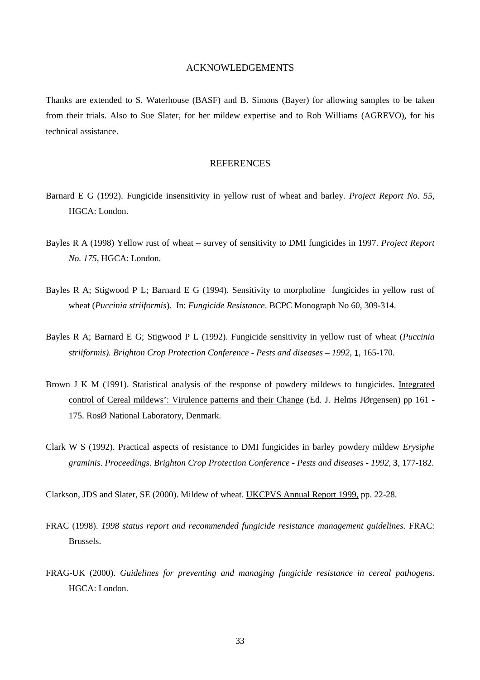### ACKNOWLEDGEMENTS

<span id="page-36-0"></span>Thanks are extended to S. Waterhouse (BASF) and B. Simons (Bayer) for allowing samples to be taken from their trials. Also to Sue Slater, for her mildew expertise and to Rob Williams (AGREVO), for his technical assistance.

### **REFERENCES**

- Barnard E G (1992). Fungicide insensitivity in yellow rust of wheat and barley. *Project Report No. 55*, HGCA: London.
- Bayles R A (1998) Yellow rust of wheat survey of sensitivity to DMI fungicides in 1997. *Project Report No. 175*, HGCA: London.
- Bayles R A; Stigwood P L; Barnard E G (1994). Sensitivity to morpholine fungicides in yellow rust of wheat (*Puccinia striiformis*). In: *Fungicide Resistance*. BCPC Monograph No 60, 309-314.
- Bayles R A; Barnard E G; Stigwood P L (1992). Fungicide sensitivity in yellow rust of wheat (*Puccinia striiformis). Brighton Crop Protection Conference - Pests and diseases – 1992*, **1**, 165-170.
- Brown J K M (1991). Statistical analysis of the response of powdery mildews to fungicides. Integrated control of Cereal mildews': Virulence patterns and their Change (Ed. J. Helms JØrgensen) pp 161 - 175. RosØ National Laboratory, Denmark.
- Clark W S (1992). Practical aspects of resistance to DMI fungicides in barley powdery mildew *Erysiphe graminis*. *Proceedings. Brighton Crop Protection Conference - Pests and diseases - 1992*, **3**, 177-182.

Clarkson, JDS and Slater, SE (2000). Mildew of wheat. UKCPVS Annual Report 1999, pp. 22-28.

- FRAC (1998). *1998 status report and recommended fungicide resistance management guidelines*. FRAC: Brussels.
- FRAG-UK (2000). *Guidelines for preventing and managing fungicide resistance in cereal pathogens*. HGCA: London.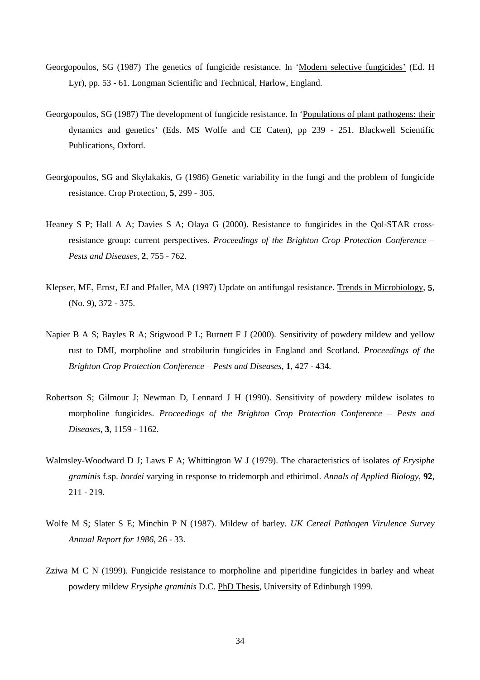- Georgopoulos, SG (1987) The genetics of fungicide resistance. In 'Modern selective fungicides' (Ed. H Lyr), pp. 53 - 61. Longman Scientific and Technical, Harlow, England.
- Georgopoulos, SG (1987) The development of fungicide resistance. In 'Populations of plant pathogens: their dynamics and genetics' (Eds. MS Wolfe and CE Caten), pp 239 - 251. Blackwell Scientific Publications, Oxford.
- Georgopoulos, SG and Skylakakis, G (1986) Genetic variability in the fungi and the problem of fungicide resistance. Crop Protection, **5**, 299 - 305.
- Heaney S P; Hall A A; Davies S A; Olaya G (2000). Resistance to fungicides in the Qol-STAR crossresistance group: current perspectives. *Proceedings of the Brighton Crop Protection Conference – Pests and Diseases*, **2**, 755 - 762.
- Klepser, ME, Ernst, EJ and Pfaller, MA (1997) Update on antifungal resistance. Trends in Microbiology, **5**, (No. 9), 372 - 375.
- Napier B A S; Bayles R A; Stigwood P L; Burnett F J (2000). Sensitivity of powdery mildew and yellow rust to DMI, morpholine and strobilurin fungicides in England and Scotland. *Proceedings of the Brighton Crop Protection Conference – Pests and Diseases*, **1**, 427 - 434.
- Robertson S; Gilmour J; Newman D, Lennard J H (1990). Sensitivity of powdery mildew isolates to morpholine fungicides. *Proceedings of the Brighton Crop Protection Conference – Pests and Diseases*, **3**, 1159 - 1162.
- Walmsley-Woodward D J; Laws F A; Whittington W J (1979). The characteristics of isolates *of Erysiphe graminis* f.sp. *hordei* varying in response to tridemorph and ethirimol. *Annals of Applied Biology*, **92**, 211 - 219.
- Wolfe M S; Slater S E; Minchin P N (1987). Mildew of barley. *UK Cereal Pathogen Virulence Survey Annual Report for 1986*, 26 - 33.
- Zziwa M C N (1999). Fungicide resistance to morpholine and piperidine fungicides in barley and wheat powdery mildew *Erysiphe graminis* D.C. PhD Thesis, University of Edinburgh 1999.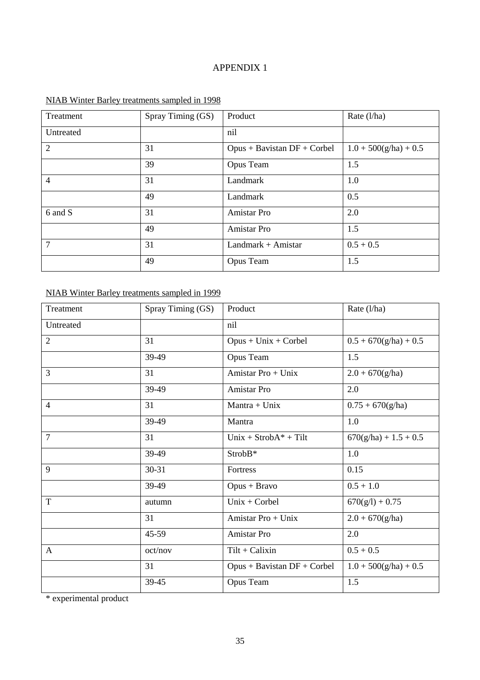### APPENDIX 1

| Treatment      | Spray Timing (GS) | Product                       | Rate $(l/ha)$           |
|----------------|-------------------|-------------------------------|-------------------------|
| Untreated      |                   | nil                           |                         |
| 2              | 31                | $Opus + Bavistan DF + Corbel$ | $1.0 + 500(g/ha) + 0.5$ |
|                | 39                | Opus Team                     | 1.5                     |
| $\overline{4}$ | 31                | Landmark                      | 1.0                     |
|                | 49                | Landmark                      | 0.5                     |
| 6 and S        | 31                | Amistar Pro                   | 2.0                     |
|                | 49                | Amistar Pro                   | 1.5                     |
| $\overline{7}$ | 31                | Landmark + Amistar            | $0.5 + 0.5$             |
|                | 49                | Opus Team                     | 1.5                     |

# NIAB Winter Barley treatments sampled in 1998

# NIAB Winter Barley treatments sampled in 1999

| Treatment      | Spray Timing (GS) | Product                       | Rate (l/ha)             |
|----------------|-------------------|-------------------------------|-------------------------|
| Untreated      |                   | nil                           |                         |
| $\overline{2}$ | 31                | $Opus + Unix + Corbel$        | $0.5 + 670(g/ha) + 0.5$ |
|                | 39-49             | Opus Team                     | 1.5                     |
| 3              | 31                | Amistar Pro + Unix            | $2.0 + 670$ (g/ha)      |
|                | 39-49             | Amistar Pro                   | 2.0                     |
| $\overline{4}$ | 31                | $Mantra + Unix$               | $0.75 + 670(g/ha)$      |
|                | 39-49             | Mantra                        | 1.0                     |
| $\overline{7}$ | 31                | $Unix + StrobA* + Tilt$       | $670(g/ha) + 1.5 + 0.5$ |
|                | 39-49             | StrobB*                       | 1.0                     |
| 9              | $30 - 31$         | Fortress                      | 0.15                    |
|                | 39-49             | $Opus + Bravo$                | $0.5 + 1.0$             |
| T              | autumn            | $Unix + Corbel$               | $670(g/l) + 0.75$       |
|                | 31                | Amistar Pro + Unix            | $2.0 + 670$ (g/ha)      |
|                | 45-59             | Amistar Pro                   | 2.0                     |
| $\mathbf{A}$   | oct/nov           | $Tilt + Calixin$              | $0.5 + 0.5$             |
|                | 31                | $Opus + Bavistan DF + Corbel$ | $1.0 + 500(g/ha) + 0.5$ |
|                | 39-45             | Opus Team                     | 1.5                     |

\* experimental product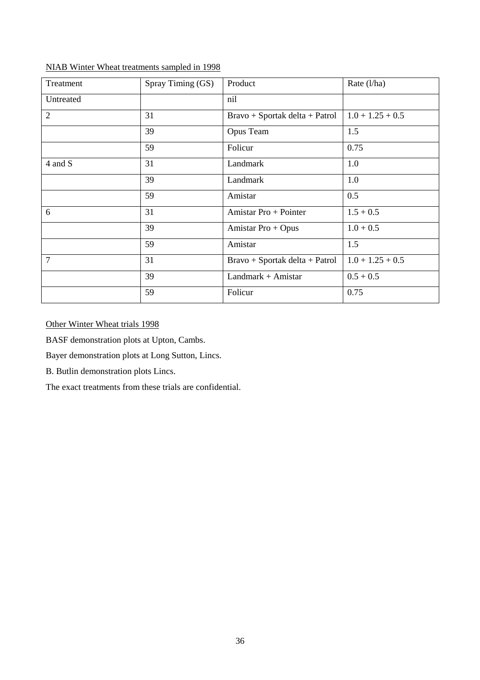| Treatment      | Spray Timing (GS) | Product                        | Rate (l/ha)        |
|----------------|-------------------|--------------------------------|--------------------|
| Untreated      |                   | nil                            |                    |
| $\overline{2}$ | 31                | Bravo + Sportak delta + Patrol | $1.0 + 1.25 + 0.5$ |
|                | 39                | Opus Team                      | 1.5                |
|                | 59                | Folicur                        | 0.75               |
| 4 and S        | 31                | Landmark                       | 1.0                |
|                | 39                | Landmark                       | 1.0                |
|                | 59                | Amistar                        | 0.5                |
| 6              | 31                | Amistar Pro + Pointer          | $1.5 + 0.5$        |
|                | 39                | Amistar Pro + Opus             | $1.0 + 0.5$        |
|                | 59                | Amistar                        | 1.5                |
| $\overline{7}$ | 31                | Bravo + Sportak delta + Patrol | $1.0 + 1.25 + 0.5$ |
|                | 39                | Landmark + Amistar             | $0.5 + 0.5$        |
|                | 59                | Folicur                        | 0.75               |

NIAB Winter Wheat treatments sampled in 1998

Other Winter Wheat trials 1998

BASF demonstration plots at Upton, Cambs.

Bayer demonstration plots at Long Sutton, Lincs.

B. Butlin demonstration plots Lincs.

The exact treatments from these trials are confidential.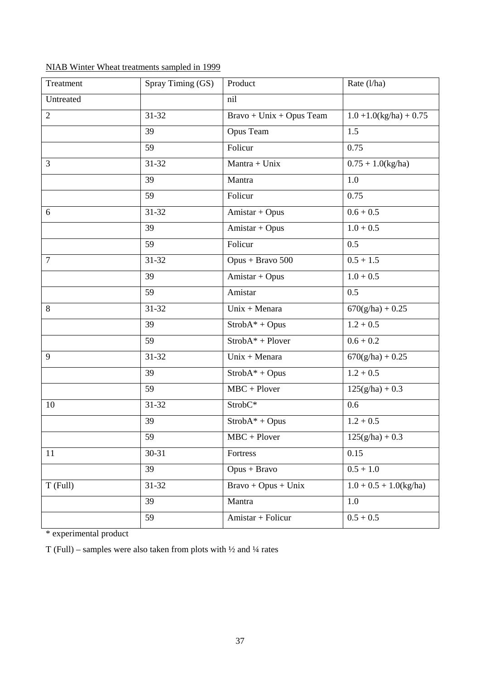| Treatment      | Spray Timing (GS) | Product                                 | Rate (l/ha)                |
|----------------|-------------------|-----------------------------------------|----------------------------|
| Untreated      |                   | nil                                     |                            |
| $\overline{2}$ | $31 - 32$         | $Brawo + Unix + Opus Team$              | $1.0 + 1.0$ (kg/ha) + 0.75 |
|                | 39                | Opus Team                               | 1.5                        |
|                | 59                | Folicur                                 | 0.75                       |
| 3              | 31-32             | Mantra + Unix                           | $0.75 + 1.0$ (kg/ha)       |
|                | 39                | Mantra                                  | 1.0                        |
|                | 59                | Folicur                                 | 0.75                       |
| 6              | 31-32             | Amistar + Opus                          | $0.6 + 0.5$                |
|                | 39                | Amistar + Opus                          | $1.0 + 0.5$                |
|                | 59                | Folicur                                 | 0.5                        |
| $\overline{7}$ | $31 - 32$         | Opus + Bravo 500                        | $0.5 + 1.5$                |
|                | 39                | Amistar + Opus                          | $1.0 + 0.5$                |
|                | 59                | Amistar                                 | 0.5                        |
| 8              | $31 - 32$         | $Unix + Menara$                         | $670(g/ha) + 0.25$         |
|                | 39                | $StrobA* + Opus$                        | $1.2 + 0.5$                |
|                | 59                | $StrobA* + Plover$                      | $0.6 + 0.2$                |
| 9              | 31-32             | Unix + Menara                           | $670(g/ha) + 0.25$         |
|                | 39                | $StrobA* + Opus$                        | $1.2 + 0.5$                |
|                | 59                | $\overline{\text{MBC} + \text{Plover}}$ | $125(g/ha) + 0.3$          |
| 10             | 31-32             | StrobC*                                 | 0.6                        |
|                | 39                | $StrobA* + Opus$                        | $1.2 + 0.5$                |
|                | 59                | $MBC + Plover$                          | $125(g/ha) + 0.3$          |
| 11             | $30 - 31$         | Fortress                                | 0.15                       |
|                | 39                | Opus + Bravo                            | $0.5 + 1.0$                |
| T (Full)       | $31 - 32$         | $Bravo + Opus + Unix$                   | $1.0 + 0.5 + 1.0$ (kg/ha)  |
|                | 39                | Mantra                                  | 1.0                        |
|                | 59                | Amistar + Folicur                       | $0.5 + 0.5$                |

# NIAB Winter Wheat treatments sampled in 1999

\* experimental product

T (Full) – samples were also taken from plots with  $\frac{1}{2}$  and  $\frac{1}{4}$  rates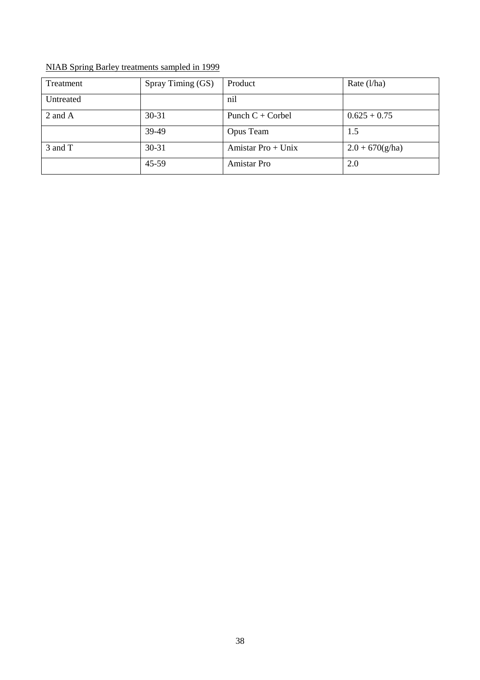| Treatment | Spray Timing (GS) | Product              | Rate $(l/ha)$     |
|-----------|-------------------|----------------------|-------------------|
| Untreated |                   | nil                  |                   |
| 2 and A   | $30 - 31$         | Punch $C$ + Corbel   | $0.625 + 0.75$    |
|           | 39-49             | Opus Team            | 1.5               |
| 3 and T   | 30-31             | Amistar $Pro + Unix$ | $2.0 + 670(g/ha)$ |
|           | 45-59             | Amistar Pro          | 2.0               |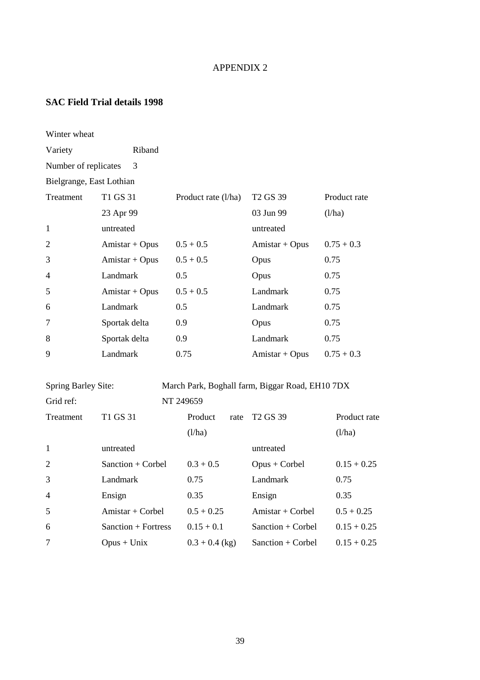# APPENDIX 2

# **SAC Field Trial details 1998**

| Winter wheat               |                     |                     |      |                                                 |               |
|----------------------------|---------------------|---------------------|------|-------------------------------------------------|---------------|
| Variety                    | Riband              |                     |      |                                                 |               |
| Number of replicates       | 3                   |                     |      |                                                 |               |
| Bielgrange, East Lothian   |                     |                     |      |                                                 |               |
| Treatment                  | T1 GS 31            | Product rate (l/ha) |      | T <sub>2</sub> G <sub>S</sub> 39                | Product rate  |
|                            | 23 Apr 99           |                     |      | 03 Jun 99                                       | (l/ha)        |
| 1                          | untreated           |                     |      | untreated                                       |               |
| $\overline{2}$             | $Amistar + Opus$    | $0.5 + 0.5$         |      | $Amistar + Opus$                                | $0.75 + 0.3$  |
| 3                          | Amistar + Opus      | $0.5 + 0.5$         |      | Opus                                            | 0.75          |
| 4                          | Landmark            | 0.5                 |      | Opus                                            | 0.75          |
| 5                          | $Amistar + Opus$    | $0.5 + 0.5$         |      | Landmark                                        | 0.75          |
| 6                          | Landmark            | 0.5                 |      | Landmark                                        | 0.75          |
| 7                          | Sportak delta       | 0.9                 |      | Opus                                            | 0.75          |
| 8                          | Sportak delta       | 0.9                 |      | Landmark                                        | 0.75          |
| 9                          | Landmark            | 0.75                |      | $Amistar + Opus$                                | $0.75 + 0.3$  |
| <b>Spring Barley Site:</b> |                     |                     |      | March Park, Boghall farm, Biggar Road, EH10 7DX |               |
| Grid ref:                  |                     | NT 249659           |      |                                                 |               |
| Treatment                  | T1 GS 31            | Product             | rate | T <sub>2</sub> G <sub>S</sub> 39                | Product rate  |
|                            |                     | (l/ha)              |      |                                                 | (l/ha)        |
| 1                          | untreated           |                     |      | untreated                                       |               |
| $\overline{2}$             | Sanction + Corbel   | $0.3 + 0.5$         |      | $Opus + Corbel$                                 | $0.15 + 0.25$ |
| 3                          | Landmark            | 0.75                |      | Landmark                                        | 0.75          |
| 4                          | Ensign              | 0.35                |      | Ensign                                          | 0.35          |
| 5                          | Amistar + Corbel    | $0.5 + 0.25$        |      | Amistar + Corbel                                | $0.5 + 0.25$  |
| 6                          | Sanction + Fortress | $0.15 + 0.1$        |      | Sanction + Corbel                               | $0.15 + 0.25$ |
| 7                          | $Opus + Unix$       | $0.3 + 0.4$ (kg)    |      | Sanction + Corbel                               | $0.15 + 0.25$ |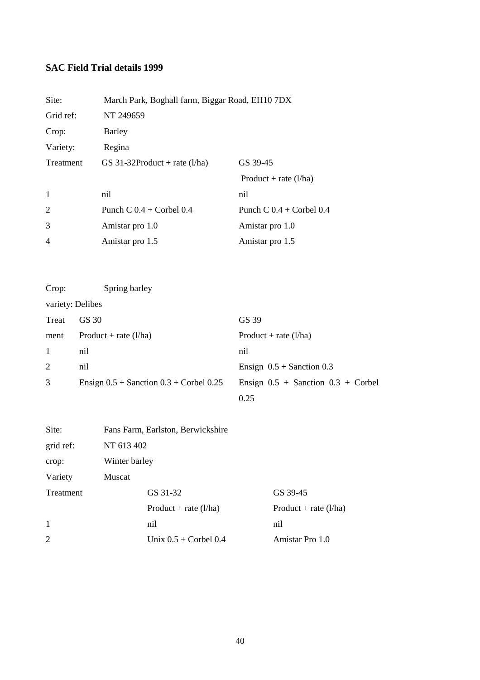# **SAC Field Trial details 1999**

| Site:          | March Park, Boghall farm, Biggar Road, EH10 7DX |                              |  |
|----------------|-------------------------------------------------|------------------------------|--|
| Grid ref:      | NT 249659                                       |                              |  |
| Crop:          | Barley                                          |                              |  |
| Variety:       | Regina                                          |                              |  |
| Treatment      | GS 31-32Product + rate $(l/ha)$                 | GS 39-45                     |  |
|                |                                                 | Product + rate $(l/ha)$      |  |
| -1             | nil                                             | nil                          |  |
| 2              | Punch C $0.4$ + Corbel $0.4$                    | Punch C $0.4$ + Corbel $0.4$ |  |
| 3              | Amistar pro 1.0                                 | Amistar pro 1.0              |  |
| $\overline{4}$ | Amistar pro 1.5                                 | Amistar pro 1.5              |  |

| Crop:            | Spring barley                                 |                                        |
|------------------|-----------------------------------------------|----------------------------------------|
| variety: Delibes |                                               |                                        |
| Treat            | GS 30                                         | GS 39                                  |
| ment             | Product + rate $(l/ha)$                       | Product + rate $(l/ha)$                |
| 1                | nil                                           | nil                                    |
| 2                | nil                                           | Ensign $0.5 +$ Sanction 0.3            |
| 3                | Ensign $0.5 +$ Sanction $0.3 +$ Corbel $0.25$ | Ensign $0.5 +$ Sanction $0.3 +$ Corbel |
|                  |                                               | 0.25                                   |

| Site:        | Fans Farm, Earlston, Berwickshire          |                         |  |  |
|--------------|--------------------------------------------|-------------------------|--|--|
| grid ref:    | NT 613 402                                 |                         |  |  |
| crop:        | Winter barley                              |                         |  |  |
| Variety      | Muscat                                     |                         |  |  |
| Treatment    | GS 31-32                                   | GS 39-45                |  |  |
|              | Product + rate $(l/ha)$                    | Product + rate $(l/ha)$ |  |  |
| $\mathbf{1}$ | nil                                        | nil                     |  |  |
| 2            | Amistar Pro 1.0<br>Unix $0.5 +$ Corbel 0.4 |                         |  |  |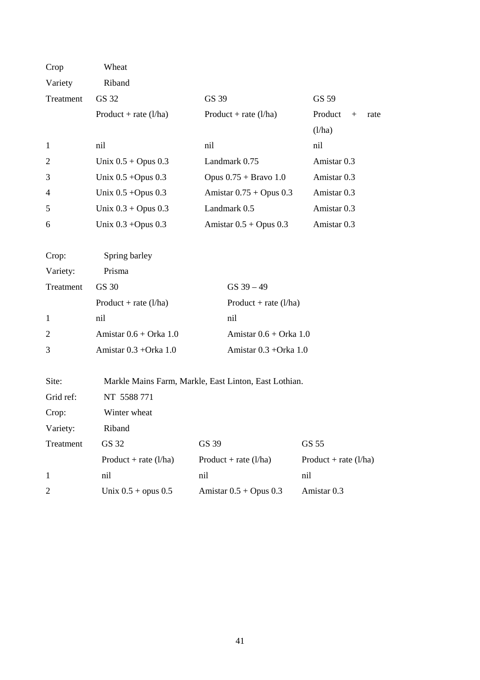| Crop           | Wheat                    |                                                       |                         |  |
|----------------|--------------------------|-------------------------------------------------------|-------------------------|--|
| Variety        | Riband                   |                                                       |                         |  |
| Treatment      | GS 32                    | GS 39                                                 | GS 59                   |  |
|                | Product + rate $(l/ha)$  | Product + rate $(l/ha)$                               | Product<br>$+$<br>rate  |  |
|                |                          |                                                       | (l/ha)                  |  |
| $\mathbf{1}$   | nil                      | nil                                                   | nil                     |  |
| $\overline{2}$ | Unix $0.5 +$ Opus $0.3$  | Landmark 0.75                                         | Amistar <sub>0.3</sub>  |  |
| 3              | Unix $0.5 +$ Opus $0.3$  | Opus $0.75 +$ Bravo 1.0                               | Amistar 0.3             |  |
| 4              | Unix $0.5 +$ Opus $0.3$  | Amistar $0.75 +$ Opus $0.3$                           | Amistar 0.3             |  |
| 5              | Unix $0.3 +$ Opus $0.3$  | Landmark 0.5                                          | Amistar 0.3             |  |
| 6              | Unix $0.3 +$ Opus $0.3$  | Amistar $0.5 +$ Opus $0.3$                            | Amistar 0.3             |  |
|                |                          |                                                       |                         |  |
| Crop:          | Spring barley            |                                                       |                         |  |
| Variety:       | Prisma                   |                                                       |                         |  |
| Treatment      | GS 30                    | $GS$ 39 $-49$                                         |                         |  |
|                | Product + rate $(l/ha)$  | Product + rate $(l/ha)$                               |                         |  |
| $\mathbf{1}$   | nil                      | nil                                                   |                         |  |
| 2              | Amistar $0.6 + Orka$ 1.0 | Amistar $0.6 + Orka 1.0$                              |                         |  |
| 3              | Amistar 0.3 + Orka 1.0   | Amistar 0.3 + Orka 1.0                                |                         |  |
|                |                          |                                                       |                         |  |
| Site:          |                          | Markle Mains Farm, Markle, East Linton, East Lothian. |                         |  |
| Grid ref:      | NT 5588 771              |                                                       |                         |  |
| Crop:          | Winter wheat             |                                                       |                         |  |
| Variety:       | Riband                   |                                                       |                         |  |
| Treatment      | GS 32                    | GS 39                                                 | GS 55                   |  |
|                | Product + rate $(l/ha)$  | Product + rate $(l/ha)$                               | Product + rate $(l/ha)$ |  |
| $\mathbf{1}$   | nil                      | nil                                                   | nil                     |  |
| $\overline{2}$ | Unix $0.5 +$ opus $0.5$  | Amistar $0.5 +$ Opus $0.3$                            | Amistar 0.3             |  |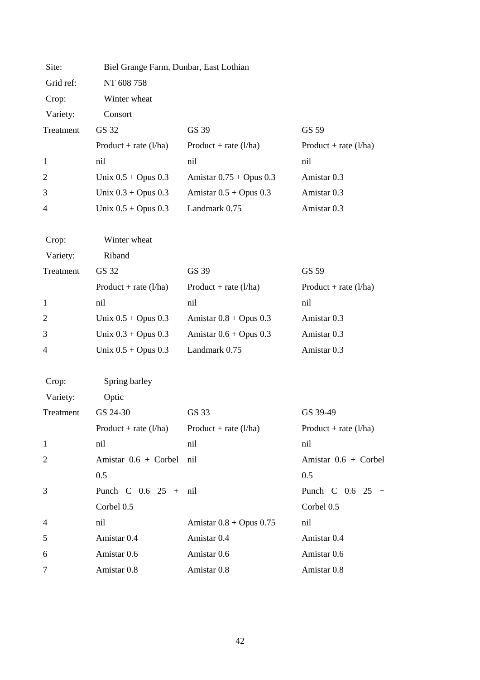| Site:          | Biel Grange Farm, Dunbar, East Lothian |                             |                         |
|----------------|----------------------------------------|-----------------------------|-------------------------|
| Grid ref:      | NT 608 758                             |                             |                         |
| Crop:          | Winter wheat                           |                             |                         |
| Variety:       | Consort                                |                             |                         |
| Treatment      | GS 32                                  | GS 39                       | GS 59                   |
|                | Product + rate $(l/ha)$                | Product + rate $(l/ha)$     | Product + rate $(l/ha)$ |
| $\mathbf{1}$   | nil                                    | nil                         | nil                     |
| $\overline{2}$ | Unix $0.5 +$ Opus $0.3$                | Amistar $0.75 +$ Opus 0.3   | Amistar 0.3             |
| 3              | Unix $0.3 +$ Opus $0.3$                | Amistar $0.5 +$ Opus $0.3$  | Amistar 0.3             |
| 4              | Unix $0.5 +$ Opus $0.3$                | Landmark 0.75               | Amistar 0.3             |
| Crop:          | Winter wheat                           |                             |                         |
| Variety:       | Riband                                 |                             |                         |
| Treatment      | GS 32                                  | GS 39                       | GS 59                   |
|                | Product + rate $(l/ha)$                | Product + rate $(l/ha)$     | Product + rate $(l/ha)$ |
| 1              | nil                                    | nil                         | nil                     |
| $\overline{2}$ | Unix $0.5 +$ Opus $0.3$                | Amistar $0.8 +$ Opus $0.3$  | Amistar 0.3             |
| 3              | Unix $0.3 +$ Opus $0.3$                | Amistar $0.6 +$ Opus $0.3$  | Amistar 0.3             |
| 4              | Unix $0.5 +$ Opus $0.3$                | Landmark 0.75               | Amistar 0.3             |
| Crop:          | Spring barley                          |                             |                         |
| Variety:       | Optic                                  |                             |                         |
| Treatment      | GS 24-30                               | GS 33                       | GS 39-49                |
|                | Product + rate $(l/ha)$                | Product + rate $(l/ha)$     | Product + rate $(l/ha)$ |
| $\mathbf{1}$   | nil                                    | nil                         | nil                     |
| $\overline{c}$ | Amistar $0.6 + \text{Corbel}$          | nil                         | Amistar 0.6 + Corbel    |
|                | 0.5                                    |                             | 0.5                     |
| 3              | Punch C $0.6$ $25 + \text{nil}$        |                             | Punch C $0.6$ 25 +      |
|                | Corbel 0.5                             |                             | Corbel 0.5              |
| $\overline{4}$ | nil                                    | Amistar $0.8 +$ Opus $0.75$ | nil                     |
| 5              | Amistar 0.4                            | Amistar 0.4                 | Amistar 0.4             |
| 6              | Amistar 0.6                            | Amistar 0.6                 | Amistar 0.6             |
| 7              | Amistar 0.8                            | Amistar 0.8                 | Amistar 0.8             |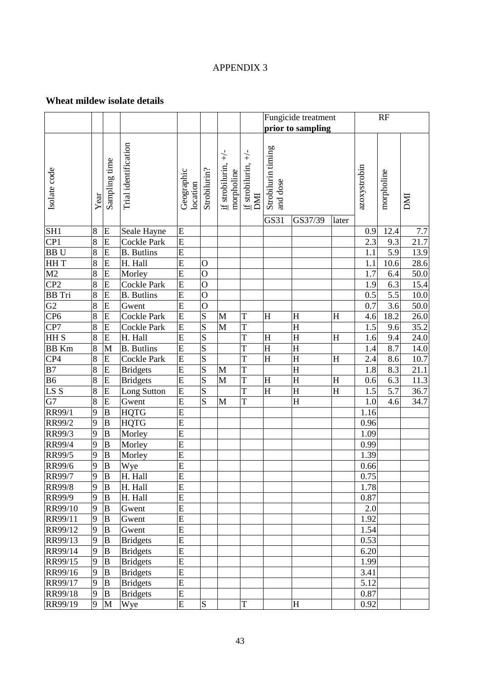### APPENDIX 3

# **Wheat mildew isolate details**

|                 |                |                  |                            |                         |                |                                                 | Fungicide treatment<br>prior to sampling |                                        |                         |             |              | RF               |             |
|-----------------|----------------|------------------|----------------------------|-------------------------|----------------|-------------------------------------------------|------------------------------------------|----------------------------------------|-------------------------|-------------|--------------|------------------|-------------|
|                 |                |                  |                            |                         |                |                                                 |                                          |                                        |                         |             |              |                  |             |
| Isolate code    | Year           | Sampling time    | Trial identification       | Geographic<br>location  | Strobilurin?   | $\overline{+}$<br>if strobilurin,<br>morpholine | $\neq$<br>if strobilurin,<br>DMI         | Strobilurin timing<br>and dose<br>GS31 |                         |             | azoxystrobin | morpholine       | IMO         |
| SH <sub>1</sub> | 8              | E                |                            | E                       |                |                                                 |                                          |                                        | GS37/39                 | later       | 0.9          | 12.4             |             |
| CP1             | 8              | ${\bf E}$        | Seale Hayne<br>Cockle Park | $\overline{E}$          |                |                                                 |                                          |                                        |                         |             | 2.3          | 9.3              | 7.7<br>21.7 |
| <b>BBU</b>      | 8              | E                | <b>B.</b> Butlins          | E                       |                |                                                 |                                          |                                        |                         |             | 1.1          | 5.9              | 13.9        |
| HH T            | $\overline{8}$ | ${\bf E}$        | H. Hall                    | $\overline{E}$          | $\mathbf{O}$   |                                                 |                                          |                                        |                         |             | 1.1          | 10.6             | 28.6        |
| M2              | 8              | E                | Morley                     | E                       | $\overline{O}$ |                                                 |                                          |                                        |                         |             | 1.7          | 6.4              | $50.0\,$    |
| CP <sub>2</sub> | 8              | E                | Cockle Park                | E                       | $\overline{O}$ |                                                 |                                          |                                        |                         |             | 1.9          | 6.3              | 15.4        |
| <b>BB</b> Tri   | 8              | E                | <b>B.</b> Butlins          | $\overline{E}$          | $\overline{O}$ |                                                 |                                          |                                        |                         |             | 0.5          | $\overline{5.5}$ | 10.0        |
| G2              | 8              | ${\bf E}$        | Gwent                      | E                       | $\overline{O}$ |                                                 |                                          |                                        |                         |             | 0.7          | 3.6              | 50.0        |
| CP <sub>6</sub> | 8              | ${\bf E}$        | Cockle Park                | $\overline{E}$          | S              | M                                               | T                                        | $H_{\rm}$                              | $H_{\rm}$               | H           | 4.6          | 18.2             | 26.0        |
| CP7             | 8              | E                | Cockle Park                | $\overline{E}$          | S              | $\mathbf{M}$                                    | T                                        |                                        | H                       |             | 1.5          | 9.6              | 35.2        |
| <b>HHS</b>      | $\overline{8}$ | ${\bf E}$        | H. Hall                    | $\overline{E}$          | S              |                                                 | T                                        | H                                      | $\overline{\mathrm{H}}$ | H           | 1.6          | 9.4              | 24.0        |
| <b>BB</b> Km    | 8              | M                | <b>B.</b> Butlins          | $\overline{E}$          | S              |                                                 | $\overline{T}$                           | $\overline{H}$                         | $\overline{\mathrm{H}}$ |             | 1.4          | 8.7              | 14.0        |
| CP <sub>4</sub> | 8              | ${\bf E}$        | Cockle Park                | E                       | $\overline{S}$ |                                                 | T                                        | H                                      | $\mathbf H$             | $\mathbf H$ | 2.4          | 8.6              | 10.7        |
| $\overline{B7}$ | $\overline{8}$ | ${\bf E}$        | <b>Bridgets</b>            | E                       | S              | M                                               | T                                        |                                        | $\overline{\mathrm{H}}$ |             | 1.8          | 8.3              | 21.1        |
| <b>B6</b>       | 8              | E                | <b>Bridgets</b>            | $\overline{E}$          | S              | $\mathbf{M}$                                    | T                                        | $H_{\rm}$                              | H                       | H           | 0.6          | 6.3              | 11.3        |
| LS S            | 8              | E                | Long Sutton                | E                       | S              |                                                 | T                                        | H                                      | H                       | H           | 1.5          | 5.7              | 36.7        |
| G7              | 8              | ${\bf E}$        | Gwent                      | $\overline{\mathrm{E}}$ | S              | M                                               | T                                        |                                        | H                       |             | 1.0          | 4.6              | 34.7        |
| RR99/1          | 9              | $\, {\bf B}$     | <b>HQTG</b>                | $\mathbf E$             |                |                                                 |                                          |                                        |                         |             | 1.16         |                  |             |
| RR99/2          | 9              | $\, {\bf B}$     | <b>HQTG</b>                | $\overline{E}$          |                |                                                 |                                          |                                        |                         |             | 0.96         |                  |             |
| RR99/3          | 9              | $\, {\bf B}$     | Morley                     | $\overline{E}$          |                |                                                 |                                          |                                        |                         |             | 1.09         |                  |             |
| <b>RR99/4</b>   | 9              | $\, {\bf B}$     | Morley                     | E                       |                |                                                 |                                          |                                        |                         |             | 0.99         |                  |             |
| RR99/5          | 9              | $\, {\bf B}$     | Morley                     | $\overline{\mathrm{E}}$ |                |                                                 |                                          |                                        |                         |             | 1.39         |                  |             |
| <b>RR99/6</b>   | 9              | $\bf{B}$         | Wye                        | $\overline{E}$          |                |                                                 |                                          |                                        |                         |             | 0.66         |                  |             |
| <b>RR99/7</b>   | 9              | B                | H. Hall                    | E                       |                |                                                 |                                          |                                        |                         |             | 0.75         |                  |             |
| <b>RR99/8</b>   | 9              | B                | H. Hall                    | E                       |                |                                                 |                                          |                                        |                         |             | 1.78         |                  |             |
| RR99/9          | 9              | B                | H. Hall                    | E                       |                |                                                 |                                          |                                        |                         |             | 0.87         |                  |             |
| RR99/10         | 9              | B                | Gwent                      | E                       |                |                                                 |                                          |                                        |                         |             | 2.0          |                  |             |
| RR99/11         | 9              | B                | Gwent                      | ${\bf E}$               |                |                                                 |                                          |                                        |                         |             | 1.92         |                  |             |
| RR99/12         | 9              | B                | Gwent                      | $\overline{E}$          |                |                                                 |                                          |                                        |                         |             | 1.54         |                  |             |
| RR99/13         | 9              | $\boldsymbol{B}$ | <b>Bridgets</b>            | $\overline{E}$          |                |                                                 |                                          |                                        |                         |             | 0.53         |                  |             |
| RR99/14         | 9              | B                | <b>Bridgets</b>            | E                       |                |                                                 |                                          |                                        |                         |             | 6.20         |                  |             |
| RR99/15         | 9              | $\boldsymbol{B}$ | <b>Bridgets</b>            | E                       |                |                                                 |                                          |                                        |                         |             | 1.99         |                  |             |
| RR99/16         | 9              | B                | <b>Bridgets</b>            | ${\bf E}$               |                |                                                 |                                          |                                        |                         |             | 3.41         |                  |             |
| RR99/17         | 9              | $\, {\bf B}$     | <b>Bridgets</b>            | $\mathbf E$             |                |                                                 |                                          |                                        |                         |             | 5.12         |                  |             |
| RR99/18         | 9              | $\, {\bf B}$     | <b>Bridgets</b>            | E                       |                |                                                 |                                          |                                        |                         |             | 0.87         |                  |             |
| RR99/19         | 9              | M                | Wye                        | E                       | ${\bf S}$      |                                                 | T                                        |                                        | H                       |             | 0.92         |                  |             |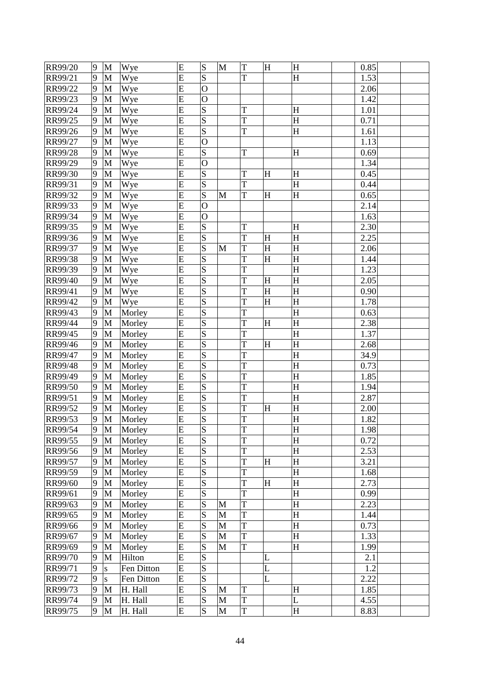| RR99/20 | 9 | M            | Wye        | E | S              | M | $\mathbf T$ | $H_{\rm}$                 | H         | 0.85 |
|---------|---|--------------|------------|---|----------------|---|-------------|---------------------------|-----------|------|
| RR99/21 | 9 | M            | Wye        | E | S              |   | T           |                           | H         | 1.53 |
| RR99/22 | 9 | M            | Wye        | E | $\overline{O}$ |   |             |                           |           | 2.06 |
| RR99/23 | 9 | M            | Wye        | E | $\mathbf O$    |   |             |                           |           | 1.42 |
| RR99/24 | 9 | M            | Wye        | E | S              |   | T           |                           | H         | 1.01 |
| RR99/25 | 9 | M            | Wye        | E | S              |   | T           |                           | H         | 0.71 |
| RR99/26 | 9 | M            | Wye        | E | S              |   | T           |                           | H         | 1.61 |
| RR99/27 | 9 | $\mathbf M$  | Wye        | E | $\mathbf O$    |   |             |                           |           | 1.13 |
| RR99/28 | 9 | $\mathbf M$  | Wye        | E | S              |   | T           |                           | H         | 0.69 |
| RR99/29 | 9 | M            | Wye        | E | $\overline{O}$ |   |             |                           |           | 1.34 |
| RR99/30 | 9 | M            | Wye        | E | S              |   | T           | $\boldsymbol{\mathrm{H}}$ | H         | 0.45 |
| RR99/31 | 9 | M            | Wye        | E | S              |   | T           |                           | H         | 0.44 |
| RR99/32 | 9 | M            | Wye        | E | S              | M | T           | $\mathbf{H}$              | H         | 0.65 |
| RR99/33 | 9 | $\mathbf{M}$ | Wye        | E | $\overline{O}$ |   |             |                           |           | 2.14 |
| RR99/34 | 9 | M            | Wye        | E | $\overline{O}$ |   |             |                           |           | 1.63 |
| RR99/35 | 9 | M            | Wye        | E | S              |   | T           |                           | H         | 2.30 |
| RR99/36 | 9 | $\mathbf{M}$ | Wye        | E | S              |   | T           | $H_{\rm}$                 | H         | 2.25 |
| RR99/37 | 9 | M            | Wye        | E | S              | M | T           | $H_{\rm}$                 | H         | 2.06 |
| RR99/38 | 9 | $\mathbf M$  | Wye        | E | S              |   | T           | H                         | H         | 1.44 |
| RR99/39 | 9 | M            | Wye        | E | S              |   | T           |                           | H         | 1.23 |
| RR99/40 | 9 | M            | Wye        | E | S              |   | T           | $\overline{\mathrm{H}}$   | H         | 2.05 |
| RR99/41 | 9 | M            | Wye        | E | S              |   | T           | $H_{\rm}$                 | H         | 0.90 |
| RR99/42 | 9 | M            | Wye        | E | S              |   | T           | H                         | $H_{\rm}$ | 1.78 |
| RR99/43 | 9 | $\mathbf M$  | Morley     | E | S              |   | T           |                           | H         | 0.63 |
| RR99/44 | 9 | M            | Morley     | E | S              |   | T           | $\boldsymbol{\mathrm{H}}$ | H         | 2.38 |
| RR99/45 | 9 | M            | Morley     | E | S              |   | T           |                           | H         | 1.37 |
| RR99/46 | 9 | M            | Morley     | E | $\overline{S}$ |   | T           | $H_{\rm}$                 | $H_{\rm}$ | 2.68 |
| RR99/47 | 9 | M            | Morley     | E | S              |   | T           |                           | H         | 34.9 |
| RR99/48 | 9 | $\mathbf{M}$ | Morley     | E | S              |   | T           |                           | H         | 0.73 |
| RR99/49 | 9 | M            | Morley     | E | S              |   | T           |                           | $H_{\rm}$ | 1.85 |
| RR99/50 | 9 | M            | Morley     | E | S              |   | T           |                           | $H_{\rm}$ | 1.94 |
| RR99/51 | 9 | M            | Morley     | E | S              |   | T           |                           | H         | 2.87 |
| RR99/52 | 9 | M            | Morley     | E | S              |   | T           | H                         | $H_{\rm}$ | 2.00 |
| RR99/53 | 9 | $\mathbf M$  | Morley     | E | S              |   | T           |                           | H         | 1.82 |
| RR99/54 | 9 | M            | Morley     | E | S              |   | T           |                           | H         | 1.98 |
| RR99/55 | 9 | M            | Morley     | E | S              |   | T           |                           | H         | 0.72 |
| RR99/56 | 9 | M            | Morley     | E | S              |   | T           |                           | H         | 2.53 |
| RR99/57 | 9 | M            | Morley     | E | S              |   | T           | H                         | H         | 3.21 |
| RR99/59 | 9 | $\mathbf{M}$ | Morley     | E | S              |   | T           |                           | H         | 1.68 |
| RR99/60 | 9 | M            | Morley     | E | S              |   | T           | $\boldsymbol{\mathrm{H}}$ | H         | 2.73 |
| RR99/61 | 9 | $\mathbf M$  | Morley     | E | S              |   | T           |                           | H         | 0.99 |
| RR99/63 | 9 | M            | Morley     | E | S              | M | T           |                           | $H_{\rm}$ | 2.23 |
| RR99/65 | 9 | $\mathbf M$  | Morley     | E | S              | M | T           |                           | H         | 1.44 |
| RR99/66 | 9 | $\mathbf M$  | Morley     | E | S              | M | T           |                           | H         | 0.73 |
| RR99/67 | 9 | M            | Morley     | E | S              | M | T           |                           | $H_{\rm}$ | 1.33 |
| RR99/69 | 9 | $\mathbf M$  | Morley     | E | S              | M | T           |                           | H         | 1.99 |
| RR99/70 | 9 | $\mathbf{M}$ | Hilton     | E | S              |   |             | L                         |           | 2.1  |
| RR99/71 | 9 | ${\bf S}$    | Fen Ditton | E | S              |   |             | L                         |           | 1.2  |
| RR99/72 | 9 | S            | Fen Ditton | E | S              |   |             | L                         |           | 2.22 |
| RR99/73 | 9 | M            | H. Hall    | E | S              | M | T           |                           | H         | 1.85 |
| RR99/74 | 9 | M            | H. Hall    | E | S              | M | T           |                           | L         | 4.55 |
| RR99/75 | 9 | M            | H. Hall    | E | S              | M | $\mathbf T$ |                           | H         | 8.83 |
|         |   |              |            |   |                |   |             |                           |           |      |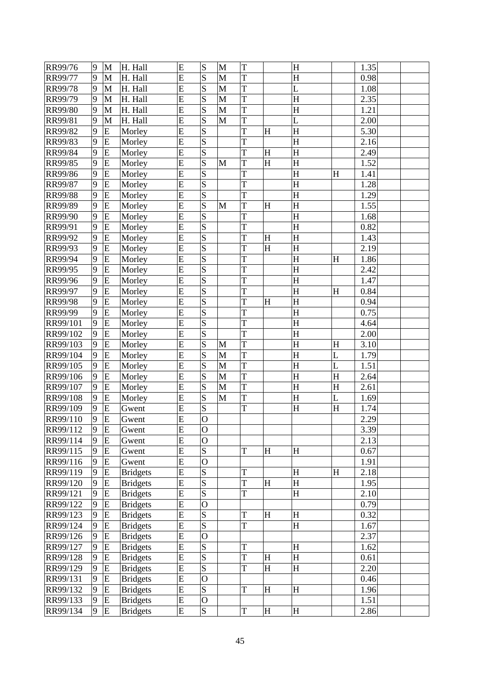| RR99/76              | 9      | M              | H. Hall                            | E              | S                                 | M | T       |                           | H                         |   | 1.35         |  |
|----------------------|--------|----------------|------------------------------------|----------------|-----------------------------------|---|---------|---------------------------|---------------------------|---|--------------|--|
| <b>RR99/77</b>       | 9      | M              | H. Hall                            | E              | S                                 | M | T       |                           | H                         |   | 0.98         |  |
| RR99/78              | 9      | M              | H. Hall                            | E              | S                                 | M | T       |                           | L                         |   | 1.08         |  |
| RR99/79              | 9      | M              | H. Hall                            | E              | S                                 | M | T       |                           | H                         |   | 2.35         |  |
| RR99/80              | 9      | M              | H. Hall                            | E              | S                                 | M | T       |                           | H                         |   | 1.21         |  |
| RR99/81              | 9      | M              | H. Hall                            | E              | S                                 | M | T       |                           | L                         |   | 2.00         |  |
| RR99/82              | 9      | ${\bf E}$      | Morley                             | E              | S                                 |   | T       | $H_{\rm}$                 | $H_{\rm}$                 |   | 5.30         |  |
| RR99/83              | 9      | ${\bf E}$      | Morley                             | E              | S                                 |   | T       |                           | $H_{\rm}$                 |   | 2.16         |  |
| RR99/84              | 9      | E              | Morley                             | E              | S                                 |   | T       | $\boldsymbol{\mathrm{H}}$ | $H_{\rm}$                 |   | 2.49         |  |
| RR99/85              | 9      | E              | Morley                             | E              | S                                 | M | T       | $\overline{\mathrm{H}}$   | H                         |   | 1.52         |  |
| RR99/86              | 9      | ${\bf E}$      | Morley                             | E              | S                                 |   | T       |                           | $H_{\rm}$                 | H | 1.41         |  |
| RR99/87              | 9      | ${\bf E}$      | Morley                             | E              | S                                 |   | T       |                           | $H_{\rm}$                 |   | 1.28         |  |
| RR99/88              | 9      | E              | Morley                             | E              | S                                 |   | T       |                           | $H_{\rm}$                 |   | 1.29         |  |
| RR99/89              | 9      | E              | Morley                             | E              | S                                 | M | T       | H                         | $H_{\rm}$                 |   | 1.55         |  |
| RR99/90              | 9      | E              | Morley                             | E              | S                                 |   | T       |                           | H                         |   | 1.68         |  |
| RR99/91              | 9      | ${\bf E}$      | Morley                             | E              | S                                 |   | T       |                           | H                         |   | 0.82         |  |
| RR99/92              | 9      | ${\bf E}$      | Morley                             | E              | S                                 |   | T       | H                         | $H_{\rm}$                 |   | 1.43         |  |
| RR99/93              | 9      | E              | Morley                             | E              | S                                 |   | T       | $\boldsymbol{\mathrm{H}}$ | $H_{\rm}$                 |   | 2.19         |  |
| RR99/94              | 9      | E              | Morley                             | E              | S                                 |   | T       |                           | $H_{\rm}$                 | H | 1.86         |  |
| RR99/95              | 9      | E              | Morley                             | E              | S                                 |   | T       |                           | H                         |   | 2.42         |  |
| RR99/96              | 9      | ${\bf E}$      | Morley                             | E              | S                                 |   | T       |                           | $H_{\rm}$                 |   | 1.47         |  |
| RR99/97              | 9      | ${\bf E}$      | Morley                             | E              | S                                 |   | T       |                           | $H_{\rm}$                 | H | 0.84         |  |
| RR99/98              | 9      | ${\bf E}$      | Morley                             | E              | S                                 |   | T       | H                         | $H_{\rm}$                 |   | 0.94         |  |
| RR99/99              | 9      | E              | Morley                             | E              | S                                 |   | T       |                           | $H_{\rm}$                 |   | 0.75         |  |
| RR99/101             | 9      | E              | Morley                             | E              | S                                 |   | T       |                           | $H_{\rm}$                 |   | 4.64         |  |
| RR99/102             | 9      | E              | Morley                             | E              | S                                 |   | T       |                           | $H_{\rm}$                 |   | 2.00         |  |
| RR99/103             | 9      | ${\bf E}$      | Morley                             | E              | S                                 | M | T       |                           | H                         | H | 3.10         |  |
| RR99/104             | 9      | E              | Morley                             | E              | S                                 | M | T       |                           | H                         | L | 1.79         |  |
| RR99/105             | 9      | E              | Morley                             | E              | S                                 | M | T       |                           | $H_{\rm}$                 | L | 1.51         |  |
| RR99/106             | 9      | E              | Morley                             | E              | S                                 | M | T       |                           | H                         | H | 2.64         |  |
| RR99/107             | 9      | E              | Morley                             | E              | S                                 | M | T       |                           | H                         | H | 2.61         |  |
| RR99/108             | 9      | E              | Morley                             | E              | S                                 | M | T       |                           | H                         | L | 1.69         |  |
| RR99/109             | 9      | ${\bf E}$      | Gwent                              | E              | S                                 |   | T       |                           | $H_{\rm}$                 | H | 1.74         |  |
| RR99/110             | 9      | E              | Gwent                              | E              | $\overline{O}$                    |   |         |                           |                           |   | 2.29         |  |
| RR99/112             | 9      | E              | Gwent                              | E              | $\overline{O}$                    |   |         |                           |                           |   | 3.39         |  |
| RR99/114             | 9      | E              | Gwent                              | E              | $\mathbf O$                       |   |         |                           |                           |   | 2.13         |  |
| RR99/115             | 9      | ${\bf E}$      | Gwent                              | E              | S                                 |   | $\rm T$ | H                         | H                         |   | 0.67         |  |
| RR99/116             | 9      | ${\bf E}$      | Gwent                              | E              | $\overline{O}$                    |   |         |                           |                           |   | 1.91         |  |
| RR99/119             | 9      | E              | <b>Bridgets</b>                    | E              | S                                 |   | T       |                           | H                         | H | 2.18         |  |
| RR99/120             | 9      | E              | <b>Bridgets</b>                    | E              | S                                 |   | T       | $\boldsymbol{\mathrm{H}}$ | $\boldsymbol{\mathrm{H}}$ |   | 1.95         |  |
| RR99/121             | 9      | E              | <b>Bridgets</b>                    | E              | S                                 |   | T       |                           | $H_{\rm}$                 |   | 2.10         |  |
| RR99/122             | 9      | E              | <b>Bridgets</b>                    | E              | $\overline{O}$                    |   |         |                           |                           |   | 0.79         |  |
| RR99/123             | 9      | E              | <b>Bridgets</b>                    | E              | S                                 |   | T       | H                         | H                         |   | 0.32         |  |
| RR99/124             | 9      | E              | <b>Bridgets</b>                    | E              | S                                 |   | T       |                           | $H_{\rm}$                 |   | 1.67         |  |
| RR99/126             | 9      | ${\bf E}$      | <b>Bridgets</b>                    | E              | $\mathbf O$                       |   |         |                           |                           |   | 2.37         |  |
| RR99/127             | 9      | ${\bf E}$      | <b>Bridgets</b>                    | E              | ${\bf S}$                         |   | T       |                           | H                         |   | 1.62         |  |
|                      |        |                |                                    |                |                                   |   |         |                           |                           |   |              |  |
|                      |        |                |                                    |                |                                   |   |         |                           |                           |   |              |  |
| RR99/128             | 9      | ${\bf E}$      | <b>Bridgets</b>                    | E              | S                                 |   | T       | H                         | H                         |   | 0.61         |  |
| RR99/129             | 9      | ${\bf E}$      | <b>Bridgets</b>                    | E              | S                                 |   | T       | $H_{\rm}$                 | $H_{\rm}$                 |   | 2.20         |  |
| RR99/131             | 9      | E              | <b>Bridgets</b>                    | E              | $\overline{O}$                    |   |         |                           |                           |   | 0.46         |  |
| RR99/132             | 9      | E              | <b>Bridgets</b>                    | E              | S                                 |   | T       | H                         | H                         |   | 1.96         |  |
| RR99/133<br>RR99/134 | 9<br>9 | ${\bf E}$<br>E | <b>Bridgets</b><br><b>Bridgets</b> | E<br>${\bf E}$ | $\overline{O}$<br>$\vert S \vert$ |   | T       | $H_{\rm}$                 | H                         |   | 1.51<br>2.86 |  |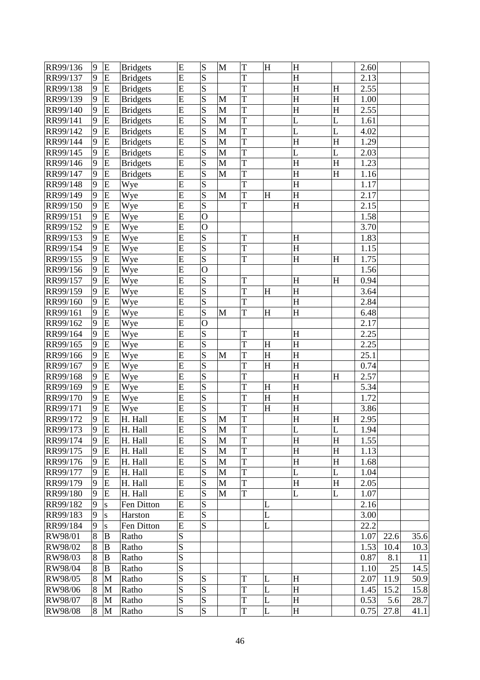| RR99/136             | 9 | ${\bf E}$      | <b>Bridgets</b> | E              | S              | M           | T              | $\boldsymbol{\mathrm{H}}$ | H                         |             | 2.60 |      |      |
|----------------------|---|----------------|-----------------|----------------|----------------|-------------|----------------|---------------------------|---------------------------|-------------|------|------|------|
| RR99/137             | 9 | ${\bf E}$      | <b>Bridgets</b> | E              | S              |             | T              |                           | H                         |             | 2.13 |      |      |
| RR99/138             | 9 | E              | <b>Bridgets</b> | E              | S              |             | T              |                           | $\boldsymbol{\mathrm{H}}$ | H           | 2.55 |      |      |
| RR99/139             | 9 | E              | <b>Bridgets</b> | E              | S              | M           | T              |                           | H                         | H           | 1.00 |      |      |
| RR99/140             | 9 | E              | <b>Bridgets</b> | $\overline{E}$ | S              | M           | T              |                           | $\boldsymbol{\mathrm{H}}$ | H           | 2.55 |      |      |
| RR99/141             | 9 | ${\bf E}$      | <b>Bridgets</b> | E              | S              | M           | T              |                           | L                         | L           | 1.61 |      |      |
| RR99/142             | 9 | E              | <b>Bridgets</b> | E              | S              | M           | T              |                           | L                         | L           | 4.02 |      |      |
| RR99/144             | 9 | E              | <b>Bridgets</b> | $\overline{E}$ | S              | M           | T              |                           | $\overline{\mathrm{H}}$   | H           | 1.29 |      |      |
| RR99/145             | 9 | E              | <b>Bridgets</b> | E              | S              | M           | T              |                           | L                         | L           | 2.03 |      |      |
| RR99/146             | 9 | E              | <b>Bridgets</b> | E              | S              | $\mathbf M$ | T              |                           | $\overline{\mathrm{H}}$   | $\mathbf H$ | 1.23 |      |      |
| RR99/147             | 9 | ${\bf E}$      | <b>Bridgets</b> | E              | S              | M           | T              |                           | $\boldsymbol{\mathrm{H}}$ | H           | 1.16 |      |      |
| RR99/148             | 9 | ${\bf E}$      | Wye             | E              | S              |             | T              |                           | H                         |             | 1.17 |      |      |
| RR99/149             | 9 | E              | Wye             | E              | S              | M           | T              | $H_{\rm}$                 | $H_{\rm}$                 |             | 2.17 |      |      |
| RR99/150             | 9 | E              | Wye             | E              | S              |             | T              |                           | H                         |             | 2.15 |      |      |
| RR99/151             | 9 | E              | Wye             | E              | $\overline{O}$ |             |                |                           |                           |             | 1.58 |      |      |
| RR99/152             | 9 | ${\bf E}$      | Wye             | E              | $\overline{O}$ |             |                |                           |                           |             | 3.70 |      |      |
| RR99/153             | 9 | ${\bf E}$      | Wye             | E              | S              |             | T              |                           | H                         |             | 1.83 |      |      |
| RR99/154             | 9 | E              | Wye             | E              | S              |             | T              |                           | $\boldsymbol{\mathrm{H}}$ |             | 1.15 |      |      |
| RR99/155             | 9 | E              | Wye             | E              | S              |             | T              |                           | H                         | H           | 1.75 |      |      |
| RR99/156             | 9 | $\overline{E}$ | Wye             | E              | $\overline{O}$ |             |                |                           |                           |             | 1.56 |      |      |
| RR99/157             | 9 | E              |                 | E              | ${\bf S}$      |             | T              |                           | $H_{\rm}$                 | H           | 0.94 |      |      |
| RR99/159             | 9 | E              | Wye             | E              | S              |             | T              | H                         | H                         |             | 3.64 |      |      |
|                      | 9 | E              | Wye             | E              | S              |             | T              |                           | H                         |             | 2.84 |      |      |
| RR99/160<br>RR99/161 | 9 | E              | Wye             | E              | S              | M           | T              | $H_{\rm}$                 | H                         |             | 6.48 |      |      |
| RR99/162             | 9 | E              | Wye             | E              | $\overline{O}$ |             |                |                           |                           |             | 2.17 |      |      |
|                      |   |                | Wye             |                |                |             |                |                           |                           |             |      |      |      |
| RR99/164             | 9 | E              | Wye             | E              | ${\bf S}$      |             | T              |                           | H                         |             | 2.25 |      |      |
| RR99/165             | 9 | ${\bf E}$      | Wye             | E              | S              |             | T              | H                         | H                         |             | 2.25 |      |      |
| RR99/166             | 9 | E              | Wye             | E              | S              | M           | T              | $\boldsymbol{\mathrm{H}}$ | $\boldsymbol{\mathrm{H}}$ |             | 25.1 |      |      |
| RR99/167             | 9 | E              | Wye             | E              | S              |             | T              | $\boldsymbol{\mathrm{H}}$ | $H_{\rm}$                 |             | 0.74 |      |      |
| RR99/168             | 9 | E              | Wye             | $\overline{E}$ | $\overline{S}$ |             | T              |                           | $\rm H$                   | H           | 2.57 |      |      |
| RR99/169             | 9 | E              | Wye             | E              | S              |             | T              | $\overline{\mathrm{H}}$   | $H_{\rm}$                 |             | 5.34 |      |      |
| RR99/170             | 9 | E              | Wye             | E              | S              |             | T              | H                         | $\boldsymbol{\mathrm{H}}$ |             | 1.72 |      |      |
| RR99/171             | 9 | ${\bf E}$      | Wye             | E              | S              |             | T              | $\boldsymbol{\mathrm{H}}$ | $H_{\rm}$                 |             | 3.86 |      |      |
| RR99/172             | 9 | $\overline{E}$ | H. Hall         | $\overline{E}$ | S              | M           | T              |                           | H                         | H           | 2.95 |      |      |
| RR99/173             | 9 | E              | H. Hall         | E              | S              | M           | T              |                           | L                         | L           | 1.94 |      |      |
| RR99/174             | 9 | E              | H. Hall         | E              | S              | M           | T              |                           | H                         | H           | 1.55 |      |      |
| RR99/175             | 9 | E              | H. Hall         | E              | S              | M           | T              |                           | H                         | H           | 1.13 |      |      |
| RR99/176             | 9 | ${\bf E}$      | H. Hall         | E              | S              | M           | T              |                           | H                         | H           | 1.68 |      |      |
| RR99/177             | 9 | E              | H. Hall         | E              | S              | M           | T              |                           | L                         | L           | 1.04 |      |      |
| RR99/179             | 9 | E              | H. Hall         | E              | S              | M           | T              |                           | H                         | H           | 2.05 |      |      |
| RR99/180             | 9 | E              | H. Hall         | E              | S              | M           | T              |                           | L                         | L           | 1.07 |      |      |
| RR99/182             | 9 | S              | Fen Ditton      | E              | S              |             |                | L                         |                           |             | 2.16 |      |      |
| RR99/183             | 9 | S              | Harston         | E              | S              |             |                | L                         |                           |             | 3.00 |      |      |
| RR99/184             | 9 | S              | Fen Ditton      | E              | S              |             |                | L                         |                           |             | 22.2 |      |      |
| RW98/01              | 8 | $\bf{B}$       | Ratho           | S              |                |             |                |                           |                           |             | 1.07 | 22.6 | 35.6 |
| RW98/02              | 8 | $\, {\bf B}$   | Ratho           | S              |                |             |                |                           |                           |             | 1.53 | 10.4 | 10.3 |
| RW98/03              | 8 | B              | Ratho           | S              |                |             |                |                           |                           |             | 0.87 | 8.1  | 11   |
| RW98/04              | 8 | B              | Ratho           | S              |                |             |                |                           |                           |             | 1.10 | 25   | 14.5 |
| RW98/05              | 8 | M              | Ratho           | S              | S              |             | T              | L                         | H                         |             | 2.07 | 11.9 | 50.9 |
| RW98/06              | 8 | M              | Ratho           | S              | S              |             | T              | L                         | H                         |             | 1.45 | 15.2 | 15.8 |
| RW98/07              | 8 | M              | Ratho           | S              | S              |             | T              | L                         | H                         |             | 0.53 | 5.6  | 28.7 |
| RW98/08              | 8 | M              | Ratho           | S              | $\overline{S}$ |             | $\overline{T}$ | L                         | H                         |             | 0.75 | 27.8 | 41.1 |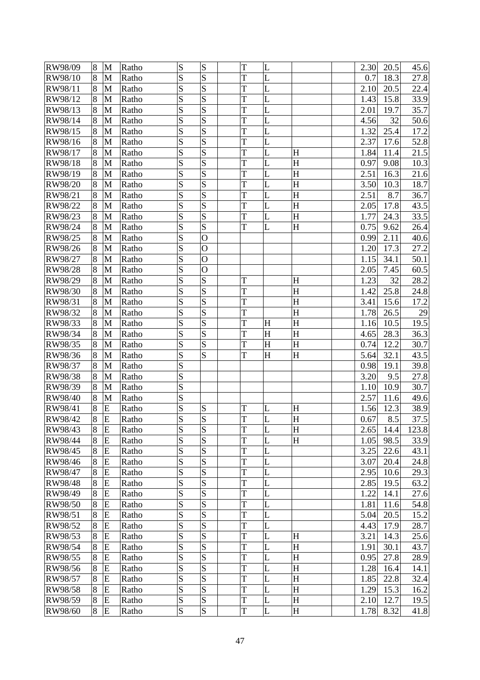| RW98/09 | 8 | M            | Ratho          | S      | S              | T      | L         |           | 2.30 | 20.5        | 45.6  |
|---------|---|--------------|----------------|--------|----------------|--------|-----------|-----------|------|-------------|-------|
| RW98/10 | 8 | M            | Ratho          | S      | S              | T      | L         |           | 0.7  | 18.3        | 27.8  |
| RW98/11 | 8 | M            | Ratho          | S      | S              | T      | L         |           | 2.10 | 20.5        | 22.4  |
| RW98/12 | 8 | $\mathbf{M}$ | Ratho          | S      | S              | T      | L         |           | 1.43 | 15.8        | 33.9  |
| RW98/13 | 8 | M            | Ratho          | S      | S              | T      | L         |           | 2.01 | 19.7        | 35.7  |
| RW98/14 | 8 | M            | Ratho          | S      | S              | T      | L         |           | 4.56 | 32          | 50.6  |
| RW98/15 | 8 | M            | Ratho          | S      | S              | T      | L         |           | 1.32 | 25.4        | 17.2  |
| RW98/16 | 8 | M            | Ratho          | S      | S              | T      | L         |           | 2.37 | 17.6        | 52.8  |
| RW98/17 | 8 | $\mathbf{M}$ | Ratho          | S      | S              | T      | L         | H         | 1.84 | 11.4        | 21.5  |
| RW98/18 | 8 | M            | Ratho          | S      | $\overline{S}$ | T      | L         | H         | 0.97 | 9.08        | 10.3  |
| RW98/19 | 8 | M            | Ratho          | S      | S              | T      | L         | H         | 2.51 | 16.3        | 21.6  |
| RW98/20 | 8 | M            | Ratho          | S      | S              | T      | L         | H         | 3.50 | 10.3        | 18.7  |
| RW98/21 | 8 | M            | Ratho          | S      | S              | T      | L         | H         | 2.51 | 8.7         | 36.7  |
| RW98/22 | 8 | $\mathbf{M}$ | Ratho          | S      | S              | T      | L         | H         | 2.05 | 17.8        | 43.5  |
| RW98/23 | 8 | M            | Ratho          | S      | S              | T      | L         | H         | 1.77 | 24.3        | 33.5  |
| RW98/24 | 8 | M            | Ratho          | S      | S              | T      | L         | H         | 0.75 | 9.62        | 26.4  |
| RW98/25 | 8 | M            | Ratho          | S      | $\overline{O}$ |        |           |           | 0.99 | 2.11        | 40.6  |
| RW98/26 | 8 | M            | Ratho          | S      | $\overline{O}$ |        |           |           | 1.20 | 17.3        | 27.2  |
| RW98/27 | 8 | $\mathbf{M}$ | Ratho          | S      | $\overline{O}$ |        |           |           | 1.15 | 34.1        | 50.1  |
| RW98/28 | 8 | M            | Ratho          | S      | $\overline{O}$ |        |           |           | 2.05 | 7.45        | 60.5  |
| RW98/29 | 8 | M            | Ratho          | S      | S              | T      |           | H         | 1.23 | 32          | 28.2  |
| RW98/30 | 8 | M            | Ratho          | S      | S              | T      |           | H         | 1.42 | 25.8        | 24.8  |
| RW98/31 | 8 | M            | Ratho          | S      | S              | T      |           | H         | 3.41 | 15.6        | 17.2  |
| RW98/32 | 8 | $\mathbf{M}$ | Ratho          | S      | S              | T      |           | H         | 1.78 | 26.5        | 29    |
| RW98/33 | 8 | M            | Ratho          | S      | S              | T      | H         | H         | 1.16 | 10.5        | 19.5  |
| RW98/34 | 8 | M            | Ratho          | S      | S              | T      | H         | H         | 4.65 | 28.3        | 36.3  |
| RW98/35 | 8 | M            | Ratho          | S      | S              | T      | H         | H         | 0.74 | 12.2        | 30.7  |
| RW98/36 | 8 | M            | Ratho          | S      | S              | T      | $H_{\rm}$ | $H_{\rm}$ | 5.64 | 32.1        | 43.5  |
| RW98/37 | 8 | M            | Ratho          | S      |                |        |           |           | 0.98 | 19.1        | 39.8  |
| RW98/38 | 8 | M            | Ratho          | S      |                |        |           |           | 3.20 | 9.5         | 27.8  |
| RW98/39 | 8 | $\mathbf{M}$ | Ratho          | S      |                |        |           |           | 1.10 | 10.9        | 30.7  |
| RW98/40 | 8 | M            | Ratho          | S      |                |        |           |           | 2.57 | 11.6        | 49.6  |
| RW98/41 | 8 | E            |                | S      | S              |        |           | $H_{\rm}$ | 1.56 |             | 38.9  |
| RW98/42 | 8 | E            | Ratho<br>Ratho | S      | S              | T<br>T | L<br>L    | H         | 0.67 | 12.3<br>8.5 | 37.5  |
|         |   |              |                |        | S              |        |           |           |      |             |       |
| RW98/43 | 8 | E<br>E       | Ratho          | S<br>S | S              | T<br>T | L<br>L    | H<br>H    | 2.65 | 14.4        | 123.8 |
| RW98/44 | 8 |              | Ratho          | S      | S              | T      | L         |           | 1.05 | 98.5        | 33.9  |
| RW98/45 | 8 | ${\bf E}$    | Ratho          | S      | S              | T      |           |           | 3.25 | 22.6        | 43.1  |
| RW98/46 | 8 | E            | Ratho          |        |                |        | L         |           | 3.07 | 20.4        | 24.8  |
| RW98/47 | 8 | E            | Ratho          | S      | S<br>S         | T      | L         |           | 2.95 | 10.6        | 29.3  |
| RW98/48 | 8 | E            | Ratho          | S      |                | T      | L         |           | 2.85 | 19.5        | 63.2  |
| RW98/49 | 8 | E            | Ratho          | S<br>S | S<br>S         | T      | L         |           | 1.22 | 14.1        | 27.6  |
| RW98/50 | 8 | E            | Ratho          |        |                | T      | L         |           | 1.81 | 11.6        | 54.8  |
| RW98/51 | 8 | E            | Ratho          | S      | S              | T      | L         |           | 5.04 | 20.5        | 15.2  |
| RW98/52 | 8 | E            | Ratho          | S      | S              | T      | L         |           | 4.43 | 17.9        | 28.7  |
| RW98/53 | 8 | E            | Ratho          | S      | S              | T      | L         | H         | 3.21 | 14.3        | 25.6  |
| RW98/54 | 8 | E            | Ratho          | S      | S              | T      | L         | H         | 1.91 | 30.1        | 43.7  |
| RW98/55 | 8 | ${\bf E}$    | Ratho          | S      | S              | T      | L         | $H_{\rm}$ | 0.95 | 27.8        | 28.9  |
| RW98/56 | 8 | E            | Ratho          | S      | S              | T      | L         | H         | 1.28 | 16.4        | 14.1  |
| RW98/57 | 8 | E            | Ratho          | S      | S              | T      | L         | H         | 1.85 | 22.8        | 32.4  |
| RW98/58 | 8 | E            | Ratho          | S      | S              | T      | L         | H         | 1.29 | 15.3        | 16.2  |
| RW98/59 | 8 | E            | Ratho          | S      | S              | T      | L         | H         | 2.10 | 12.7        | 19.5  |
| RW98/60 | 8 | E            | Ratho          | S      | $\overline{S}$ | T      | L         | $H_{\rm}$ | 1.78 | 8.32        | 41.8  |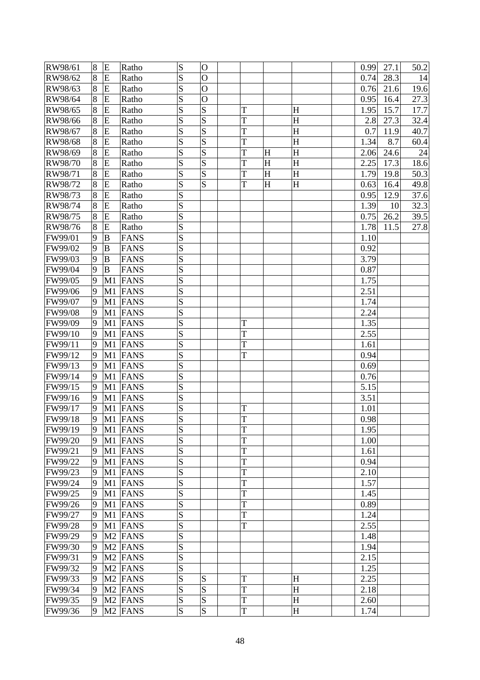| RW98/61 | 8 | E              | Ratho               | S | $\mathbf O$    |   |   |   | 0.99 | 27.1 | 50.2 |
|---------|---|----------------|---------------------|---|----------------|---|---|---|------|------|------|
| RW98/62 | 8 | E              | Ratho               | S | $\mathbf O$    |   |   |   | 0.74 | 28.3 | 14   |
| RW98/63 | 8 | E              | Ratho               | S | $\overline{O}$ |   |   |   | 0.76 | 21.6 | 19.6 |
| RW98/64 | 8 | E              | Ratho               | S | $\overline{O}$ |   |   |   | 0.95 | 16.4 | 27.3 |
| RW98/65 | 8 | E              | Ratho               | S | S              | T |   | H | 1.95 | 15.7 | 17.7 |
| RW98/66 | 8 | E              | Ratho               | S | S              | T |   | H | 2.8  | 27.3 | 32.4 |
| RW98/67 | 8 | E              | Ratho               | S | S              | T |   | H | 0.7  | 11.9 | 40.7 |
| RW98/68 | 8 | E              | Ratho               | S | $\overline{S}$ | T |   | H | 1.34 | 8.7  | 60.4 |
| RW98/69 | 8 | E              | Ratho               | S | S              | T | H | H | 2.06 | 24.6 | 24   |
| RW98/70 | 8 | E              | Ratho               | S | $\overline{S}$ | T | H | H | 2.25 | 17.3 | 18.6 |
| RW98/71 | 8 | E              | Ratho               | S | S              | T | H | H | 1.79 | 19.8 | 50.3 |
| RW98/72 | 8 | E              | Ratho               | S | S              | T | H | H | 0.63 | 16.4 | 49.8 |
| RW98/73 | 8 | E              | Ratho               | S |                |   |   |   | 0.95 | 12.9 | 37.6 |
| RW98/74 | 8 | E              | Ratho               | S |                |   |   |   | 1.39 | 10   | 32.3 |
| RW98/75 | 8 | E              | Ratho               | S |                |   |   |   | 0.75 | 26.2 | 39.5 |
| RW98/76 | 8 | E              | Ratho               | S |                |   |   |   | 1.78 | 11.5 | 27.8 |
| FW99/01 | 9 | $\mathbf B$    | <b>FANS</b>         | S |                |   |   |   | 1.10 |      |      |
| FW99/02 | 9 | $\overline{B}$ | <b>FANS</b>         | S |                |   |   |   | 0.92 |      |      |
| FW99/03 | 9 | $\mathbf B$    | <b>FANS</b>         | S |                |   |   |   | 3.79 |      |      |
| FW99/04 | 9 | $\mathbf B$    | <b>FANS</b>         | S |                |   |   |   | 0.87 |      |      |
| FW99/05 | 9 | M1             | <b>FANS</b>         | S |                |   |   |   | 1.75 |      |      |
| FW99/06 | 9 | M1             | <b>FANS</b>         | S |                |   |   |   | 2.51 |      |      |
| FW99/07 | 9 | M1             | <b>FANS</b>         | S |                |   |   |   | 1.74 |      |      |
| FW99/08 | 9 | M1             | FANS                | S |                |   |   |   | 2.24 |      |      |
| FW99/09 | 9 | M1             | FANS                | S |                | T |   |   | 1.35 |      |      |
| FW99/10 | 9 | M1             | <b>FANS</b>         | S |                | T |   |   | 2.55 |      |      |
| FW99/11 | 9 | M1             | <b>FANS</b>         | S |                | T |   |   | 1.61 |      |      |
| FW99/12 | 9 | M1             | <b>FANS</b>         | S |                | T |   |   | 0.94 |      |      |
| FW99/13 | 9 | M1             | FANS                | S |                |   |   |   | 0.69 |      |      |
| FW99/14 | 9 | M1             | FANS                | S |                |   |   |   | 0.76 |      |      |
| FW99/15 | 9 | M1             | FANS                | S |                |   |   |   | 5.15 |      |      |
| FW99/16 | 9 | M1             | FANS                | S |                |   |   |   | 3.51 |      |      |
| FW99/17 | 9 | M1             | FANS                | S |                | T |   |   | 1.01 |      |      |
| FW99/18 | 9 |                | M1 FANS             | S |                | T |   |   | 0.98 |      |      |
| FW99/19 | 9 |                | M1 FANS             | S |                | T |   |   | 1.95 |      |      |
| FW99/20 | 9 |                | M1 FANS             | S |                | T |   |   | 1.00 |      |      |
| FW99/21 | 9 |                | M1 FANS             | S |                | T |   |   | 1.61 |      |      |
| FW99/22 | 9 |                | M1 FANS             | S |                | T |   |   | 0.94 |      |      |
| FW99/23 | 9 |                | M1 FANS             | S |                | T |   |   | 2.10 |      |      |
| FW99/24 | 9 |                | M1 FANS             | S |                | T |   |   | 1.57 |      |      |
| FW99/25 | 9 |                | M1 FANS             | S |                | T |   |   | 1.45 |      |      |
| FW99/26 | 9 |                | M1 FANS             | S |                | T |   |   | 0.89 |      |      |
| FW99/27 | 9 | M1             | FANS                | S |                | T |   |   | 1.24 |      |      |
| FW99/28 | 9 |                | M1 FANS             | S |                | T |   |   | 2.55 |      |      |
| FW99/29 | 9 |                | M <sub>2</sub> FANS | S |                |   |   |   | 1.48 |      |      |
| FW99/30 | 9 |                | M <sub>2</sub> FANS | S |                |   |   |   | 1.94 |      |      |
| FW99/31 | 9 |                | M <sub>2</sub> FANS | S |                |   |   |   | 2.15 |      |      |
| FW99/32 | 9 |                | M <sub>2</sub> FANS | S |                |   |   |   | 1.25 |      |      |
| FW99/33 | 9 |                | M <sub>2</sub> FANS | S | S              | T |   | H | 2.25 |      |      |
| FW99/34 | 9 |                | M <sub>2</sub> FANS | S | S              | T |   | H | 2.18 |      |      |
| FW99/35 | 9 |                | M <sub>2</sub> FANS | S | S              | T |   | H | 2.60 |      |      |
| FW99/36 | 9 |                | M <sub>2</sub> FANS | S | S              | T |   | H | 1.74 |      |      |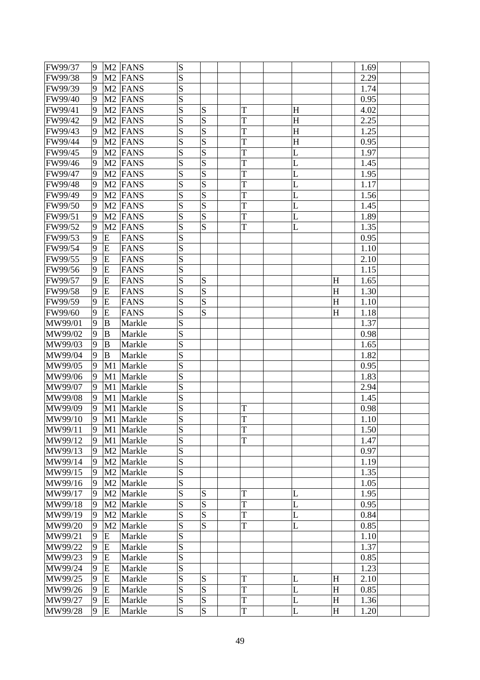| FW99/37 | 9              |                | M <sub>2</sub> FANS   | ${\bf S}$      |                |   |           |           | 1.69         |  |
|---------|----------------|----------------|-----------------------|----------------|----------------|---|-----------|-----------|--------------|--|
| FW99/38 | 9              |                | M <sub>2</sub> FANS   | S              |                |   |           |           | 2.29         |  |
| FW99/39 | 9              |                | M <sub>2</sub> FANS   | S              |                |   |           |           | 1.74         |  |
| FW99/40 | 9              |                | M <sub>2</sub> FANS   | S              |                |   |           |           | 0.95         |  |
| FW99/41 | 9              |                | M <sub>2</sub> FANS   | S              | S              | T | $H_{\rm}$ |           | 4.02         |  |
| FW99/42 | 9              |                | M <sub>2</sub> FANS   | S              | S              | T | H         |           | 2.25         |  |
| FW99/43 | 9              |                | M <sub>2</sub> FANS   | S              | S              | T | $H_{\rm}$ |           | 1.25         |  |
| FW99/44 | 9              | M <sub>2</sub> | <b>FANS</b>           | S              | S              | T | H         |           | 0.95         |  |
| FW99/45 | 9              |                | M <sub>2</sub> FANS   | S              | S              | T | L         |           | 1.97         |  |
| FW99/46 | 9              |                | M <sub>2</sub> FANS   | S              | S              | T | L         |           | 1.45         |  |
| FW99/47 | 9              |                | M <sub>2</sub> FANS   | S              | S              | T | L         |           | 1.95         |  |
| FW99/48 | 9              |                | M <sub>2</sub> FANS   | S              | S              | T | L         |           | 1.17         |  |
| FW99/49 | 9              | M <sub>2</sub> | <b>FANS</b>           | S              | S              | T | L         |           | 1.56         |  |
| FW99/50 | 9              |                | M <sub>2</sub> FANS   | S              | S              | T | L         |           | 1.45         |  |
| FW99/51 | 9              | M <sub>2</sub> | <b>FANS</b>           | S              | S              | T | L         |           | 1.89         |  |
| FW99/52 | 9              | M2             | <b>FANS</b>           | S              | S              | T | L         |           | 1.35         |  |
| FW99/53 | 9              | E              | <b>FANS</b>           | S              |                |   |           |           | 0.95         |  |
| FW99/54 | 9              | ${\bf E}$      | <b>FANS</b>           | S              |                |   |           |           | 1.10         |  |
| FW99/55 | 9              | E              | <b>FANS</b>           | S              |                |   |           |           | 2.10         |  |
| FW99/56 | 9              | E              | <b>FANS</b>           | S              |                |   |           |           | 1.15         |  |
| FW99/57 | 9              | E              | <b>FANS</b>           | S              | S              |   |           | $H_{\rm}$ | 1.65         |  |
| FW99/58 | 9              | E              | <b>FANS</b>           | ${\bf S}$      | S              |   |           | H         | 1.30         |  |
| FW99/59 | 9              | E              | <b>FANS</b>           | S              | S              |   |           | H         | 1.10         |  |
| FW99/60 | 9              | E              | <b>FANS</b>           | S              | S              |   |           | H         | 1.18         |  |
| MW99/01 | 9              | B              | Markle                | S              |                |   |           |           | 1.37         |  |
| MW99/02 | 9              | B              | Markle                | S              |                |   |           |           | 0.98         |  |
| MW99/03 | 9              | B              | Markle                | ${\bf S}$      |                |   |           |           | 1.65         |  |
| MW99/04 | 9              | B              | Markle                | S              |                |   |           |           | 1.82         |  |
| MW99/05 | 9              | M1             | Markle                | S              |                |   |           |           | 0.95         |  |
| MW99/06 | 9              | M1             | Markle                | S              |                |   |           |           | 1.83         |  |
| MW99/07 | 9              | M1             | Markle                | S              |                |   |           |           | 2.94         |  |
| MW99/08 | $\overline{9}$ | M1             | Markle                | S              |                |   |           |           | 1.45         |  |
| MW99/09 | 9              | M1             | Markle                | ${\bf S}$      |                | T |           |           | 0.98         |  |
| MW99/10 | 9              |                | M1 Markle             | $\overline{S}$ |                | T |           |           | 1.10         |  |
| MW99/11 | 9              | M1             | Markle                | ${\bf S}$      |                | T |           |           | 1.50         |  |
| MW99/12 | 9              | M1             | Markle                | S              |                | T |           |           | 1.47         |  |
| MW99/13 | 9              |                | M <sub>2</sub> Markle | S              |                |   |           |           | 0.97         |  |
| MW99/14 | 9              |                | M <sub>2</sub> Markle | S              |                |   |           |           | 1.19         |  |
| MW99/15 | 9              |                | M <sub>2</sub> Markle | S              |                |   |           |           | 1.35         |  |
| MW99/16 | 9              |                | M <sub>2</sub> Markle | S              |                |   |           |           | 1.05         |  |
| MW99/17 | 9              |                | M <sub>2</sub> Markle | S              | S              | T | L         |           | 1.95         |  |
| MW99/18 | 9              |                | M <sub>2</sub> Markle | S              | S              | T | L         |           | 0.95         |  |
| MW99/19 | 9              |                | M <sub>2</sub> Markle | S              | S              | T | L         |           | 0.84         |  |
| MW99/20 | 9              |                | M <sub>2</sub> Markle | S              | $\overline{S}$ | T | L         |           | 0.85         |  |
|         | 9              | E              |                       | S              |                |   |           |           | 1.10         |  |
| MW99/21 |                |                | Markle                |                |                |   |           |           |              |  |
| MW99/22 | 9<br>9         | E              | Markle                | ${\bf S}$<br>S |                |   |           |           | 1.37<br>0.85 |  |
| MW99/23 |                | E              | Markle                | S              |                |   |           |           |              |  |
| MW99/24 | 9              | E              | Markle                | S              | S              | T |           |           | 1.23         |  |
| MW99/25 | 9              | E              | Markle                |                |                |   | L         | H         | 2.10         |  |
| MW99/26 | 9              | E              | Markle                | S              | S              | T | L         | H         | 0.85         |  |
| MW99/27 | 9              | E              | Markle                | ${\bf S}$      | S              | T | L         | H         | 1.36         |  |
| MW99/28 | 9              | E              | Markle                | S              | S              | T | L         | H         | 1.20         |  |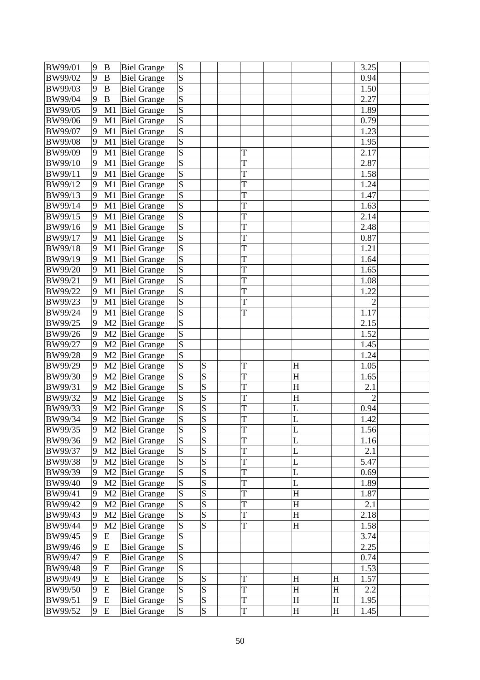| BW99/01 | 9      | $\, {\bf B}$   | <b>Biel Grange</b>         | ${\bf S}$           |                         |        |           |                           | 3.25           |  |
|---------|--------|----------------|----------------------------|---------------------|-------------------------|--------|-----------|---------------------------|----------------|--|
| BW99/02 | 9      | B              | <b>Biel Grange</b>         | S                   |                         |        |           |                           | 0.94           |  |
| BW99/03 | 9      | B              | <b>Biel Grange</b>         | S                   |                         |        |           |                           | 1.50           |  |
| BW99/04 | 9      | $\mathbf B$    | <b>Biel Grange</b>         | $\overline{S}$      |                         |        |           |                           | 2.27           |  |
| BW99/05 | 9      | M <sub>1</sub> | <b>Biel Grange</b>         | S                   |                         |        |           |                           | 1.89           |  |
| BW99/06 | 9      | M1             | <b>Biel Grange</b>         | S                   |                         |        |           |                           | 0.79           |  |
| BW99/07 | 9      | M1             | <b>Biel Grange</b>         | S                   |                         |        |           |                           | 1.23           |  |
| BW99/08 | 9      | M1             | <b>Biel Grange</b>         | S                   |                         |        |           |                           | 1.95           |  |
| BW99/09 | 9      | M1             | <b>Biel Grange</b>         | $\overline{S}$      |                         | T      |           |                           | 2.17           |  |
| BW99/10 | 9      | M1             | <b>Biel Grange</b>         | S                   |                         | T      |           |                           | 2.87           |  |
| BW99/11 | 9      | M1             | <b>Biel Grange</b>         | S                   |                         | T      |           |                           | 1.58           |  |
| BW99/12 | 9      | M1             | <b>Biel Grange</b>         | S                   |                         | T      |           |                           | 1.24           |  |
| BW99/13 | 9      | M1             | <b>Biel Grange</b>         | S                   |                         | T      |           |                           | 1.47           |  |
| BW99/14 | 9      | M1             | <b>Biel Grange</b>         | $\overline{S}$      |                         | T      |           |                           | 1.63           |  |
| BW99/15 | 9      | M1             | <b>Biel Grange</b>         | S                   |                         | T      |           |                           | 2.14           |  |
| BW99/16 | 9      | M1             | <b>Biel Grange</b>         | S                   |                         | T      |           |                           | 2.48           |  |
| BW99/17 | 9      | M1             | <b>Biel Grange</b>         | S                   |                         | T      |           |                           | 0.87           |  |
| BW99/18 | 9      | M1             | <b>Biel Grange</b>         | S                   |                         | T      |           |                           | 1.21           |  |
| BW99/19 | 9      | M1             | <b>Biel Grange</b>         | $\overline{S}$      |                         | T      |           |                           | 1.64           |  |
| BW99/20 | 9      | M1             | <b>Biel Grange</b>         | S                   |                         | T      |           |                           | 1.65           |  |
| BW99/21 | 9      | M1             | <b>Biel Grange</b>         | S                   |                         | T      |           |                           | 1.08           |  |
| BW99/22 | 9      | M1             | <b>Biel Grange</b>         | $\overline{s}$      |                         | T      |           |                           | 1.22           |  |
| BW99/23 | 9      | M1             | <b>Biel Grange</b>         | S                   |                         | T      |           |                           | $\overline{2}$ |  |
| BW99/24 | 9      | M1             | <b>Biel Grange</b>         | $\overline{S}$      |                         | T      |           |                           | 1.17           |  |
| BW99/25 | 9      | M <sub>2</sub> | <b>Biel Grange</b>         | S                   |                         |        |           |                           | 2.15           |  |
| BW99/26 | 9      | M <sub>2</sub> | <b>Biel Grange</b>         | S                   |                         |        |           |                           | 1.52           |  |
| BW99/27 | 9      | M <sub>2</sub> |                            | S                   |                         |        |           |                           | 1.45           |  |
| BW99/28 | 9      | M <sub>2</sub> | <b>Biel Grange</b>         |                     |                         |        |           |                           | 1.24           |  |
| BW99/29 | 9      |                | <b>Biel Grange</b>         | S<br>S              | S                       |        |           |                           |                |  |
|         | 9      | M <sub>2</sub> | <b>Biel Grange</b>         | S                   | S                       | T<br>T | H<br>H    |                           | 1.05           |  |
| BW99/30 |        | M <sub>2</sub> | <b>Biel Grange</b>         |                     |                         |        |           |                           | 1.65           |  |
| BW99/31 | 9      | M <sub>2</sub> | <b>Biel Grange</b>         | S                   | S                       | T      | H         |                           | 2.1            |  |
| BW99/32 | 9      | M <sub>2</sub> | <b>Biel Grange</b>         | S                   | S                       | T      | H         |                           | $\overline{2}$ |  |
| BW99/33 | 9<br>9 | M <sub>2</sub> | <b>Biel Grange</b>         | S<br>$\overline{S}$ | S<br>S                  | T      | L         |                           | 0.94           |  |
| BW99/34 |        |                | M2 Biel Grange             |                     |                         | T      | L         |                           | 1.42           |  |
| BW99/35 | 9      |                | M <sub>2</sub> Biel Grange | ${\bf S}$           | S                       | T      | L         |                           | 1.56           |  |
| BW99/36 | 9      |                | M <sub>2</sub> Biel Grange | S                   | S                       | T      | L         |                           | 1.16           |  |
| BW99/37 | 9      |                | M <sub>2</sub> Biel Grange | S                   | $\overline{S}$          | T      | L         |                           | 2.1            |  |
| BW99/38 | 9      |                | M2 Biel Grange             | S                   | S                       | T      | L         |                           | 5.47           |  |
| BW99/39 | 9      |                | M2 Biel Grange             | S                   | S                       | T      | L         |                           | 0.69           |  |
| BW99/40 | 9      |                | M <sub>2</sub> Biel Grange | S                   | S                       | T      | L         |                           | 1.89           |  |
| BW99/41 | 9      |                | M <sub>2</sub> Biel Grange | S                   | S                       | T      | H         |                           | 1.87           |  |
| BW99/42 | 9      | M <sub>2</sub> | <b>Biel Grange</b>         | S                   | $\overline{S}$          | T      | H         |                           | 2.1            |  |
| BW99/43 | 9      | M2             | <b>Biel Grange</b>         | ${\bf S}$           | S                       | T      | H         |                           | 2.18           |  |
| BW99/44 | 9      |                | M2 Biel Grange             | S                   | $\overline{\mathbf{S}}$ | T      | H         |                           | 1.58           |  |
| BW99/45 | 9      | ${\bf E}$      | <b>Biel Grange</b>         | S                   |                         |        |           |                           | 3.74           |  |
| BW99/46 | 9      | E              | <b>Biel Grange</b>         | S                   |                         |        |           |                           | 2.25           |  |
| BW99/47 | 9      | ${\bf E}$      | <b>Biel Grange</b>         | S                   |                         |        |           |                           | 0.74           |  |
| BW99/48 | 9      | ${\bf E}$      | <b>Biel Grange</b>         | S                   |                         |        |           |                           | 1.53           |  |
| BW99/49 | 9      | E              | <b>Biel Grange</b>         | S                   | S                       | T      | $H_{\rm}$ | $H_{\rm}$                 | 1.57           |  |
| BW99/50 | 9      | ${\bf E}$      | <b>Biel Grange</b>         | S                   | S                       | T      | $H_{\rm}$ | $\boldsymbol{\mathrm{H}}$ | 2.2            |  |
| BW99/51 | 9      | ${\bf E}$      | <b>Biel Grange</b>         | S                   | S                       | T      | H         | H                         | 1.95           |  |
| BW99/52 | 9      | E              | <b>Biel Grange</b>         | S                   | $\overline{S}$          | T      | H         | H                         | 1.45           |  |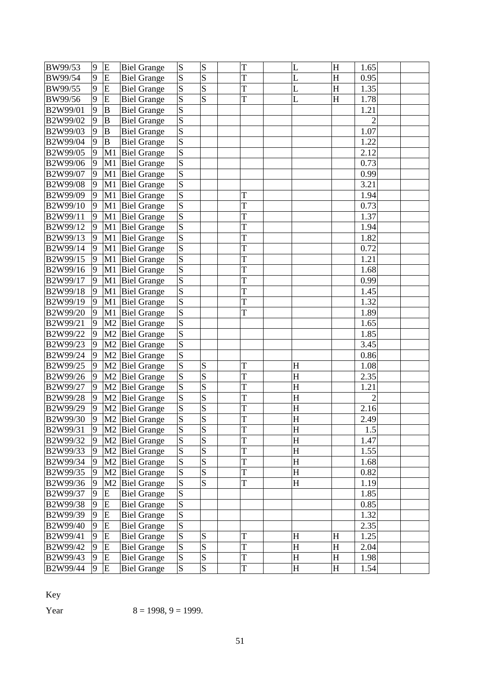| BW99/53  | 9              | E              | <b>Biel Grange</b>         | S                       | S                       | T | L                       | H | 1.65           |  |
|----------|----------------|----------------|----------------------------|-------------------------|-------------------------|---|-------------------------|---|----------------|--|
| BW99/54  | 9              | E              | <b>Biel Grange</b>         | S                       | S                       | T | L                       | H | 0.95           |  |
| BW99/55  | 9              | E              | <b>Biel Grange</b>         | S                       | S                       | T | L                       | H | 1.35           |  |
| BW99/56  | 9              | E              | <b>Biel Grange</b>         | S                       | S                       | T | L                       | H | 1.78           |  |
| B2W99/01 | 9              | B              | <b>Biel Grange</b>         | $\overline{S}$          |                         |   |                         |   | 1.21           |  |
| B2W99/02 | 9              | $\, {\bf B}$   | <b>Biel Grange</b>         | $\vert S \vert$         |                         |   |                         |   | $\overline{c}$ |  |
| B2W99/03 | 9              | $\mathbf B$    | <b>Biel Grange</b>         | S                       |                         |   |                         |   | 1.07           |  |
| B2W99/04 | 9              | $\overline{B}$ | <b>Biel Grange</b>         | $\overline{S}$          |                         |   |                         |   | 1.22           |  |
| B2W99/05 | $\overline{9}$ | M1             | <b>Biel Grange</b>         | S                       |                         |   |                         |   | 2.12           |  |
| B2W99/06 | 9              | M1             | <b>Biel Grange</b>         | $\overline{S}$          |                         |   |                         |   | 0.73           |  |
| B2W99/07 | 9              | M1             | <b>Biel Grange</b>         | S                       |                         |   |                         |   | 0.99           |  |
| B2W99/08 | 9              | M1             | <b>Biel Grange</b>         | $\overline{\mathbf{S}}$ |                         |   |                         |   | 3.21           |  |
| B2W99/09 | 9              | M1             | <b>Biel Grange</b>         | S                       |                         | T |                         |   | 1.94           |  |
| B2W99/10 | 9              | M1             | <b>Biel Grange</b>         | $\overline{S}$          |                         | T |                         |   | 0.73           |  |
| B2W99/11 | 9              | M1             | <b>Biel Grange</b>         | $\overline{S}$          |                         | T |                         |   | 1.37           |  |
| B2W99/12 | 9              | M1             | <b>Biel Grange</b>         | $\vert S \vert$         |                         | T |                         |   | 1.94           |  |
| B2W99/13 | 9              | M1             | <b>Biel Grange</b>         | $\overline{\mathbf{S}}$ |                         | T |                         |   | 1.82           |  |
| B2W99/14 | 9              | M1             | <b>Biel Grange</b>         | S                       |                         | T |                         |   | 0.72           |  |
| B2W99/15 | 9              | M1             | <b>Biel Grange</b>         | S                       |                         | T |                         |   | 1.21           |  |
| B2W99/16 | 9              | M1             | <b>Biel Grange</b>         | S                       |                         | T |                         |   | 1.68           |  |
| B2W99/17 | 9              | M1             | <b>Biel Grange</b>         | S                       |                         | T |                         |   | 0.99           |  |
| B2W99/18 | 9              | M1             | <b>Biel Grange</b>         | $\overline{S}$          |                         | T |                         |   | 1.45           |  |
| B2W99/19 | 9              | M1             | <b>Biel Grange</b>         | S                       |                         | T |                         |   | 1.32           |  |
| B2W99/20 | 9              | M1             | <b>Biel Grange</b>         | S                       |                         | T |                         |   | 1.89           |  |
| B2W99/21 | 9              | M <sub>2</sub> | <b>Biel Grange</b>         | $\overline{S}$          |                         |   |                         |   | 1.65           |  |
| B2W99/22 | 9              | M <sub>2</sub> | <b>Biel Grange</b>         | S                       |                         |   |                         |   | 1.85           |  |
| B2W99/23 | 9              | M <sub>2</sub> | <b>Biel Grange</b>         | $\overline{S}$          |                         |   |                         |   | 3.45           |  |
| B2W99/24 | 9              | M <sub>2</sub> | <b>Biel Grange</b>         | S                       |                         |   |                         |   | 0.86           |  |
| B2W99/25 | 9              | M <sub>2</sub> | <b>Biel Grange</b>         | S                       | S                       | T | $H_{\rm}$               |   | 1.08           |  |
| B2W99/26 | 9              | M <sub>2</sub> | <b>Biel Grange</b>         | $\overline{S}$          | S                       | T | $\overline{\mathrm{H}}$ |   | 2.35           |  |
| B2W99/27 | 9              | M <sub>2</sub> | <b>Biel Grange</b>         | S                       | S                       | T | H                       |   | 1.21           |  |
| B2W99/28 | 9              | M <sub>2</sub> | <b>Biel Grange</b>         | S                       | S                       | T | H                       |   | $\overline{c}$ |  |
| B2W99/29 | 9              | M <sub>2</sub> | <b>Biel Grange</b>         | S                       | S                       | T | $H_{\rm}$               |   | 2.16           |  |
| B2W99/30 | 9              | M <sub>2</sub> | <b>Biel Grange</b>         | $\overline{S}$          | S                       | T | H                       |   | 2.49           |  |
| B2W99/31 | 9              |                | M2 Biel Grange             | S                       | S                       | T | H                       |   | $1.5\,$        |  |
| B2W99/32 | 9              |                | M <sub>2</sub> Biel Grange | S                       | S                       | T | H                       |   | 1.47           |  |
| B2W99/33 | 9              |                | M <sub>2</sub> Biel Grange | S                       | $\overline{\mathbf{S}}$ | T | H                       |   | 1.55           |  |
| B2W99/34 | 9              |                | M2 Biel Grange             | S                       | S                       | T | H                       |   | 1.68           |  |
| B2W99/35 | 9              |                | M2 Biel Grange             | S                       | S                       | T | H                       |   | 0.82           |  |
| B2W99/36 | 9              | M <sub>2</sub> | <b>Biel Grange</b>         | S                       | $\overline{\mathbf{S}}$ | T | H                       |   | 1.19           |  |
| B2W99/37 | 9              | ${\bf E}$      | <b>Biel Grange</b>         | S                       |                         |   |                         |   | 1.85           |  |
| B2W99/38 | 9              | E              | <b>Biel Grange</b>         | $\overline{S}$          |                         |   |                         |   | 0.85           |  |
| B2W99/39 | 9              | E              | <b>Biel Grange</b>         | $\overline{S}$          |                         |   |                         |   | 1.32           |  |
| B2W99/40 | 9              | E              | <b>Biel Grange</b>         | $\overline{S}$          |                         |   |                         |   | 2.35           |  |
| B2W99/41 | 9              | ${\bf E}$      | <b>Biel Grange</b>         | S                       | S                       | T | H                       | H | 1.25           |  |
| B2W99/42 | 9              | E              | <b>Biel Grange</b>         | $\vert S \vert$         | S                       | T | H                       | H | 2.04           |  |
| B2W99/43 | 9              | E              | <b>Biel Grange</b>         | S                       | $\overline{\mathbf{S}}$ | T | H                       | H | 1.98           |  |
| B2W99/44 | 9              | ${\bf E}$      | <b>Biel Grange</b>         | $\vert S \vert$         | S                       | T | H                       | H | 1.54           |  |

Key

Year  $8 = 1998, 9 = 1999.$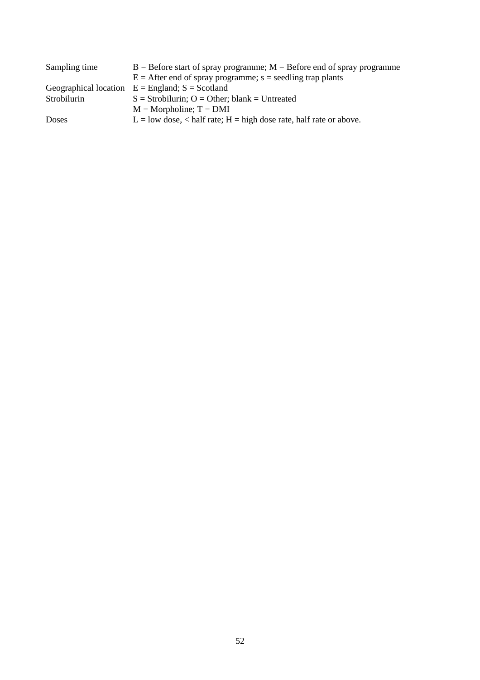| Sampling time | $B =$ Before start of spray programme; $M =$ Before end of spray programme |
|---------------|----------------------------------------------------------------------------|
|               | $E =$ After end of spray programme; s = seedling trap plants               |
|               | Geographical location $E =$ England; $S =$ Scotland                        |
| Strobilurin   | $S =$ Strobilurin; O = Other; blank = Untreated                            |
|               | $M = Morpholine; T = DMI$                                                  |
| Doses         | $L =$ low dose, < half rate; $H =$ high dose rate, half rate or above.     |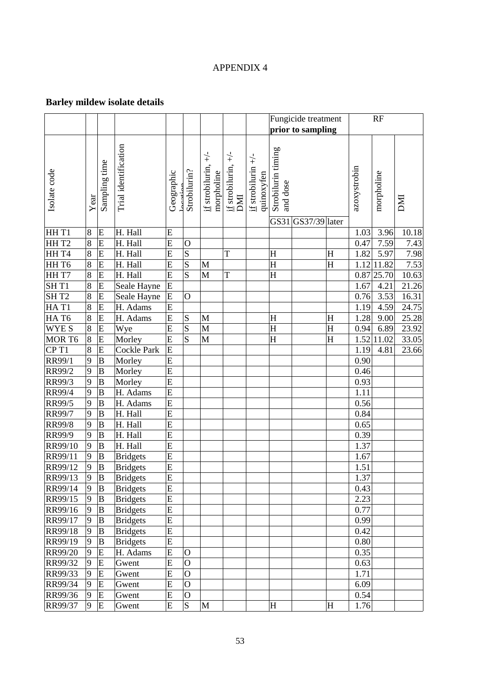# APPENDIX 4

# **Barley mildew isolate details**

|                  |                |                  |                      |                |                         |                                      |                                                 | Fungicide treatment                                   |                                |                   |             |              | RF         |            |
|------------------|----------------|------------------|----------------------|----------------|-------------------------|--------------------------------------|-------------------------------------------------|-------------------------------------------------------|--------------------------------|-------------------|-------------|--------------|------------|------------|
|                  |                |                  |                      |                |                         |                                      |                                                 |                                                       |                                | prior to sampling |             |              |            |            |
| Isolate code     | Year           | Sampling time    | Trial identification | Geographic     | Strobilurin?            | if strobilurin, $+\/-$<br>morpholine | $\underline{\text{if}}$ strobilurin, +/-<br>DMI | $\underline{\text{if}}$ strobilurin +/-<br>quinoxyfen | Strobilurin timing<br>and dose |                   |             | azoxystrobin | morpholine | <b>INC</b> |
|                  |                |                  |                      |                |                         |                                      |                                                 |                                                       | GS31                           | GS37/39 later     |             |              |            |            |
| HHT1             | $\bf 8$        | ${\bf E}$        | H. Hall              | E              |                         |                                      |                                                 |                                                       |                                |                   |             | 1.03         | 3.96       | 10.18      |
| HHT2             | 8              | E                | H. Hall              | E              | $\mathbf{O}$            |                                      |                                                 |                                                       |                                |                   |             | 0.47         | 7.59       | 7.43       |
| HH T4            | 8              | E                | H. Hall              | E              | $\frac{S}{S}$           |                                      | T                                               |                                                       | H                              |                   | H           | 1.82         | 5.97       | 7.98       |
| HH T6            | $\overline{8}$ | $\mathbf E$      | H. Hall              | E              |                         | M                                    |                                                 |                                                       | H                              |                   | H           | 1.12         | 11.82      | 7.53       |
| HHT7             | $\overline{8}$ | E                | H. Hall              | E              | $\overline{S}$          | $\mathbf{M}$                         | T                                               |                                                       | $H_{\rm}$                      |                   |             | 0.87         | 25.70      | 10.63      |
| SH <sub>T1</sub> | $\overline{8}$ | $\overline{E}$   | Seale Hayne          | $\overline{E}$ |                         |                                      |                                                 |                                                       |                                |                   |             | 1.67         | 4.21       | 21.26      |
| SHT <sub>2</sub> | $\overline{8}$ | E                | Seale Hayne          | E              | $\overline{O}$          |                                      |                                                 |                                                       |                                |                   |             | 0.76         | 3.53       | 16.31      |
| HAT1             | $\overline{8}$ | E                | H. Adams             | E              |                         |                                      |                                                 |                                                       |                                |                   |             | 1.19         | 4.59       | 24.75      |
| HAT6             | $\overline{8}$ | E                | H. Adams             | $\mathbf E$    | ${\bf S}$               | $\mathbf M$                          |                                                 |                                                       | H                              |                   | H           | 1.28         | 9.00       | 25.28      |
| <b>WYES</b>      | $\overline{8}$ | $\mathbf E$      | Wye                  | E              | $\overline{\mathbf{S}}$ | $\mathbf{M}$                         |                                                 |                                                       | H                              |                   | $\mathbf H$ | 0.94         | 6.89       | 23.92      |
| MOR T6           | $\overline{8}$ | $\overline{E}$   | Morley               | $\overline{E}$ | $\overline{S}$          | $\mathbf{M}$                         |                                                 |                                                       | $\overline{\mathrm{H}}$        |                   | H           | 1.52         | 11.02      | 33.05      |
| CP <sub>T1</sub> | 8              | E                | Cockle Park          | E              |                         |                                      |                                                 |                                                       |                                |                   |             | 1.19         | 4.81       | 23.66      |
| RR99/1           | 9              | $\, {\bf B}$     | Morley               | E              |                         |                                      |                                                 |                                                       |                                |                   |             | 0.90         |            |            |
| RR99/2           | 9              | $\, {\bf B}$     | Morley               | $\mathbf E$    |                         |                                      |                                                 |                                                       |                                |                   |             | 0.46         |            |            |
| RR99/3           | $\overline{9}$ | $\, {\bf B}$     | Morley               | E              |                         |                                      |                                                 |                                                       |                                |                   |             | 0.93         |            |            |
| RR99/4           | 9              | $\overline{B}$   | H. Adams             | $\overline{E}$ |                         |                                      |                                                 |                                                       |                                |                   |             | 1.11         |            |            |
| RR99/5           | 9              | $\, {\bf B}$     | H. Adams             | $\mathbf E$    |                         |                                      |                                                 |                                                       |                                |                   |             | 0.56         |            |            |
| RR99/7           | 9              | $\, {\bf B}$     | H. Hall              | E              |                         |                                      |                                                 |                                                       |                                |                   |             | 0.84         |            |            |
| RR99/8           | 9              | $\, {\bf B}$     | H. Hall              | $\mathbf E$    |                         |                                      |                                                 |                                                       |                                |                   |             | 0.65         |            |            |
| RR99/9           | $\overline{9}$ | $\, {\bf B}$     | H. Hall              | E              |                         |                                      |                                                 |                                                       |                                |                   |             | 0.39         |            |            |
| RR99/10          | 9              | $\, {\bf B}$     | H. Hall              | $\overline{E}$ |                         |                                      |                                                 |                                                       |                                |                   |             | 1.37         |            |            |
| RR99/11          | 9              | $\, {\bf B}$     | <b>Bridgets</b>      | E              |                         |                                      |                                                 |                                                       |                                |                   |             | 1.67         |            |            |
| RR99/12          | 9              | $\bf{B}$         | <b>Bridgets</b>      | E              |                         |                                      |                                                 |                                                       |                                |                   |             | 1.51         |            |            |
| RR99/13          | 19             | B                | <b>Bridgets</b>      | E              |                         |                                      |                                                 |                                                       |                                |                   |             | 1.37         |            |            |
| RR99/14          | 9              | B                | <b>Bridgets</b>      | ${\bf E}$      |                         |                                      |                                                 |                                                       |                                |                   |             | 0.43         |            |            |
| RR99/15          | 9              | $\, {\bf B}$     | <b>Bridgets</b>      | E              |                         |                                      |                                                 |                                                       |                                |                   |             | 2.23         |            |            |
| RR99/16          | 9              | B                | <b>Bridgets</b>      | ${\bf E}$      |                         |                                      |                                                 |                                                       |                                |                   |             | 0.77         |            |            |
| RR99/17          | 9              | B                | <b>Bridgets</b>      | ${\bf E}$      |                         |                                      |                                                 |                                                       |                                |                   |             | 0.99         |            |            |
| RR99/18          | 9              | B                | <b>Bridgets</b>      | ${\bf E}$      |                         |                                      |                                                 |                                                       |                                |                   |             | 0.42         |            |            |
| RR99/19          | 9              | $\boldsymbol{B}$ | <b>Bridgets</b>      | ${\bf E}$      |                         |                                      |                                                 |                                                       |                                |                   |             | 0.80         |            |            |
| RR99/20          | 9              | ${\bf E}$        | H. Adams             | E              | $\mathbf{O}$            |                                      |                                                 |                                                       |                                |                   |             | 0.35         |            |            |
| RR99/32          | 9              | E                | Gwent                | E              | $\overline{O}$          |                                      |                                                 |                                                       |                                |                   |             | 0.63         |            |            |
| RR99/33          | 9              | E                | Gwent                | E              | $\mathbf O$             |                                      |                                                 |                                                       |                                |                   |             | 1.71         |            |            |
| RR99/34          | $\mathbf{Q}$   | E                | Gwent                | E              | $\overline{O}$          |                                      |                                                 |                                                       |                                |                   |             | 6.09         |            |            |
| RR99/36          | 9              | ${\bf E}$        | Gwent                | ${\bf E}$      | $\overline{O}$          |                                      |                                                 |                                                       |                                |                   |             | 0.54         |            |            |
| RR99/37          | 9              | ${\bf E}$        | Gwent                | E              | $\overline{S}$          | $\mathbf M$                          |                                                 |                                                       | H                              |                   | $\rm H$     | 1.76         |            |            |
|                  |                |                  |                      |                |                         |                                      |                                                 |                                                       |                                |                   |             |              |            |            |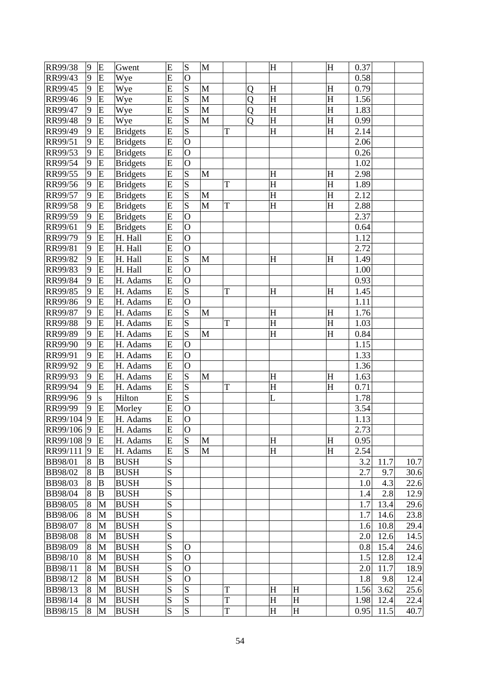| RR99/38        | 9 | ${\bf E}$ | Gwent           | E         | ${\bf S}$      | M            |   |   | H                         |   | H | 0.37 |      |      |
|----------------|---|-----------|-----------------|-----------|----------------|--------------|---|---|---------------------------|---|---|------|------|------|
| RR99/43        | 9 | E         | Wye             | E         | $\overline{O}$ |              |   |   |                           |   |   | 0.58 |      |      |
| RR99/45        | 9 | E         | Wye             | E         | S              | M            |   | Q | H                         |   | H | 0.79 |      |      |
| RR99/46        | 9 | E         | Wye             | E         | S              | M            |   | Q | H                         |   | H | 1.56 |      |      |
| RR99/47        | 9 | E         | Wye             | E         | $\overline{S}$ | M            |   | Q | H                         |   | H | 1.83 |      |      |
| RR99/48        | 9 | ${\bf E}$ | Wye             | E         | $\overline{S}$ | M            |   | Q | $\overline{\mathrm{H}}$   |   | H | 0.99 |      |      |
| RR99/49        | 9 | E         | <b>Bridgets</b> | E         | S              |              | T |   | H                         |   | H | 2.14 |      |      |
| RR99/51        | 9 | E         | <b>Bridgets</b> | E         | $\overline{O}$ |              |   |   |                           |   |   | 2.06 |      |      |
| RR99/53        | 9 | E         | <b>Bridgets</b> | E         | $\overline{O}$ |              |   |   |                           |   |   | 0.26 |      |      |
| RR99/54        | 9 | E         | <b>Bridgets</b> | E         | $\overline{O}$ |              |   |   |                           |   |   | 1.02 |      |      |
| RR99/55        | 9 | E         | <b>Bridgets</b> | E         | S              | M            |   |   | H                         |   | H | 2.98 |      |      |
| RR99/56        | 9 | E         | <b>Bridgets</b> | E         | $\overline{S}$ |              | T |   | H                         |   | H | 1.89 |      |      |
| RR99/57        | 9 | E         | <b>Bridgets</b> | E         | $\overline{S}$ | M            |   |   | $\overline{\mathrm{H}}$   |   | H | 2.12 |      |      |
| RR99/58        | 9 | E         | <b>Bridgets</b> | E         | S              | $\mathbf{M}$ | T |   | H                         |   | H | 2.88 |      |      |
| RR99/59        | 9 | E         | <b>Bridgets</b> | E         | $\overline{O}$ |              |   |   |                           |   |   | 2.37 |      |      |
| RR99/61        | 9 | E         | <b>Bridgets</b> | E         | $\overline{O}$ |              |   |   |                           |   |   | 0.64 |      |      |
| RR99/79        | 9 | E         | H. Hall         | E         | $\overline{O}$ |              |   |   |                           |   |   | 1.12 |      |      |
| RR99/81        | 9 | E         | H. Hall         | E         | $\overline{O}$ |              |   |   |                           |   |   | 2.72 |      |      |
| RR99/82        | 9 | E         | H. Hall         | E         | S              | $\mathbf{M}$ |   |   | $H_{\rm}$                 |   | H | 1.49 |      |      |
| RR99/83        | 9 | E         | H. Hall         | E         | $\overline{O}$ |              |   |   |                           |   |   | 1.00 |      |      |
| RR99/84        | 9 | ${\bf E}$ | H. Adams        | E         | $\overline{O}$ |              |   |   |                           |   |   | 0.93 |      |      |
| RR99/85        | 9 | E         | H. Adams        | E         | S              |              | T |   | $H_{\rm}$                 |   | H | 1.45 |      |      |
| RR99/86        | 9 | ${\bf E}$ | H. Adams        | E         | $\overline{O}$ |              |   |   |                           |   |   | 1.11 |      |      |
| RR99/87        | 9 | E         | H. Adams        | E         | $\overline{S}$ | $\mathbf{M}$ |   |   | H                         |   | H | 1.76 |      |      |
| RR99/88        | 9 | E         | H. Adams        | E         | $\overline{S}$ |              | T |   | H                         |   | H | 1.03 |      |      |
| RR99/89        | 9 | E         | H. Adams        | E         | $\overline{S}$ | M            |   |   | $\boldsymbol{\mathrm{H}}$ |   | H | 0.84 |      |      |
| RR99/90        | 9 | E         | H. Adams        | E         | $\overline{O}$ |              |   |   |                           |   |   | 1.15 |      |      |
| RR99/91        | 9 | ${\bf E}$ | H. Adams        | E         | $\overline{O}$ |              |   |   |                           |   |   | 1.33 |      |      |
| RR99/92        | 9 | E         | H. Adams        | E         | $\overline{O}$ |              |   |   |                           |   |   | 1.36 |      |      |
| RR99/93        | 9 | E         | H. Adams        | E         | $\overline{S}$ | M            |   |   | H                         |   | H | 1.63 |      |      |
| RR99/94        | 9 | E         | H. Adams        | E         | $\overline{S}$ |              | T |   | $\overline{\mathrm{H}}$   |   | H | 0.71 |      |      |
| RR99/96        | 9 | S         | Hilton          | E         | S              |              |   |   | L                         |   |   | 1.78 |      |      |
| RR99/99        | 9 | E         | Morley          | E         | $\overline{O}$ |              |   |   |                           |   |   | 3.54 |      |      |
| RR99/104       | 9 | E         | H. Adams        | E         | $\overline{O}$ |              |   |   |                           |   |   | 1.13 |      |      |
| RR99/106 9     |   | E         | H. Adams        | E         | $\overline{O}$ |              |   |   |                           |   |   | 2.73 |      |      |
| RR99/108 9     |   | E         | H. Adams        | E         | S              | M            |   |   | H                         |   | H | 0.95 |      |      |
| RR99/111       | 9 | E         | H. Adams        | ${\bf E}$ | S              | M            |   |   | H                         |   | H | 2.54 |      |      |
| BB98/01        | 8 | B         | <b>BUSH</b>     | S         |                |              |   |   |                           |   |   | 3.2  | 11.7 | 10.7 |
| <b>BB98/02</b> | 8 | $\bf{B}$  | <b>BUSH</b>     | S         |                |              |   |   |                           |   |   | 2.7  | 9.7  | 30.6 |
| BB98/03        | 8 | B         | <b>BUSH</b>     | S         |                |              |   |   |                           |   |   | 1.0  | 4.3  | 22.6 |
| <b>BB98/04</b> | 8 | $\bf{B}$  | <b>BUSH</b>     | S         |                |              |   |   |                           |   |   | 1.4  | 2.8  | 12.9 |
| BB98/05        | 8 | M         | <b>BUSH</b>     | S         |                |              |   |   |                           |   |   | 1.7  | 13.4 | 29.6 |
| <b>BB98/06</b> | 8 | M         | <b>BUSH</b>     | S         |                |              |   |   |                           |   |   | 1.7  | 14.6 | 23.8 |
| <b>BB98/07</b> | 8 | M         | <b>BUSH</b>     | S         |                |              |   |   |                           |   |   | 1.6  | 10.8 | 29.4 |
| <b>BB98/08</b> | 8 | M         | <b>BUSH</b>     | S         |                |              |   |   |                           |   |   | 2.0  | 12.6 | 14.5 |
| <b>BB98/09</b> | 8 | M         | <b>BUSH</b>     | ${\bf S}$ | $\Omega$       |              |   |   |                           |   |   | 0.8  | 15.4 | 24.6 |
| <b>BB98/10</b> | 8 | M         | <b>BUSH</b>     | S         | $\mathbf O$    |              |   |   |                           |   |   | 1.5  | 12.8 | 12.4 |
| BB98/11        | 8 | M         | <b>BUSH</b>     | S         | $\overline{O}$ |              |   |   |                           |   |   | 2.0  | 11.7 | 18.9 |
| BB98/12        | 8 | M         | <b>BUSH</b>     | S         | $\overline{O}$ |              |   |   |                           |   |   | 1.8  | 9.8  | 12.4 |
| BB98/13        | 8 | M         | <b>BUSH</b>     | S         | S              |              | T |   | H                         | H |   | 1.56 | 3.62 | 25.6 |
| BB98/14        | 8 | M         | <b>BUSH</b>     | ${\bf S}$ | S              |              | T |   | H                         | H |   | 1.98 | 12.4 | 22.4 |
| BB98/15        | 8 | M         | <b>BUSH</b>     | S         | S              |              | T |   | H                         | H |   | 0.95 | 11.5 | 40.7 |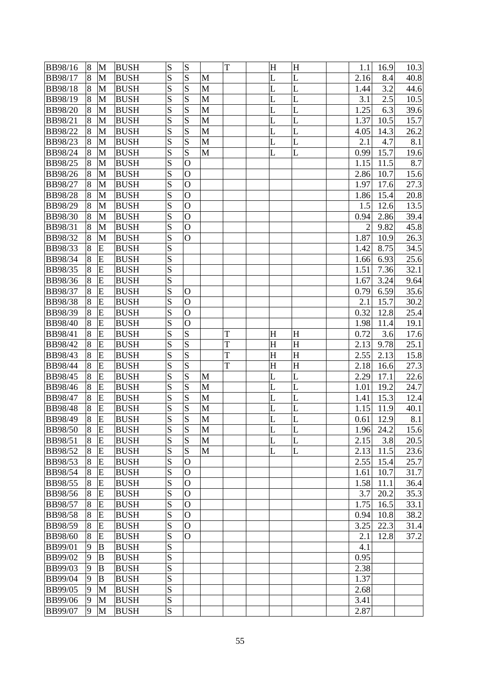| BB98/16                          | 8 | M            | <b>BUSH</b> | S              | S              |              | T |   | H | H         | 1.1  | 16.9 | 10.3 |
|----------------------------------|---|--------------|-------------|----------------|----------------|--------------|---|---|---|-----------|------|------|------|
| BB98/17                          | 8 | M            | <b>BUSH</b> | S              | S              | M            |   |   | L | L         | 2.16 | 8.4  | 40.8 |
| <b>BB98/18</b>                   | 8 | M            | <b>BUSH</b> | S              | S              | $\mathbf{M}$ |   | L |   | L         | 1.44 | 3.2  | 44.6 |
| BB98/19                          | 8 | M            | <b>BUSH</b> | S              | S              | M            |   | L |   | L         | 3.1  | 2.5  | 10.5 |
| BB98/20                          | 8 | M            | <b>BUSH</b> | S              | S              | $\mathbf{M}$ |   | L |   | L         | 1.25 | 6.3  | 39.6 |
| BB98/21                          | 8 | M            | <b>BUSH</b> | S              | S              | $\mathbf{M}$ |   |   | L | L         | 1.37 | 10.5 | 15.7 |
| BB98/22                          | 8 | M            | <b>BUSH</b> | S              | S              | M            |   |   | L | L         | 4.05 | 14.3 | 26.2 |
| BB98/23                          | 8 | M            | <b>BUSH</b> | S              | S              | $\mathbf{M}$ |   |   | L | L         | 2.1  | 4.7  | 8.1  |
| BB98/24                          | 8 | M            | <b>BUSH</b> | S              | S              | $\mathbf{M}$ |   |   | L | L         | 0.99 | 15.7 | 19.6 |
| BB98/25                          | 8 | M            | <b>BUSH</b> | S              | $\overline{O}$ |              |   |   |   |           | 1.15 | 11.5 | 8.7  |
| BB98/26                          | 8 | $\mathbf{M}$ | <b>BUSH</b> | S              | $\mathbf O$    |              |   |   |   |           | 2.86 | 10.7 | 15.6 |
| BB98/27                          | 8 | M            | <b>BUSH</b> | S              | $\mathbf O$    |              |   |   |   |           | 1.97 | 17.6 | 27.3 |
| <b>BB98/28</b>                   | 8 | M            | <b>BUSH</b> | S              | $\mathbf{O}$   |              |   |   |   |           | 1.86 | 15.4 | 20.8 |
| BB98/29                          | 8 | M            | <b>BUSH</b> | S              | $\mathbf{O}$   |              |   |   |   |           | 1.5  | 12.6 | 13.5 |
| BB98/30                          | 8 | M            | <b>BUSH</b> | S              | $\mathbf O$    |              |   |   |   |           | 0.94 | 2.86 | 39.4 |
| BB98/31                          | 8 | $\mathbf{M}$ | <b>BUSH</b> | S              | $\overline{O}$ |              |   |   |   |           | 2    | 9.82 | 45.8 |
| BB98/32                          | 8 | M            | <b>BUSH</b> | S              | $\mathbf{O}$   |              |   |   |   |           | 1.87 | 10.9 | 26.3 |
| BB98/33                          | 8 | E            | <b>BUSH</b> | S              |                |              |   |   |   |           | 1.42 | 8.75 | 34.5 |
| BB98/34                          | 8 | E            | <b>BUSH</b> | S              |                |              |   |   |   |           | 1.66 | 6.93 | 25.6 |
| BB98/35                          | 8 | E            | <b>BUSH</b> | S              |                |              |   |   |   |           | 1.51 | 7.36 | 32.1 |
| BB98/36                          | 8 | E            | <b>BUSH</b> | S              |                |              |   |   |   |           | 1.67 | 3.24 | 9.64 |
| BB98/37                          | 8 | E            | <b>BUSH</b> | S              | $\mathbf{O}$   |              |   |   |   |           | 0.79 | 6.59 | 35.6 |
| <b>BB98/38</b>                   | 8 | E            | <b>BUSH</b> | S              | $\mathbf{O}$   |              |   |   |   |           | 2.1  | 15.7 | 30.2 |
| BB98/39                          | 8 | E            | <b>BUSH</b> | S              | $\overline{O}$ |              |   |   |   |           | 0.32 | 12.8 | 25.4 |
| BB98/40                          | 8 | E            | <b>BUSH</b> | S              | $\mathbf O$    |              |   |   |   |           | 1.98 | 11.4 | 19.1 |
| BB98/41                          | 8 | E            | <b>BUSH</b> | S              | S              |              | T |   | H | H         | 0.72 | 3.6  | 17.6 |
| BB98/42                          | 8 | E            | <b>BUSH</b> | S              | S              |              | T |   | H | H         | 2.13 | 9.78 | 25.1 |
| BB98/43                          | 8 | E            | <b>BUSH</b> | S              | S              |              | T |   | H | $H_{\rm}$ | 2.55 | 2.13 | 15.8 |
| <b>BB98/44</b>                   | 8 | E            | <b>BUSH</b> | S              | S              |              | T |   | H | H         | 2.18 | 16.6 | 27.3 |
| BB98/45                          | 8 | E            | <b>BUSH</b> | S              | S              | $\mathbf{M}$ |   |   | L | L         | 2.29 | 17.1 | 22.6 |
| BB98/46                          | 8 | E            | <b>BUSH</b> | S              | S              | $\mathbf{M}$ |   |   | L | L         | 1.01 | 19.2 | 24.7 |
| <b>BB98/47</b>                   | 8 | E            | <b>BUSH</b> | S              | S              | M            |   | L |   | L         | 1.41 | 15.3 | 12.4 |
| <b>BB98/48</b>                   | 8 | E            | <b>BUSH</b> | S              | S              | $\mathbf{M}$ |   |   | L | L         | 1.15 | 11.9 | 40.1 |
| BB98/49                          | 8 | E            | <b>BUSH</b> | $\overline{S}$ | S              | $\mathbf{M}$ |   | L |   | L         | 0.61 | 12.9 | 8.1  |
| <b>BB98/50</b>                   | 8 | E            | <b>BUSH</b> | S              | S              | M            |   | L |   | L         | 1.96 | 24.2 | 15.6 |
| BB98/51                          | 8 | E            | <b>BUSH</b> | S              | S              | $\mathbf{M}$ |   |   | L | L         | 2.15 | 3.8  | 20.5 |
| <b>BB98/52</b>                   | 8 | E            | <b>BUSH</b> | S              | S              | $\mathbf{M}$ |   |   | L | L         | 2.13 | 11.5 | 23.6 |
| <b>BB98/53</b>                   | 8 | E            | <b>BUSH</b> | S              | $\overline{O}$ |              |   |   |   |           | 2.55 | 15.4 | 25.7 |
| <b>BB98/54</b>                   | 8 | E            | <b>BUSH</b> | S              | $\mathbf{O}$   |              |   |   |   |           | 1.61 | 10.7 | 31.7 |
| BB98/55                          | 8 | E            | <b>BUSH</b> | S              | O              |              |   |   |   |           | 1.58 | 11.1 | 36.4 |
| BB98/56                          | 8 | E            | <b>BUSH</b> | S              | $\mathbf O$    |              |   |   |   |           | 3.7  | 20.2 | 35.3 |
| BB98/57                          | 8 | E            | <b>BUSH</b> | S              | $\mathbf O$    |              |   |   |   |           | 1.75 | 16.5 | 33.1 |
| <b>BB98/58</b>                   | 8 | E            | <b>BUSH</b> | S              | $\mathbf{O}$   |              |   |   |   |           | 0.94 | 10.8 | 38.2 |
| BB98/59                          | 8 | E            | <b>BUSH</b> | S              | $\mathbf{O}$   |              |   |   |   |           | 3.25 | 22.3 | 31.4 |
|                                  | 8 | E            | <b>BUSH</b> | S              | $\mathbf{O}$   |              |   |   |   |           | 2.1  | 12.8 | 37.2 |
| <b>BB98/60</b><br><b>BB99/01</b> | 9 | B            | <b>BUSH</b> | S              |                |              |   |   |   |           | 4.1  |      |      |
| <b>BB99/02</b>                   | 9 | B            | <b>BUSH</b> | S              |                |              |   |   |   |           | 0.95 |      |      |
| <b>BB99/03</b>                   | 9 | B            | <b>BUSH</b> | S              |                |              |   |   |   |           | 2.38 |      |      |
| BB99/04                          | 9 | B            | <b>BUSH</b> | S              |                |              |   |   |   |           | 1.37 |      |      |
| BB99/05                          | 9 | M            | <b>BUSH</b> | S              |                |              |   |   |   |           | 2.68 |      |      |
| <b>BB99/06</b>                   | 9 | M            | <b>BUSH</b> | S              |                |              |   |   |   |           | 3.41 |      |      |
| BB99/07                          | 9 | M            | <b>BUSH</b> | S              |                |              |   |   |   |           | 2.87 |      |      |
|                                  |   |              |             |                |                |              |   |   |   |           |      |      |      |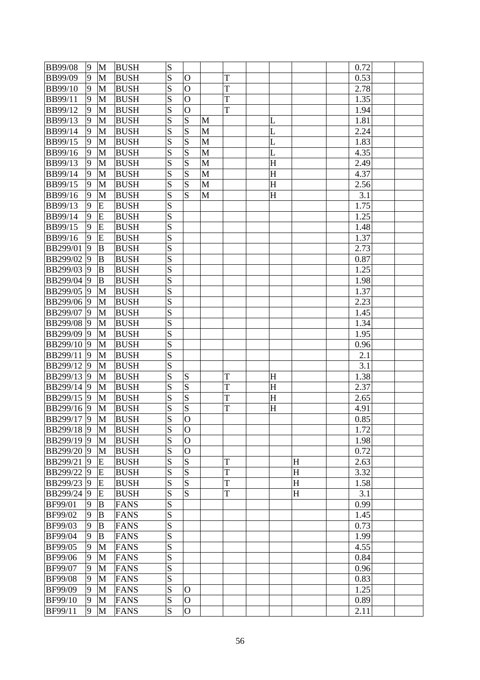| <b>BB99/08</b>  | 9              | M            | <b>BUSH</b> | S |                         |   |   |             |   | 0.72 |  |
|-----------------|----------------|--------------|-------------|---|-------------------------|---|---|-------------|---|------|--|
| <b>BB99/09</b>  | 9              | M            | <b>BUSH</b> | S | $\mathbf O$             |   | T |             |   | 0.53 |  |
| <b>BB99/10</b>  | 9              | M            | <b>BUSH</b> | S | $\mathbf O$             |   | T |             |   | 2.78 |  |
| <b>BB99/11</b>  | 9              | M            | <b>BUSH</b> | S | $\overline{O}$          |   | T |             |   | 1.35 |  |
| <b>BB99/12</b>  | 9              | M            | <b>BUSH</b> | S | $\overline{O}$          |   | T |             |   | 1.94 |  |
| BB99/13         | 9              | M            | <b>BUSH</b> | S | S                       | M |   | L           |   | 1.81 |  |
| <b>BB99/14</b>  | 9              | M            | <b>BUSH</b> | S | $\overline{S}$          | M |   | L           |   | 2.24 |  |
| <b>BB99/15</b>  | 9              | M            | <b>BUSH</b> | S | S                       | M |   | L           |   | 1.83 |  |
| BB99/16         | 9              | M            | <b>BUSH</b> | S | $\overline{S}$          | M |   | L           |   | 4.35 |  |
| <b>BB99/13</b>  | 9              | M            | <b>BUSH</b> | S | $\overline{S}$          | M |   | $\mathbf H$ |   | 2.49 |  |
| <b>BB99/14</b>  | 9              | $\mathbf{M}$ | <b>BUSH</b> | S | $\overline{S}$          | M |   | H           |   | 4.37 |  |
| <b>BB99/15</b>  | 9              | M            | <b>BUSH</b> | S | S                       | M |   | $H_{\rm}$   |   | 2.56 |  |
| <b>BB99/16</b>  | 9              | M            | <b>BUSH</b> | S | S                       | M |   | $H_{\rm}$   |   | 3.1  |  |
| BB99/13         | 9              | E            | <b>BUSH</b> | S |                         |   |   |             |   | 1.75 |  |
| <b>BB99/14</b>  | 9              | E            | <b>BUSH</b> | S |                         |   |   |             |   | 1.25 |  |
| <b>BB99/15</b>  | 9              | E            | <b>BUSH</b> | S |                         |   |   |             |   | 1.48 |  |
| <b>BB99/16</b>  | 9              | E            | <b>BUSH</b> | S |                         |   |   |             |   | 1.37 |  |
| BB299/01        | 9              | B            | <b>BUSH</b> | S |                         |   |   |             |   | 2.73 |  |
| BB299/02        | $\overline{9}$ | B            | <b>BUSH</b> | S |                         |   |   |             |   | 0.87 |  |
| <b>BB299/03</b> | $\vert 9$      | B            | <b>BUSH</b> | S |                         |   |   |             |   | 1.25 |  |
| <b>BB299/04</b> | 9              | B            | <b>BUSH</b> | S |                         |   |   |             |   | 1.98 |  |
| <b>BB299/05</b> | 9              | M            | <b>BUSH</b> | S |                         |   |   |             |   | 1.37 |  |
| BB299/06 9      |                | M            | <b>BUSH</b> | S |                         |   |   |             |   | 2.23 |  |
| BB299/07 9      |                | M            | <b>BUSH</b> | S |                         |   |   |             |   | 1.45 |  |
| <b>BB299/08</b> | 9              | M            | <b>BUSH</b> | S |                         |   |   |             |   | 1.34 |  |
| <b>BB299/09</b> | 9              | M            | <b>BUSH</b> | S |                         |   |   |             |   | 1.95 |  |
| <b>BB299/10</b> | 9              | M            | <b>BUSH</b> | S |                         |   |   |             |   | 0.96 |  |
| BB299/11        | 9              | M            | <b>BUSH</b> | S |                         |   |   |             |   | 2.1  |  |
| BB299/12 9      |                | M            | <b>BUSH</b> | S |                         |   |   |             |   | 3.1  |  |
| <b>BB299/13</b> | $\vert 9$      | M            | <b>BUSH</b> | S | S                       |   | T | H           |   | 1.38 |  |
| <b>BB299/14</b> | 9              | M            | <b>BUSH</b> | S | S                       |   | T | $H_{\rm}$   |   | 2.37 |  |
| <b>BB299/15</b> | $ 9\rangle$    | M            | <b>BUSH</b> | S | $\overline{\mathbf{S}}$ |   | T | H           |   | 2.65 |  |
| BB299/16 9      |                | M            | <b>BUSH</b> | S | S                       |   | T | H           |   | 4.91 |  |
| <b>BB299/17</b> | $\vert 9$      | M            | <b>BUSH</b> | S | $\overline{O}$          |   |   |             |   | 0.85 |  |
| BB299/18 9      |                | M            | <b>BUSH</b> | S | $\mathbf{O}$            |   |   |             |   | 1.72 |  |
| BB299/19 9      |                | M            | <b>BUSH</b> | S | $\overline{O}$          |   |   |             |   | 1.98 |  |
| <b>BB299/20</b> | 9              | M            | <b>BUSH</b> | S | $\overline{O}$          |   |   |             |   | 0.72 |  |
| <b>BB299/21</b> | 9              | E            | <b>BUSH</b> | S | S                       |   | T |             | H | 2.63 |  |
| <b>BB299/22</b> | 9              | E            | <b>BUSH</b> | S | S                       |   | T |             | H | 3.32 |  |
| <b>BB299/23</b> | 9              | E            | <b>BUSH</b> | S | S                       |   | T |             | H | 1.58 |  |
| <b>BB299/24</b> | 9              | E            | <b>BUSH</b> | S | S                       |   | T |             | H | 3.1  |  |
| BF99/01         | 9              | B            | <b>FANS</b> | S |                         |   |   |             |   | 0.99 |  |
| <b>BF99/02</b>  | 9              | B            | <b>FANS</b> | S |                         |   |   |             |   | 1.45 |  |
| <b>BF99/03</b>  | 9              | B            | <b>FANS</b> | S |                         |   |   |             |   | 0.73 |  |
| <b>BF99/04</b>  | 9              | B            | <b>FANS</b> | S |                         |   |   |             |   | 1.99 |  |
| <b>BF99/05</b>  | 9              | M            | <b>FANS</b> | S |                         |   |   |             |   | 4.55 |  |
| <b>BF99/06</b>  | 9              | M            | <b>FANS</b> | S |                         |   |   |             |   | 0.84 |  |
| <b>BF99/07</b>  | 9              | M            | <b>FANS</b> | S |                         |   |   |             |   | 0.96 |  |
| <b>BF99/08</b>  | 9              | M            | <b>FANS</b> | S |                         |   |   |             |   | 0.83 |  |
| <b>BF99/09</b>  | 9              | M            | <b>FANS</b> | S | $\mathbf O$             |   |   |             |   | 1.25 |  |
| <b>BF99/10</b>  | 9              | M            | <b>FANS</b> | S | $\overline{O}$          |   |   |             |   | 0.89 |  |
| BF99/11         | 9              | M            | <b>FANS</b> | S | $\overline{O}$          |   |   |             |   | 2.11 |  |
|                 |                |              |             |   |                         |   |   |             |   |      |  |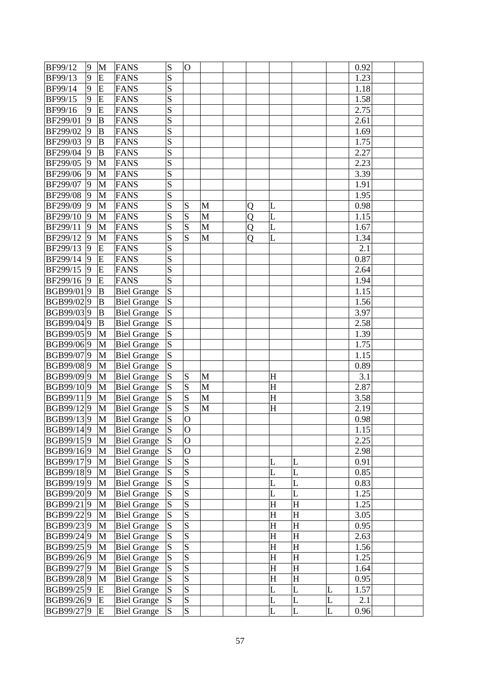| BF99/12         | 9              | M            | <b>FANS</b>        | S         | $\overline{O}$          |   |   |                         |           |   | 0.92 |  |
|-----------------|----------------|--------------|--------------------|-----------|-------------------------|---|---|-------------------------|-----------|---|------|--|
| BF99/13         | 9              | E            | <b>FANS</b>        | S         |                         |   |   |                         |           |   | 1.23 |  |
| <b>BF99/14</b>  | 9              | E            | <b>FANS</b>        | S         |                         |   |   |                         |           |   | 1.18 |  |
| BF99/15         | 9              | E            | <b>FANS</b>        | S         |                         |   |   |                         |           |   | 1.58 |  |
| BF99/16         | 9              | E            | <b>FANS</b>        | S         |                         |   |   |                         |           |   | 2.75 |  |
| BF299/01        | 9              | $\bf{B}$     | <b>FANS</b>        | S         |                         |   |   |                         |           |   | 2.61 |  |
| BF299/02        | 9              | $\bf{B}$     | <b>FANS</b>        | S         |                         |   |   |                         |           |   | 1.69 |  |
| BF299/03        | 9              | B            | <b>FANS</b>        | S         |                         |   |   |                         |           |   | 1.75 |  |
| BF299/04        | 9              | B            | <b>FANS</b>        | S         |                         |   |   |                         |           |   | 2.27 |  |
| BF299/05        | 9              | M            | <b>FANS</b>        | S         |                         |   |   |                         |           |   | 2.23 |  |
| BF299/06        | 9              | $\mathbf{M}$ | <b>FANS</b>        | S         |                         |   |   |                         |           |   | 3.39 |  |
| BF299/07        | 9              | M            | <b>FANS</b>        | S         |                         |   |   |                         |           |   | 1.91 |  |
| <b>BF299/08</b> | 9              | M            | <b>FANS</b>        | S         |                         |   |   |                         |           |   | 1.95 |  |
| BF299/09        | $ 9\rangle$    | M            | <b>FANS</b>        | S         | S                       | M | Q | L                       |           |   | 0.98 |  |
| BF299/10        | 9              | M            | <b>FANS</b>        | S         | $\overline{S}$          | M | Q | L                       |           |   | 1.15 |  |
| BF299/11        | 9              | M            | <b>FANS</b>        | S         | S                       | M | Q | L                       |           |   | 1.67 |  |
| BF299/12        | 9              | M            | <b>FANS</b>        | S         | $\overline{S}$          | M | Q | L                       |           |   | 1.34 |  |
| BF299/13        | 9              | E            | <b>FANS</b>        | S         |                         |   |   |                         |           |   | 2.1  |  |
| BF299/14        | $\overline{9}$ | E            | <b>FANS</b>        | S         |                         |   |   |                         |           |   | 0.87 |  |
| BF299/15        | 9              | E            | <b>FANS</b>        | S         |                         |   |   |                         |           |   | 2.64 |  |
| BF299/16        | 9              | E            | <b>FANS</b>        | S         |                         |   |   |                         |           |   | 1.94 |  |
| BGB99/019       |                | B            | <b>Biel Grange</b> | S         |                         |   |   |                         |           |   | 1.15 |  |
| BGB99/029       |                | B            | <b>Biel Grange</b> | S         |                         |   |   |                         |           |   | 1.56 |  |
| BGB99/039       |                | B            | <b>Biel Grange</b> | S         |                         |   |   |                         |           |   | 3.97 |  |
| BGB99/049       |                | B            | <b>Biel Grange</b> | S         |                         |   |   |                         |           |   | 2.58 |  |
| BGB99/059       |                | M            | <b>Biel Grange</b> | S         |                         |   |   |                         |           |   | 1.39 |  |
| BGB99/069       |                | M            | <b>Biel Grange</b> | S         |                         |   |   |                         |           |   | 1.75 |  |
| BGB99/079       |                | M            | <b>Biel Grange</b> | S         |                         |   |   |                         |           |   | 1.15 |  |
| BGB99/089       |                | M            | <b>Biel Grange</b> | S         |                         |   |   |                         |           |   | 0.89 |  |
| BGB99/099       |                | M            | <b>Biel Grange</b> | S         | S                       | M |   | H                       |           |   | 3.1  |  |
| BGB99/109       |                | M            | <b>Biel Grange</b> | S         | S                       | M |   | $H_{\rm}$               |           |   | 2.87 |  |
| BGB99/119       |                | M            | <b>Biel Grange</b> | S         | $\overline{S}$          | M |   | H                       |           |   | 3.58 |  |
| BGB99/129       |                | M            | <b>Biel Grange</b> | S         | S                       | M |   | $H_{\rm}$               |           |   | 2.19 |  |
| BGB99/139       |                | M            | <b>Biel Grange</b> | S         | $\overline{O}$          |   |   |                         |           |   | 0.98 |  |
| BGB99/149       |                | $\mathbf M$  | <b>Biel Grange</b> | ${\bf S}$ | $\overline{O}$          |   |   |                         |           |   | 1.15 |  |
| BGB99/159       |                | M            | <b>Biel Grange</b> | S         | $\overline{O}$          |   |   |                         |           |   | 2.25 |  |
| BGB99/169       |                | M            | <b>Biel Grange</b> | ${\bf S}$ | $\overline{O}$          |   |   |                         |           |   | 2.98 |  |
| BGB99/179       |                | M            | <b>Biel Grange</b> | S         | $\overline{S}$          |   |   | L                       | L         |   | 0.91 |  |
| BGB99/189       |                | M            | <b>Biel Grange</b> | S         | $\overline{S}$          |   |   | L                       | L         |   | 0.85 |  |
| BGB99/199       |                | M            | <b>Biel Grange</b> | S         | $\overline{\mathbf{S}}$ |   |   | L                       | L         |   | 0.83 |  |
| BGB99/209       |                | M            | <b>Biel Grange</b> | S         | $\overline{\mathbf{S}}$ |   |   | L                       | L         |   | 1.25 |  |
| BGB99/219       |                | M            | <b>Biel Grange</b> | ${\bf S}$ | $\overline{\mathbf{S}}$ |   |   | H                       | H         |   | 1.25 |  |
| BGB99/229       |                | $\mathbf M$  | <b>Biel Grange</b> | S         | $\overline{\mathbf{S}}$ |   |   | $\overline{\mathrm{H}}$ | $H_{\rm}$ |   | 3.05 |  |
| BGB99/239       |                | M            | <b>Biel Grange</b> | S         | S                       |   |   | H                       | H         |   | 0.95 |  |
| BGB99/249       |                | M            | <b>Biel Grange</b> | S         | $\overline{\mathbf{S}}$ |   |   | H                       | H         |   | 2.63 |  |
| BGB99/259       |                | M            | <b>Biel Grange</b> | S         | $\overline{\mathbf{S}}$ |   |   | H                       | H         |   | 1.56 |  |
| BGB99/269       |                | M            | <b>Biel Grange</b> | S         | $\overline{\mathbf{S}}$ |   |   | H                       | $H_{\rm}$ |   | 1.25 |  |
| BGB99/279       |                | M            | <b>Biel Grange</b> | S         | $\overline{S}$          |   |   | H                       | H         |   | 1.64 |  |
| BGB99/289       |                | M            | <b>Biel Grange</b> | S         | $\overline{S}$          |   |   | H                       | H         |   | 0.95 |  |
| BGB99/259       |                | E            | <b>Biel Grange</b> | S         | $\overline{\mathbf{S}}$ |   |   | L                       | L         | L | 1.57 |  |
| BGB99/269       |                | E            | <b>Biel Grange</b> | S         | $\overline{\mathbf{S}}$ |   |   | L                       | L         | L | 2.1  |  |
| BGB99/279       |                | E            | <b>Biel Grange</b> | S         | S                       |   |   | L                       | L         | L | 0.96 |  |
|                 |                |              |                    |           |                         |   |   |                         |           |   |      |  |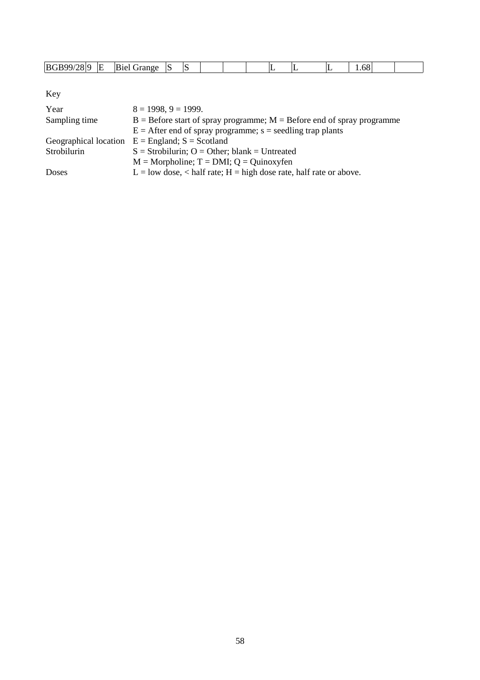| <b>BC</b><br>$\mathbf{A}$ | л. | ื‴anoe | ∼ |  |  |  | ۰۱۸ |  |
|---------------------------|----|--------|---|--|--|--|-----|--|

Key

| Year          | $8 = 1998, 9 = 1999.$                                                      |
|---------------|----------------------------------------------------------------------------|
| Sampling time | $B =$ Before start of spray programme; $M =$ Before end of spray programme |
|               | $E =$ After end of spray programme; s = seedling trap plants               |
|               | Geographical location $E =$ England; $S =$ Scotland                        |
| Strobilurin   | $S =$ Strobilurin; O = Other; blank = Untreated                            |
|               | $M = \text{Morpholine}; T = \text{DMI}; Q = \text{Quinoxyfen}$             |
| Doses         | $L =$ low dose, < half rate; $H =$ high dose rate, half rate or above.     |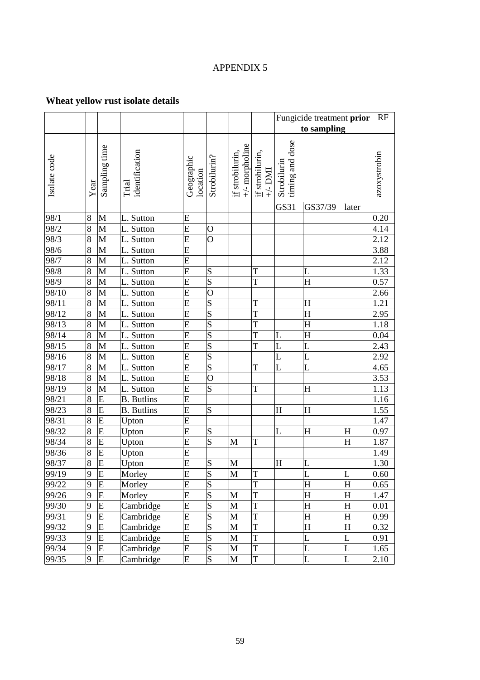# APPENDIX 5

# **Wheat yellow rust isolate details**

|                    |                |                         |                         |                        |                         |                                          |                                   |                                | Fungicide treatment prior |             | RF           |
|--------------------|----------------|-------------------------|-------------------------|------------------------|-------------------------|------------------------------------------|-----------------------------------|--------------------------------|---------------------------|-------------|--------------|
|                    |                |                         |                         |                        |                         |                                          |                                   | to sampling                    |                           |             |              |
| Isolate code       | Year           | Sampling time           | identification<br>Trial | Geographic<br>location | Strobilurin?            | $+\prime$ -morpholine<br>if strobilurin, | if strobilurin,<br>$+\!\!-\!$ DMI | timing and dose<br>Strobilurin |                           |             | azoxystrobin |
|                    |                |                         |                         |                        |                         |                                          |                                   | GS31                           | GS37/39                   | later       |              |
| 98/1               | 8              | M                       | L. Sutton               | E                      |                         |                                          |                                   |                                |                           |             | 0.20         |
| 98/2               | 8              | $\mathbf{M}$            | L. Sutton               | E                      | $\mathbf O$             |                                          |                                   |                                |                           |             | 4.14         |
| 98/3               | 8              | M                       | L. Sutton               | $\overline{E}$         | $\overline{O}$          |                                          |                                   |                                |                           |             | 2.12         |
| 98/6               | 8              | $\mathbf{M}$            | L. Sutton               | E                      |                         |                                          |                                   |                                |                           |             | 3.88         |
| 98/7               | 8              | M                       | L. Sutton               | E                      |                         |                                          |                                   |                                |                           |             | 2.12         |
| 98/8               | 8              | M                       | L. Sutton               | $\mathbf E$            | S                       |                                          | T                                 |                                | L                         |             | 1.33         |
| 98/9               | 8              | $\mathbf{M}$            | L. Sutton               | E                      | S                       |                                          | T                                 |                                | H                         |             | 0.57         |
| 98/10              | 8              | M                       | L. Sutton               | $\overline{E}$         | $\overline{O}$          |                                          |                                   |                                |                           |             | 2.66         |
| 98/11              | 8              | M                       | L. Sutton               | E                      | S                       |                                          | T                                 |                                | $H_{\rm}$                 |             | 1.21         |
| 98/12              | 8              | M                       | L. Sutton               | E                      | S                       |                                          | T                                 |                                | H                         |             | 2.95         |
| 98/13              | 8              | M                       | L. Sutton               | $\mathbf E$            | S                       |                                          | T                                 |                                | $H_{\rm}$                 |             | 1.18         |
| 98/14              | 8              | $\mathbf{M}$            | L. Sutton               | E                      | S                       |                                          | T                                 | L                              | $H_{\rm}$                 |             | 0.04         |
| 98/15              | 8              | M                       | L. Sutton               | E                      | S                       |                                          | T                                 | L                              | L                         |             | 2.43         |
| 98/16              | 8              | $\mathbf{M}$            | L. Sutton               | E                      | S                       |                                          |                                   | L                              | L                         |             | 2.92         |
| 98/17              | 8              | M                       | L. Sutton               | E                      | S                       |                                          | T                                 | L                              | L                         |             | 4.65         |
| 98/18              | 8              | M                       | L. Sutton               | $\mathbf E$            | $\mathcal{O}$           |                                          |                                   |                                |                           |             | 3.53         |
| 98/19              | 8              | M                       | L. Sutton               | E                      | S                       |                                          | T                                 |                                | H                         |             | 1.13         |
| 98/21              | 8              | ${\bf E}$               | <b>B.</b> Butlins       | E                      |                         |                                          |                                   |                                |                           |             | 1.16         |
| $\overline{98}/23$ | 8              | E                       | <b>B.</b> Butlins       | E                      | S                       |                                          |                                   | H                              | H                         |             | 1.55         |
| 98/31              | 8              | E                       | Upton                   | E                      |                         |                                          |                                   |                                |                           |             | 1.47         |
| 98/32              | 8              | E                       | Upton                   | $\mathbf E$            | S                       |                                          |                                   | L                              | $\overline{\mathrm{H}}$   | H           | 0.97         |
| 98/34              | 8              | E                       | Upton                   | $\mathbf E$            | S                       | M                                        | T                                 |                                |                           | H           | 1.87         |
| 98/36              | 8              | E                       | Upton                   | $\overline{E}$         |                         |                                          |                                   |                                |                           |             | 1.49         |
| 98/37              | 8              | E                       | Upton                   | $\mathbf E$            | S                       | M                                        |                                   | H                              | L                         |             | 1.30         |
| 99/19              | $\overline{9}$ | $\overline{\mathrm{E}}$ | Morley                  | $\overline{E}$         | $\overline{\mathbf{S}}$ | $\mathbf M$                              | T                                 |                                | L                         | $\mathbf L$ | 0.60         |
| 99/22              | 9              | E                       | Morley                  | $\overline{E}$         | S                       |                                          | T                                 |                                | H                         | H           | 0.65         |
| 99/26              | 9              | E                       | Morley                  | ${\bf E}$              | S                       | M                                        | T                                 |                                | H                         | H           | 1.47         |
| 99/30              | 9              | E                       | Cambridge               | E                      | S                       | M                                        | T                                 |                                | H                         | H           | $0.01\,$     |
| 99/31              | 9              | E                       | Cambridge               | E                      | S                       | M                                        | T                                 |                                | $H_{\rm}$                 | H           | 0.99         |
| 99/32              | 9              | E                       | Cambridge               | E                      | S                       | M                                        | T                                 |                                | $H_{\rm}$                 | H           | 0.32         |
| 99/33              | 9              | ${\bf E}$               | Cambridge               | ${\bf E}$              | S                       | $\mathbf{M}$                             | T                                 |                                | L                         | L           | 0.91         |
| 99/34              | 9              | E                       | Cambridge               | ${\bf E}$              | S                       | M                                        | T                                 |                                | L                         | L           | 1.65         |
| 99/35              | 9              | E                       | Cambridge               | E                      | ${\bf S}$               | M                                        | T                                 |                                | L                         | L           | 2.10         |